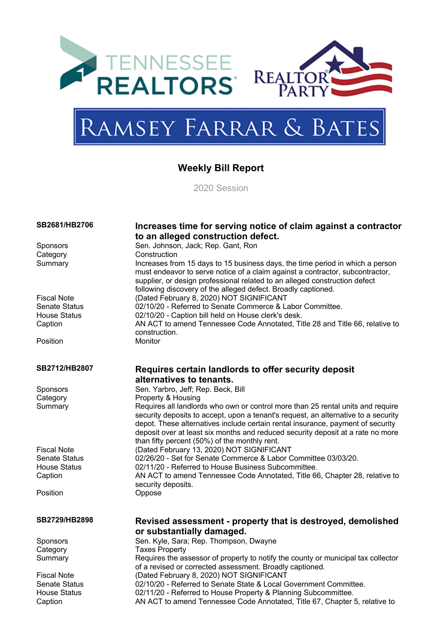



# Ramsey Farrar & Bates

### **Weekly Bill Report**

2020 Session

| SB2681/HB2706        |                                                                                                                                                                                                                                                                                                                                                                                              |
|----------------------|----------------------------------------------------------------------------------------------------------------------------------------------------------------------------------------------------------------------------------------------------------------------------------------------------------------------------------------------------------------------------------------------|
|                      | Increases time for serving notice of claim against a contractor<br>to an alleged construction defect.                                                                                                                                                                                                                                                                                        |
| <b>Sponsors</b>      | Sen. Johnson, Jack; Rep. Gant, Ron                                                                                                                                                                                                                                                                                                                                                           |
| Category             | Construction                                                                                                                                                                                                                                                                                                                                                                                 |
| Summary              | Increases from 15 days to 15 business days, the time period in which a person<br>must endeavor to serve notice of a claim against a contractor, subcontractor,<br>supplier, or design professional related to an alleged construction defect<br>following discovery of the alleged defect. Broadly captioned.                                                                                |
| <b>Fiscal Note</b>   | (Dated February 8, 2020) NOT SIGNIFICANT                                                                                                                                                                                                                                                                                                                                                     |
| <b>Senate Status</b> | 02/10/20 - Referred to Senate Commerce & Labor Committee.                                                                                                                                                                                                                                                                                                                                    |
| <b>House Status</b>  | 02/10/20 - Caption bill held on House clerk's desk.                                                                                                                                                                                                                                                                                                                                          |
| Caption              | AN ACT to amend Tennessee Code Annotated, Title 28 and Title 66, relative to                                                                                                                                                                                                                                                                                                                 |
|                      | construction.                                                                                                                                                                                                                                                                                                                                                                                |
| Position             | Monitor                                                                                                                                                                                                                                                                                                                                                                                      |
| SB2712/HB2807        | Requires certain landlords to offer security deposit                                                                                                                                                                                                                                                                                                                                         |
|                      | alternatives to tenants.                                                                                                                                                                                                                                                                                                                                                                     |
| <b>Sponsors</b>      | Sen. Yarbro, Jeff; Rep. Beck, Bill                                                                                                                                                                                                                                                                                                                                                           |
| Category             | Property & Housing                                                                                                                                                                                                                                                                                                                                                                           |
| Summary              | Requires all landlords who own or control more than 25 rental units and require<br>security deposits to accept, upon a tenant's request, an alternative to a security<br>depot. These alternatives include certain rental insurance, payment of security<br>deposit over at least six months and reduced security deposit at a rate no more<br>than fifty percent (50%) of the monthly rent. |
| <b>Fiscal Note</b>   | (Dated February 13, 2020) NOT SIGNIFICANT                                                                                                                                                                                                                                                                                                                                                    |
| <b>Senate Status</b> | 02/26/20 - Set for Senate Commerce & Labor Committee 03/03/20.                                                                                                                                                                                                                                                                                                                               |
| <b>House Status</b>  | 02/11/20 - Referred to House Business Subcommittee.                                                                                                                                                                                                                                                                                                                                          |
| Caption              | AN ACT to amend Tennessee Code Annotated, Title 66, Chapter 28, relative to                                                                                                                                                                                                                                                                                                                  |
|                      | security deposits.                                                                                                                                                                                                                                                                                                                                                                           |
| Position             | Oppose                                                                                                                                                                                                                                                                                                                                                                                       |
| SB2729/HB2898        | Revised assessment - property that is destroyed, demolished                                                                                                                                                                                                                                                                                                                                  |
|                      | or substantially damaged.                                                                                                                                                                                                                                                                                                                                                                    |
| Sponsors             | Sen. Kyle, Sara; Rep. Thompson, Dwayne                                                                                                                                                                                                                                                                                                                                                       |
| Category             | <b>Taxes Property</b>                                                                                                                                                                                                                                                                                                                                                                        |
| Summary              | Requires the assessor of property to notify the county or municipal tax collector                                                                                                                                                                                                                                                                                                            |
|                      | of a revised or corrected assessment. Broadly captioned.                                                                                                                                                                                                                                                                                                                                     |
| <b>Fiscal Note</b>   | (Dated February 8, 2020) NOT SIGNIFICANT                                                                                                                                                                                                                                                                                                                                                     |
| <b>Senate Status</b> | 02/10/20 - Referred to Senate State & Local Government Committee.                                                                                                                                                                                                                                                                                                                            |
| <b>House Status</b>  | 02/11/20 - Referred to House Property & Planning Subcommittee.                                                                                                                                                                                                                                                                                                                               |
| Caption              | AN ACT to amend Tennessee Code Annotated, Title 67, Chapter 5, relative to                                                                                                                                                                                                                                                                                                                   |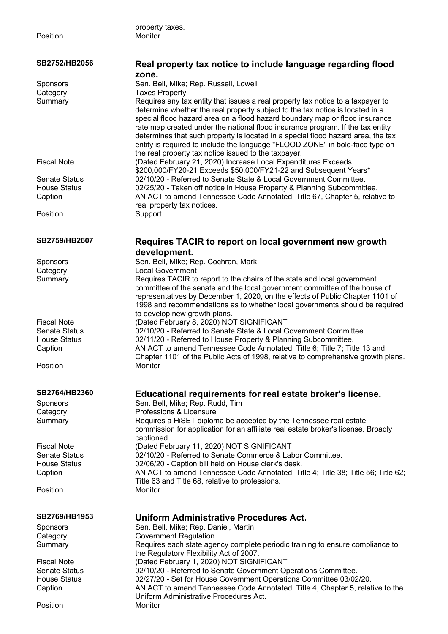property taxes.

| SB2752/HB2056        | Real property tax notice to include language regarding flood<br>zone.                                                                                                                                                                                                                                                                                                                                                                                                                                                                                         |
|----------------------|---------------------------------------------------------------------------------------------------------------------------------------------------------------------------------------------------------------------------------------------------------------------------------------------------------------------------------------------------------------------------------------------------------------------------------------------------------------------------------------------------------------------------------------------------------------|
| Sponsors             | Sen. Bell, Mike; Rep. Russell, Lowell                                                                                                                                                                                                                                                                                                                                                                                                                                                                                                                         |
| Category             | <b>Taxes Property</b>                                                                                                                                                                                                                                                                                                                                                                                                                                                                                                                                         |
| Summary              | Requires any tax entity that issues a real property tax notice to a taxpayer to<br>determine whether the real property subject to the tax notice is located in a<br>special flood hazard area on a flood hazard boundary map or flood insurance<br>rate map created under the national flood insurance program. If the tax entity<br>determines that such property is located in a special flood hazard area, the tax<br>entity is required to include the language "FLOOD ZONE" in bold-face type on<br>the real property tax notice issued to the taxpayer. |
| <b>Fiscal Note</b>   | (Dated February 21, 2020) Increase Local Expenditures Exceeds<br>\$200,000/FY20-21 Exceeds \$50,000/FY21-22 and Subsequent Years*                                                                                                                                                                                                                                                                                                                                                                                                                             |
| Senate Status        | 02/10/20 - Referred to Senate State & Local Government Committee.                                                                                                                                                                                                                                                                                                                                                                                                                                                                                             |
| <b>House Status</b>  | 02/25/20 - Taken off notice in House Property & Planning Subcommittee.                                                                                                                                                                                                                                                                                                                                                                                                                                                                                        |
| Caption              | AN ACT to amend Tennessee Code Annotated, Title 67, Chapter 5, relative to<br>real property tax notices.                                                                                                                                                                                                                                                                                                                                                                                                                                                      |
| Position             | Support                                                                                                                                                                                                                                                                                                                                                                                                                                                                                                                                                       |
| SB2759/HB2607        | Requires TACIR to report on local government new growth<br>development.                                                                                                                                                                                                                                                                                                                                                                                                                                                                                       |
| Sponsors             | Sen. Bell, Mike; Rep. Cochran, Mark                                                                                                                                                                                                                                                                                                                                                                                                                                                                                                                           |
| Category             | <b>Local Government</b>                                                                                                                                                                                                                                                                                                                                                                                                                                                                                                                                       |
| Summary              | Requires TACIR to report to the chairs of the state and local government<br>committee of the senate and the local government committee of the house of<br>representatives by December 1, 2020, on the effects of Public Chapter 1101 of<br>1998 and recommendations as to whether local governments should be required                                                                                                                                                                                                                                        |
| <b>Fiscal Note</b>   | to develop new growth plans.<br>(Dated February 8, 2020) NOT SIGNIFICANT                                                                                                                                                                                                                                                                                                                                                                                                                                                                                      |
| <b>Senate Status</b> | 02/10/20 - Referred to Senate State & Local Government Committee.                                                                                                                                                                                                                                                                                                                                                                                                                                                                                             |
| <b>House Status</b>  | 02/11/20 - Referred to House Property & Planning Subcommittee.                                                                                                                                                                                                                                                                                                                                                                                                                                                                                                |
| Caption              | AN ACT to amend Tennessee Code Annotated, Title 6; Title 7; Title 13 and<br>Chapter 1101 of the Public Acts of 1998, relative to comprehensive growth plans.                                                                                                                                                                                                                                                                                                                                                                                                  |
| Position             | Monitor                                                                                                                                                                                                                                                                                                                                                                                                                                                                                                                                                       |
| SB2764/HB2360        | Educational requirements for real estate broker's license.                                                                                                                                                                                                                                                                                                                                                                                                                                                                                                    |
| Sponsors             | Sen. Bell, Mike; Rep. Rudd, Tim                                                                                                                                                                                                                                                                                                                                                                                                                                                                                                                               |
| Category             | Professions & Licensure                                                                                                                                                                                                                                                                                                                                                                                                                                                                                                                                       |
| Summary              | Requires a HiSET diploma be accepted by the Tennessee real estate<br>commission for application for an affiliate real estate broker's license. Broadly<br>captioned.                                                                                                                                                                                                                                                                                                                                                                                          |
| <b>Fiscal Note</b>   | (Dated February 11, 2020) NOT SIGNIFICANT                                                                                                                                                                                                                                                                                                                                                                                                                                                                                                                     |
| <b>Senate Status</b> | 02/10/20 - Referred to Senate Commerce & Labor Committee.                                                                                                                                                                                                                                                                                                                                                                                                                                                                                                     |
| <b>House Status</b>  | 02/06/20 - Caption bill held on House clerk's desk.                                                                                                                                                                                                                                                                                                                                                                                                                                                                                                           |
| Caption              | AN ACT to amend Tennessee Code Annotated, Title 4; Title 38; Title 56; Title 62;                                                                                                                                                                                                                                                                                                                                                                                                                                                                              |
| Position             | Title 63 and Title 68, relative to professions.<br>Monitor                                                                                                                                                                                                                                                                                                                                                                                                                                                                                                    |
| SB2769/HB1953        | <b>Uniform Administrative Procedures Act.</b>                                                                                                                                                                                                                                                                                                                                                                                                                                                                                                                 |
| Sponsors             | Sen. Bell, Mike; Rep. Daniel, Martin                                                                                                                                                                                                                                                                                                                                                                                                                                                                                                                          |
| Category             | Government Regulation                                                                                                                                                                                                                                                                                                                                                                                                                                                                                                                                         |
| Summary              | Requires each state agency complete periodic training to ensure compliance to<br>the Regulatory Flexibility Act of 2007.                                                                                                                                                                                                                                                                                                                                                                                                                                      |
| <b>Fiscal Note</b>   | (Dated February 1, 2020) NOT SIGNIFICANT                                                                                                                                                                                                                                                                                                                                                                                                                                                                                                                      |
| Senate Status        | 02/10/20 - Referred to Senate Government Operations Committee.                                                                                                                                                                                                                                                                                                                                                                                                                                                                                                |
| <b>House Status</b>  | 02/27/20 - Set for House Government Operations Committee 03/02/20.                                                                                                                                                                                                                                                                                                                                                                                                                                                                                            |
| Caption              | AN ACT to amend Tennessee Code Annotated, Title 4, Chapter 5, relative to the<br>Uniform Administrative Procedures Act.                                                                                                                                                                                                                                                                                                                                                                                                                                       |
| Position             | Monitor                                                                                                                                                                                                                                                                                                                                                                                                                                                                                                                                                       |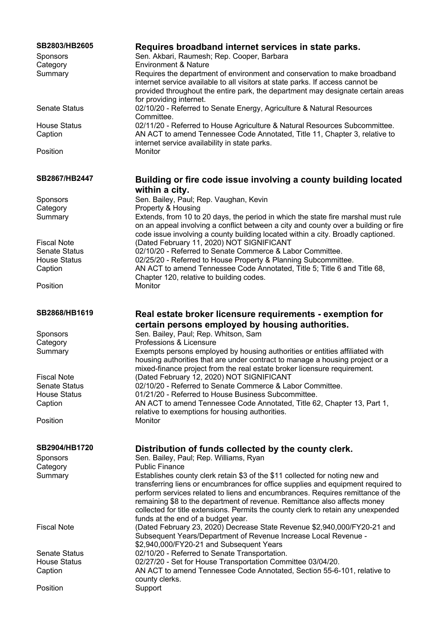| SB2803/HB2605<br>Sponsors<br>Category<br>Summary | Requires broadband internet services in state parks.<br>Sen. Akbari, Raumesh; Rep. Cooper, Barbara<br><b>Environment &amp; Nature</b><br>Requires the department of environment and conservation to make broadband                                                                                                                                                         |
|--------------------------------------------------|----------------------------------------------------------------------------------------------------------------------------------------------------------------------------------------------------------------------------------------------------------------------------------------------------------------------------------------------------------------------------|
|                                                  | internet service available to all visitors at state parks. If access cannot be<br>provided throughout the entire park, the department may designate certain areas<br>for providing internet.                                                                                                                                                                               |
| <b>Senate Status</b>                             | 02/10/20 - Referred to Senate Energy, Agriculture & Natural Resources<br>Committee.                                                                                                                                                                                                                                                                                        |
| <b>House Status</b><br>Caption                   | 02/11/20 - Referred to House Agriculture & Natural Resources Subcommittee.<br>AN ACT to amend Tennessee Code Annotated, Title 11, Chapter 3, relative to<br>internet service availability in state parks.                                                                                                                                                                  |
| Position                                         | Monitor                                                                                                                                                                                                                                                                                                                                                                    |
| SB2867/HB2447                                    | Building or fire code issue involving a county building located<br>within a city.                                                                                                                                                                                                                                                                                          |
| Sponsors                                         | Sen. Bailey, Paul; Rep. Vaughan, Kevin                                                                                                                                                                                                                                                                                                                                     |
| Category                                         | Property & Housing                                                                                                                                                                                                                                                                                                                                                         |
| Summary                                          | Extends, from 10 to 20 days, the period in which the state fire marshal must rule<br>on an appeal involving a conflict between a city and county over a building or fire<br>code issue involving a county building located within a city. Broadly captioned.                                                                                                               |
| <b>Fiscal Note</b>                               | (Dated February 11, 2020) NOT SIGNIFICANT                                                                                                                                                                                                                                                                                                                                  |
| <b>Senate Status</b>                             | 02/10/20 - Referred to Senate Commerce & Labor Committee.                                                                                                                                                                                                                                                                                                                  |
| <b>House Status</b><br>Caption                   | 02/25/20 - Referred to House Property & Planning Subcommittee.<br>AN ACT to amend Tennessee Code Annotated, Title 5; Title 6 and Title 68,<br>Chapter 120, relative to building codes.                                                                                                                                                                                     |
| Position                                         | Monitor                                                                                                                                                                                                                                                                                                                                                                    |
| SB2868/HB1619                                    | Real estate broker licensure requirements - exemption for<br>certain persons employed by housing authorities.                                                                                                                                                                                                                                                              |
| Sponsors                                         | Sen. Bailey, Paul; Rep. Whitson, Sam                                                                                                                                                                                                                                                                                                                                       |
| Category                                         | Professions & Licensure                                                                                                                                                                                                                                                                                                                                                    |
| Summary                                          | Exempts persons employed by housing authorities or entities affiliated with<br>housing authorities that are under contract to manage a housing project or a<br>mixed-finance project from the real estate broker licensure requirement.                                                                                                                                    |
| <b>Fiscal Note</b>                               | (Dated February 12, 2020) NOT SIGNIFICANT                                                                                                                                                                                                                                                                                                                                  |
| Senate Status                                    | 02/10/20 - Referred to Senate Commerce & Labor Committee.                                                                                                                                                                                                                                                                                                                  |
| <b>House Status</b>                              | 01/21/20 - Referred to House Business Subcommittee.                                                                                                                                                                                                                                                                                                                        |
| Caption                                          | AN ACT to amend Tennessee Code Annotated, Title 62, Chapter 13, Part 1,<br>relative to exemptions for housing authorities.                                                                                                                                                                                                                                                 |
| Position                                         | Monitor                                                                                                                                                                                                                                                                                                                                                                    |
| SB2904/HB1720                                    | Distribution of funds collected by the county clerk.                                                                                                                                                                                                                                                                                                                       |
| <b>Sponsors</b>                                  | Sen. Bailey, Paul; Rep. Williams, Ryan                                                                                                                                                                                                                                                                                                                                     |
| Category                                         | <b>Public Finance</b>                                                                                                                                                                                                                                                                                                                                                      |
| Summary                                          | Establishes county clerk retain \$3 of the \$11 collected for noting new and                                                                                                                                                                                                                                                                                               |
|                                                  | transferring liens or encumbrances for office supplies and equipment required to<br>perform services related to liens and encumbrances. Requires remittance of the<br>remaining \$8 to the department of revenue. Remittance also affects money<br>collected for title extensions. Permits the county clerk to retain any unexpended<br>funds at the end of a budget year. |
| <b>Fiscal Note</b>                               | (Dated February 23, 2020) Decrease State Revenue \$2,940,000/FY20-21 and<br>Subsequent Years/Department of Revenue Increase Local Revenue -<br>\$2,940,000/FY20-21 and Subsequent Years                                                                                                                                                                                    |
| <b>Senate Status</b>                             | 02/10/20 - Referred to Senate Transportation.                                                                                                                                                                                                                                                                                                                              |
| <b>House Status</b><br>Caption                   | 02/27/20 - Set for House Transportation Committee 03/04/20.<br>AN ACT to amend Tennessee Code Annotated, Section 55-6-101, relative to                                                                                                                                                                                                                                     |
|                                                  | county clerks.                                                                                                                                                                                                                                                                                                                                                             |
| Position                                         | Support                                                                                                                                                                                                                                                                                                                                                                    |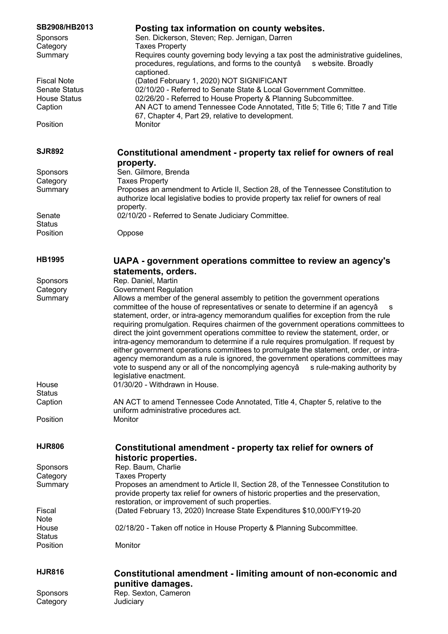| SB2908/HB2013<br><b>Sponsors</b><br>Category<br>Summary                      | Posting tax information on county websites.<br>Sen. Dickerson, Steven; Rep. Jernigan, Darren<br><b>Taxes Property</b><br>Requires county governing body levying a tax post the administrative guidelines,<br>procedures, regulations, and forms to the countyâ<br>s website. Broadly                                                                                                                                                                                                                                                                                                                                                                                                                                                                                                                                            |
|------------------------------------------------------------------------------|---------------------------------------------------------------------------------------------------------------------------------------------------------------------------------------------------------------------------------------------------------------------------------------------------------------------------------------------------------------------------------------------------------------------------------------------------------------------------------------------------------------------------------------------------------------------------------------------------------------------------------------------------------------------------------------------------------------------------------------------------------------------------------------------------------------------------------|
| <b>Fiscal Note</b><br><b>Senate Status</b><br><b>House Status</b><br>Caption | captioned.<br>(Dated February 1, 2020) NOT SIGNIFICANT<br>02/10/20 - Referred to Senate State & Local Government Committee.<br>02/26/20 - Referred to House Property & Planning Subcommittee.<br>AN ACT to amend Tennessee Code Annotated, Title 5; Title 6; Title 7 and Title<br>67, Chapter 4, Part 29, relative to development.                                                                                                                                                                                                                                                                                                                                                                                                                                                                                              |
| Position                                                                     | Monitor                                                                                                                                                                                                                                                                                                                                                                                                                                                                                                                                                                                                                                                                                                                                                                                                                         |
| <b>SJR892</b>                                                                | Constitutional amendment - property tax relief for owners of real<br>property.                                                                                                                                                                                                                                                                                                                                                                                                                                                                                                                                                                                                                                                                                                                                                  |
| <b>Sponsors</b>                                                              | Sen. Gilmore, Brenda                                                                                                                                                                                                                                                                                                                                                                                                                                                                                                                                                                                                                                                                                                                                                                                                            |
| Category                                                                     | <b>Taxes Property</b>                                                                                                                                                                                                                                                                                                                                                                                                                                                                                                                                                                                                                                                                                                                                                                                                           |
| Summary                                                                      | Proposes an amendment to Article II, Section 28, of the Tennessee Constitution to                                                                                                                                                                                                                                                                                                                                                                                                                                                                                                                                                                                                                                                                                                                                               |
|                                                                              | authorize local legislative bodies to provide property tax relief for owners of real<br>property.                                                                                                                                                                                                                                                                                                                                                                                                                                                                                                                                                                                                                                                                                                                               |
| Senate                                                                       | 02/10/20 - Referred to Senate Judiciary Committee.                                                                                                                                                                                                                                                                                                                                                                                                                                                                                                                                                                                                                                                                                                                                                                              |
| <b>Status</b>                                                                |                                                                                                                                                                                                                                                                                                                                                                                                                                                                                                                                                                                                                                                                                                                                                                                                                                 |
| Position                                                                     | Oppose                                                                                                                                                                                                                                                                                                                                                                                                                                                                                                                                                                                                                                                                                                                                                                                                                          |
| <b>HB1995</b>                                                                | UAPA - government operations committee to review an agency's                                                                                                                                                                                                                                                                                                                                                                                                                                                                                                                                                                                                                                                                                                                                                                    |
|                                                                              | statements, orders.                                                                                                                                                                                                                                                                                                                                                                                                                                                                                                                                                                                                                                                                                                                                                                                                             |
| <b>Sponsors</b>                                                              | Rep. Daniel, Martin                                                                                                                                                                                                                                                                                                                                                                                                                                                                                                                                                                                                                                                                                                                                                                                                             |
| Category                                                                     | <b>Government Regulation</b>                                                                                                                                                                                                                                                                                                                                                                                                                                                                                                                                                                                                                                                                                                                                                                                                    |
| Summary                                                                      | Allows a member of the general assembly to petition the government operations<br>committee of the house of representatives or senate to determine if an agencyâ<br>s<br>statement, order, or intra-agency memorandum qualifies for exception from the rule<br>requiring promulgation. Requires chairmen of the government operations committees to<br>direct the joint government operations committee to review the statement, order, or<br>intra-agency memorandum to determine if a rule requires promulgation. If request by<br>either government operations committees to promulgate the statement, order, or intra-<br>agency memorandum as a rule is ignored, the government operations committees may<br>vote to suspend any or all of the noncomplying agencyâ<br>s rule-making authority by<br>legislative enactment. |
| House                                                                        | 01/30/20 - Withdrawn in House.                                                                                                                                                                                                                                                                                                                                                                                                                                                                                                                                                                                                                                                                                                                                                                                                  |
| <b>Status</b>                                                                |                                                                                                                                                                                                                                                                                                                                                                                                                                                                                                                                                                                                                                                                                                                                                                                                                                 |
|                                                                              |                                                                                                                                                                                                                                                                                                                                                                                                                                                                                                                                                                                                                                                                                                                                                                                                                                 |
| Caption                                                                      | AN ACT to amend Tennessee Code Annotated, Title 4, Chapter 5, relative to the                                                                                                                                                                                                                                                                                                                                                                                                                                                                                                                                                                                                                                                                                                                                                   |
| Position                                                                     | uniform administrative procedures act.<br>Monitor                                                                                                                                                                                                                                                                                                                                                                                                                                                                                                                                                                                                                                                                                                                                                                               |
| <b>HJR806</b>                                                                | Constitutional amendment - property tax relief for owners of<br>historic properties.                                                                                                                                                                                                                                                                                                                                                                                                                                                                                                                                                                                                                                                                                                                                            |
| <b>Sponsors</b>                                                              | Rep. Baum, Charlie                                                                                                                                                                                                                                                                                                                                                                                                                                                                                                                                                                                                                                                                                                                                                                                                              |
| Category                                                                     | <b>Taxes Property</b>                                                                                                                                                                                                                                                                                                                                                                                                                                                                                                                                                                                                                                                                                                                                                                                                           |
| Summary                                                                      |                                                                                                                                                                                                                                                                                                                                                                                                                                                                                                                                                                                                                                                                                                                                                                                                                                 |
|                                                                              | Proposes an amendment to Article II, Section 28, of the Tennessee Constitution to<br>provide property tax relief for owners of historic properties and the preservation,<br>restoration, or improvement of such properties.                                                                                                                                                                                                                                                                                                                                                                                                                                                                                                                                                                                                     |
| Fiscal                                                                       | (Dated February 13, 2020) Increase State Expenditures \$10,000/FY19-20                                                                                                                                                                                                                                                                                                                                                                                                                                                                                                                                                                                                                                                                                                                                                          |
| <b>Note</b>                                                                  |                                                                                                                                                                                                                                                                                                                                                                                                                                                                                                                                                                                                                                                                                                                                                                                                                                 |
| House                                                                        | 02/18/20 - Taken off notice in House Property & Planning Subcommittee.                                                                                                                                                                                                                                                                                                                                                                                                                                                                                                                                                                                                                                                                                                                                                          |
| <b>Status</b>                                                                |                                                                                                                                                                                                                                                                                                                                                                                                                                                                                                                                                                                                                                                                                                                                                                                                                                 |
| Position                                                                     | Monitor                                                                                                                                                                                                                                                                                                                                                                                                                                                                                                                                                                                                                                                                                                                                                                                                                         |
| <b>HJR816</b>                                                                | Constitutional amendment - limiting amount of non-economic and                                                                                                                                                                                                                                                                                                                                                                                                                                                                                                                                                                                                                                                                                                                                                                  |
|                                                                              | punitive damages.                                                                                                                                                                                                                                                                                                                                                                                                                                                                                                                                                                                                                                                                                                                                                                                                               |
| <b>Sponsors</b>                                                              | Rep. Sexton, Cameron                                                                                                                                                                                                                                                                                                                                                                                                                                                                                                                                                                                                                                                                                                                                                                                                            |
| Category                                                                     | Judiciary                                                                                                                                                                                                                                                                                                                                                                                                                                                                                                                                                                                                                                                                                                                                                                                                                       |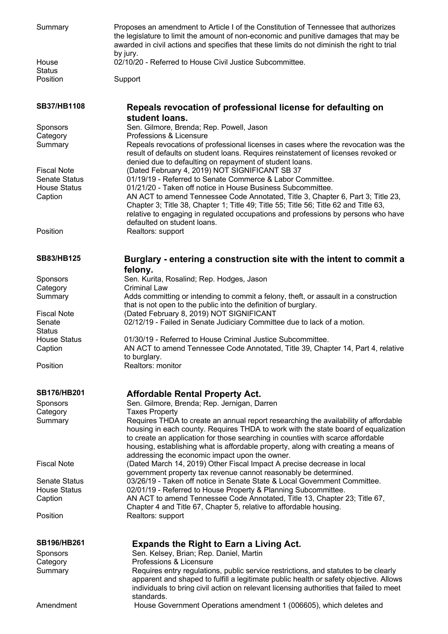| Summary                        | Proposes an amendment to Article I of the Constitution of Tennessee that authorizes<br>the legislature to limit the amount of non-economic and punitive damages that may be<br>awarded in civil actions and specifies that these limits do not diminish the right to trial<br>by jury.                       |
|--------------------------------|--------------------------------------------------------------------------------------------------------------------------------------------------------------------------------------------------------------------------------------------------------------------------------------------------------------|
| House<br><b>Status</b>         | 02/10/20 - Referred to House Civil Justice Subcommittee.                                                                                                                                                                                                                                                     |
| Position                       | Support                                                                                                                                                                                                                                                                                                      |
|                                |                                                                                                                                                                                                                                                                                                              |
| <b>SB37/HB1108</b>             | Repeals revocation of professional license for defaulting on<br>student loans.                                                                                                                                                                                                                               |
| Sponsors                       | Sen. Gilmore, Brenda; Rep. Powell, Jason                                                                                                                                                                                                                                                                     |
| Category<br>Summary            | Professions & Licensure<br>Repeals revocations of professional licenses in cases where the revocation was the                                                                                                                                                                                                |
|                                | result of defaults on student loans. Requires reinstatement of licenses revoked or<br>denied due to defaulting on repayment of student loans.                                                                                                                                                                |
| <b>Fiscal Note</b>             | (Dated February 4, 2019) NOT SIGNIFICANT SB 37                                                                                                                                                                                                                                                               |
| <b>Senate Status</b>           | 01/19/19 - Referred to Senate Commerce & Labor Committee.                                                                                                                                                                                                                                                    |
| <b>House Status</b><br>Caption | 01/21/20 - Taken off notice in House Business Subcommittee.<br>AN ACT to amend Tennessee Code Annotated, Title 3, Chapter 6, Part 3; Title 23,                                                                                                                                                               |
|                                | Chapter 3; Title 38, Chapter 1; Title 49; Title 55; Title 56; Title 62 and Title 63,<br>relative to engaging in regulated occupations and professions by persons who have<br>defaulted on student loans.                                                                                                     |
| Position                       | Realtors: support                                                                                                                                                                                                                                                                                            |
| <b>SB83/HB125</b>              | Burglary - entering a construction site with the intent to commit a<br>felony.                                                                                                                                                                                                                               |
| Sponsors                       | Sen. Kurita, Rosalind; Rep. Hodges, Jason                                                                                                                                                                                                                                                                    |
| Category                       | <b>Criminal Law</b>                                                                                                                                                                                                                                                                                          |
| Summary                        | Adds committing or intending to commit a felony, theft, or assault in a construction<br>that is not open to the public into the definition of burglary.                                                                                                                                                      |
| <b>Fiscal Note</b>             | (Dated February 8, 2019) NOT SIGNIFICANT                                                                                                                                                                                                                                                                     |
| Senate<br><b>Status</b>        | 02/12/19 - Failed in Senate Judiciary Committee due to lack of a motion.                                                                                                                                                                                                                                     |
| <b>House Status</b>            | 01/30/19 - Referred to House Criminal Justice Subcommittee.                                                                                                                                                                                                                                                  |
| Caption                        | AN ACT to amend Tennessee Code Annotated, Title 39, Chapter 14, Part 4, relative                                                                                                                                                                                                                             |
| Position                       | to burglary.<br>Realtors: monitor                                                                                                                                                                                                                                                                            |
|                                |                                                                                                                                                                                                                                                                                                              |
| <b>SB176/HB201</b>             | <b>Affordable Rental Property Act.</b>                                                                                                                                                                                                                                                                       |
| <b>Sponsors</b>                | Sen. Gilmore, Brenda; Rep. Jernigan, Darren                                                                                                                                                                                                                                                                  |
| Category<br>Summary            | <b>Taxes Property</b><br>Requires THDA to create an annual report researching the availability of affordable                                                                                                                                                                                                 |
|                                | housing in each county. Requires THDA to work with the state board of equalization<br>to create an application for those searching in counties with scarce affordable<br>housing, establishing what is affordable property, along with creating a means of<br>addressing the economic impact upon the owner. |
| <b>Fiscal Note</b>             | (Dated March 14, 2019) Other Fiscal Impact A precise decrease in local<br>government property tax revenue cannot reasonably be determined.                                                                                                                                                                   |
| <b>Senate Status</b>           | 03/26/19 - Taken off notice in Senate State & Local Government Committee.                                                                                                                                                                                                                                    |
| <b>House Status</b>            | 02/01/19 - Referred to House Property & Planning Subcommittee.                                                                                                                                                                                                                                               |
| Caption                        | AN ACT to amend Tennessee Code Annotated, Title 13, Chapter 23; Title 67,<br>Chapter 4 and Title 67, Chapter 5, relative to affordable housing.                                                                                                                                                              |
| Position                       | Realtors: support                                                                                                                                                                                                                                                                                            |
| <b>SB196/HB261</b>             | <b>Expands the Right to Earn a Living Act.</b>                                                                                                                                                                                                                                                               |
| <b>Sponsors</b>                | Sen. Kelsey, Brian; Rep. Daniel, Martin                                                                                                                                                                                                                                                                      |
| Category                       | Professions & Licensure                                                                                                                                                                                                                                                                                      |
| Summary                        | Requires entry regulations, public service restrictions, and statutes to be clearly<br>apparent and shaped to fulfill a legitimate public health or safety objective. Allows<br>individuals to bring civil action on relevant licensing authorities that failed to meet                                      |
|                                | standards.                                                                                                                                                                                                                                                                                                   |
| Amendment                      | House Government Operations amendment 1 (006605), which deletes and                                                                                                                                                                                                                                          |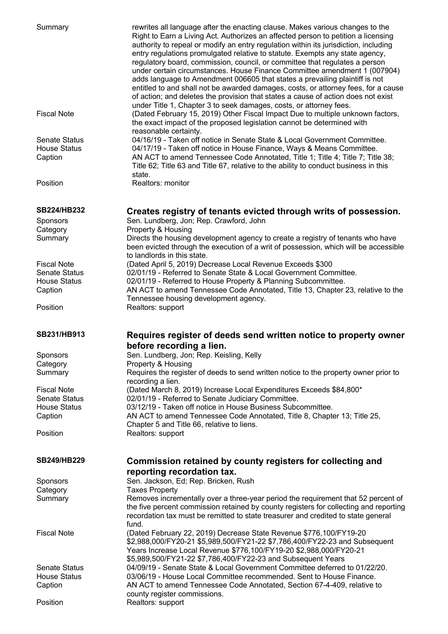| Summary                        | rewrites all language after the enacting clause. Makes various changes to the<br>Right to Earn a Living Act. Authorizes an affected person to petition a licensing<br>authority to repeal or modify an entry regulation within its jurisdiction, including<br>entry regulations promulgated relative to statute. Exempts any state agency,<br>regulatory board, commission, council, or committee that regulates a person<br>under certain circumstances. House Finance Committee amendment 1 (007904)<br>adds language to Amendment 006605 that states a prevailing plaintiff is not<br>entitled to and shall not be awarded damages, costs, or attorney fees, for a cause<br>of action; and deletes the provision that states a cause of action does not exist<br>under Title 1, Chapter 3 to seek damages, costs, or attorney fees. |
|--------------------------------|----------------------------------------------------------------------------------------------------------------------------------------------------------------------------------------------------------------------------------------------------------------------------------------------------------------------------------------------------------------------------------------------------------------------------------------------------------------------------------------------------------------------------------------------------------------------------------------------------------------------------------------------------------------------------------------------------------------------------------------------------------------------------------------------------------------------------------------|
| <b>Fiscal Note</b>             | (Dated February 15, 2019) Other Fiscal Impact Due to multiple unknown factors,<br>the exact impact of the proposed legislation cannot be determined with<br>reasonable certainty.                                                                                                                                                                                                                                                                                                                                                                                                                                                                                                                                                                                                                                                      |
| <b>Senate Status</b>           | 04/16/19 - Taken off notice in Senate State & Local Government Committee.                                                                                                                                                                                                                                                                                                                                                                                                                                                                                                                                                                                                                                                                                                                                                              |
| <b>House Status</b>            | 04/17/19 - Taken off notice in House Finance, Ways & Means Committee.                                                                                                                                                                                                                                                                                                                                                                                                                                                                                                                                                                                                                                                                                                                                                                  |
| Caption                        | AN ACT to amend Tennessee Code Annotated, Title 1; Title 4; Title 7; Title 38;<br>Title 62; Title 63 and Title 67, relative to the ability to conduct business in this<br>state.                                                                                                                                                                                                                                                                                                                                                                                                                                                                                                                                                                                                                                                       |
| Position                       | Realtors: monitor                                                                                                                                                                                                                                                                                                                                                                                                                                                                                                                                                                                                                                                                                                                                                                                                                      |
| <b>SB224/HB232</b>             | Creates registry of tenants evicted through writs of possession.                                                                                                                                                                                                                                                                                                                                                                                                                                                                                                                                                                                                                                                                                                                                                                       |
| Sponsors<br>Category           | Sen. Lundberg, Jon; Rep. Crawford, John<br>Property & Housing                                                                                                                                                                                                                                                                                                                                                                                                                                                                                                                                                                                                                                                                                                                                                                          |
| Summary                        | Directs the housing development agency to create a registry of tenants who have                                                                                                                                                                                                                                                                                                                                                                                                                                                                                                                                                                                                                                                                                                                                                        |
|                                | been evicted through the execution of a writ of possession, which will be accessible<br>to landlords in this state.                                                                                                                                                                                                                                                                                                                                                                                                                                                                                                                                                                                                                                                                                                                    |
| <b>Fiscal Note</b>             | (Dated April 5, 2019) Decrease Local Revenue Exceeds \$300                                                                                                                                                                                                                                                                                                                                                                                                                                                                                                                                                                                                                                                                                                                                                                             |
| <b>Senate Status</b>           | 02/01/19 - Referred to Senate State & Local Government Committee.                                                                                                                                                                                                                                                                                                                                                                                                                                                                                                                                                                                                                                                                                                                                                                      |
| <b>House Status</b><br>Caption | 02/01/19 - Referred to House Property & Planning Subcommittee.<br>AN ACT to amend Tennessee Code Annotated, Title 13, Chapter 23, relative to the<br>Tennessee housing development agency.                                                                                                                                                                                                                                                                                                                                                                                                                                                                                                                                                                                                                                             |
| Position                       | Realtors: support                                                                                                                                                                                                                                                                                                                                                                                                                                                                                                                                                                                                                                                                                                                                                                                                                      |
| SB231/HB913                    | Requires register of deeds send written notice to property owner                                                                                                                                                                                                                                                                                                                                                                                                                                                                                                                                                                                                                                                                                                                                                                       |
|                                |                                                                                                                                                                                                                                                                                                                                                                                                                                                                                                                                                                                                                                                                                                                                                                                                                                        |
| <b>Sponsors</b>                | before recording a lien.<br>Sen. Lundberg, Jon; Rep. Keisling, Kelly                                                                                                                                                                                                                                                                                                                                                                                                                                                                                                                                                                                                                                                                                                                                                                   |
| Category                       | Property & Housing                                                                                                                                                                                                                                                                                                                                                                                                                                                                                                                                                                                                                                                                                                                                                                                                                     |
| Summary                        | Requires the register of deeds to send written notice to the property owner prior to<br>recording a lien.                                                                                                                                                                                                                                                                                                                                                                                                                                                                                                                                                                                                                                                                                                                              |
| <b>Fiscal Note</b>             | (Dated March 8, 2019) Increase Local Expenditures Exceeds \$84,800*                                                                                                                                                                                                                                                                                                                                                                                                                                                                                                                                                                                                                                                                                                                                                                    |
| <b>Senate Status</b>           | 02/01/19 - Referred to Senate Judiciary Committee.                                                                                                                                                                                                                                                                                                                                                                                                                                                                                                                                                                                                                                                                                                                                                                                     |
| <b>House Status</b>            | 03/12/19 - Taken off notice in House Business Subcommittee.                                                                                                                                                                                                                                                                                                                                                                                                                                                                                                                                                                                                                                                                                                                                                                            |
| Caption                        | AN ACT to amend Tennessee Code Annotated, Title 8, Chapter 13; Title 25,<br>Chapter 5 and Title 66, relative to liens.                                                                                                                                                                                                                                                                                                                                                                                                                                                                                                                                                                                                                                                                                                                 |
| Position                       | Realtors: support                                                                                                                                                                                                                                                                                                                                                                                                                                                                                                                                                                                                                                                                                                                                                                                                                      |
| <b>SB249/HB229</b>             | Commission retained by county registers for collecting and                                                                                                                                                                                                                                                                                                                                                                                                                                                                                                                                                                                                                                                                                                                                                                             |
|                                | reporting recordation tax.                                                                                                                                                                                                                                                                                                                                                                                                                                                                                                                                                                                                                                                                                                                                                                                                             |
| Sponsors<br>Category           | Sen. Jackson, Ed; Rep. Bricken, Rush<br><b>Taxes Property</b>                                                                                                                                                                                                                                                                                                                                                                                                                                                                                                                                                                                                                                                                                                                                                                          |
| Summary                        | Removes incrementally over a three-year period the requirement that 52 percent of<br>the five percent commission retained by county registers for collecting and reporting                                                                                                                                                                                                                                                                                                                                                                                                                                                                                                                                                                                                                                                             |
|                                | recordation tax must be remitted to state treasurer and credited to state general<br>fund.                                                                                                                                                                                                                                                                                                                                                                                                                                                                                                                                                                                                                                                                                                                                             |
| <b>Fiscal Note</b>             | (Dated February 22, 2019) Decrease State Revenue \$776,100/FY19-20<br>\$2,988,000/FY20-21 \$5,989,500/FY21-22 \$7,786,400/FY22-23 and Subsequent<br>Years Increase Local Revenue \$776,100/FY19-20 \$2,988,000/FY20-21                                                                                                                                                                                                                                                                                                                                                                                                                                                                                                                                                                                                                 |
|                                | \$5,989,500/FY21-22 \$7,786,400/FY22-23 and Subsequent Years                                                                                                                                                                                                                                                                                                                                                                                                                                                                                                                                                                                                                                                                                                                                                                           |
| <b>Senate Status</b>           | 04/09/19 - Senate State & Local Government Committee deferred to 01/22/20.                                                                                                                                                                                                                                                                                                                                                                                                                                                                                                                                                                                                                                                                                                                                                             |
| <b>House Status</b><br>Caption | 03/06/19 - House Local Committee recommended. Sent to House Finance.<br>AN ACT to amend Tennessee Code Annotated, Section 67-4-409, relative to<br>county register commissions.                                                                                                                                                                                                                                                                                                                                                                                                                                                                                                                                                                                                                                                        |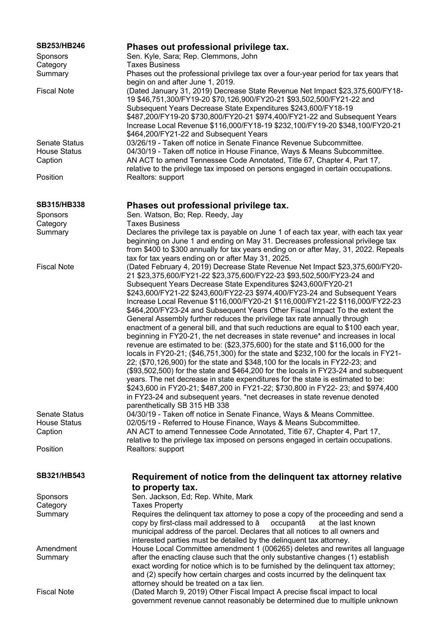| SB253/HB246                                 | Phases out professional privilege tax.                                                                                                                                 |
|---------------------------------------------|------------------------------------------------------------------------------------------------------------------------------------------------------------------------|
| <b>Sponsors</b>                             | Sen. Kyle, Sara; Rep. Clemmons, John                                                                                                                                   |
| Category                                    | <b>Taxes Business</b>                                                                                                                                                  |
| Summary                                     | Phases out the professional privilege tax over a four-year period for tax years that                                                                                   |
|                                             | begin on and after June 1, 2019.                                                                                                                                       |
| <b>Fiscal Note</b>                          | (Dated January 31, 2019) Decrease State Revenue Net Impact \$23,375,600/FY18-                                                                                          |
|                                             | 19 \$46,751,300/FY19-20 \$70,126,900/FY20-21 \$93,502,500/FY21-22 and                                                                                                  |
|                                             | Subsequent Years Decrease State Expenditures \$243,600/FY18-19                                                                                                         |
|                                             | \$487,200/FY19-20 \$730,800/FY20-21 \$974,400/FY21-22 and Subsequent Years                                                                                             |
|                                             | Increase Local Revenue \$116,000/FY18-19 \$232,100/FY19-20 \$348,100/FY20-21                                                                                           |
|                                             | \$464,200/FY21-22 and Subsequent Years                                                                                                                                 |
| <b>Senate Status</b><br><b>House Status</b> | 03/26/19 - Taken off notice in Senate Finance Revenue Subcommittee.<br>04/30/19 - Taken off notice in House Finance, Ways & Means Subcommittee.                        |
| Caption                                     | AN ACT to amend Tennessee Code Annotated, Title 67, Chapter 4, Part 17,                                                                                                |
|                                             | relative to the privilege tax imposed on persons engaged in certain occupations.                                                                                       |
| Position                                    | Realtors: support                                                                                                                                                      |
|                                             |                                                                                                                                                                        |
|                                             |                                                                                                                                                                        |
| <b>SB315/HB338</b>                          | Phases out professional privilege tax.                                                                                                                                 |
| Sponsors                                    | Sen. Watson, Bo; Rep. Reedy, Jay                                                                                                                                       |
| Category                                    | <b>Taxes Business</b>                                                                                                                                                  |
| Summary                                     | Declares the privilege tax is payable on June 1 of each tax year, with each tax year                                                                                   |
|                                             | beginning on June 1 and ending on May 31. Decreases professional privilege tax                                                                                         |
|                                             | from \$400 to \$300 annually for tax years ending on or after May, 31, 2022. Repeals<br>tax for tax years ending on or after May 31, 2025.                             |
| <b>Fiscal Note</b>                          | (Dated February 4, 2019) Decrease State Revenue Net Impact \$23,375,600/FY20-                                                                                          |
|                                             | 21 \$23,375,600/FY21-22 \$23,375,600/FY22-23 \$93,502,500/FY23-24 and                                                                                                  |
|                                             | Subsequent Years Decrease State Expenditures \$243,600/FY20-21                                                                                                         |
|                                             | \$243,600/FY21-22 \$243,600/FY22-23 \$974,400/FY23-24 and Subsequent Years                                                                                             |
|                                             | Increase Local Revenue \$116,000/FY20-21 \$116,000/FY21-22 \$116,000/FY22-23                                                                                           |
|                                             | \$464,200/FY23-24 and Subsequent Years Other Fiscal Impact To the extent the                                                                                           |
|                                             | General Assembly further reduces the privilege tax rate annually through                                                                                               |
|                                             | enactment of a general bill, and that such reductions are equal to \$100 each year,                                                                                    |
|                                             | beginning in FY20-21, the net decreases in state revenue* and increases in local                                                                                       |
|                                             | revenue are estimated to be: (\$23,375,600) for the state and \$116,000 for the                                                                                        |
|                                             | locals in FY20-21; (\$46,751,300) for the state and \$232,100 for the locals in FY21-<br>22; (\$70,126,900) for the state and \$348,100 for the locals in FY22-23; and |
|                                             | (\$93,502,500) for the state and \$464,200 for the locals in FY23-24 and subsequent                                                                                    |
|                                             | years. The net decrease in state expenditures for the state is estimated to be:                                                                                        |
|                                             | \$243,600 in FY20-21; \$487,200 in FY21-22; \$730,800 in FY22- 23; and \$974,400                                                                                       |
|                                             | in FY23-24 and subsequent years. *net decreases in state revenue denoted                                                                                               |
|                                             | parenthetically SB 315 HB 338                                                                                                                                          |
| <b>Senate Status</b>                        | 04/30/19 - Taken off notice in Senate Finance, Ways & Means Committee.                                                                                                 |
| <b>House Status</b>                         | 02/05/19 - Referred to House Finance, Ways & Means Subcommittee.                                                                                                       |
| Caption                                     | AN ACT to amend Tennessee Code Annotated, Title 67, Chapter 4, Part 17,                                                                                                |
|                                             | relative to the privilege tax imposed on persons engaged in certain occupations.                                                                                       |
| Position                                    | Realtors: support                                                                                                                                                      |
|                                             |                                                                                                                                                                        |
| SB321/HB543                                 | Requirement of notice from the delinquent tax attorney relative                                                                                                        |
|                                             | to property tax.                                                                                                                                                       |
| <b>Sponsors</b>                             | Sen. Jackson, Ed; Rep. White, Mark                                                                                                                                     |
| Category                                    | <b>Taxes Property</b>                                                                                                                                                  |
| Summary                                     | Requires the delinquent tax attorney to pose a copy of the proceeding and send a                                                                                       |
|                                             | copy by first-class mail addressed to â<br>occupantâ<br>at the last known                                                                                              |
|                                             | municipal address of the parcel. Declares that all notices to all owners and                                                                                           |
|                                             | interested parties must be detailed by the delinquent tax attorney.                                                                                                    |
| Amendment<br>Summary                        | House Local Committee amendment 1 (006265) deletes and rewrites all language<br>after the enacting clause such that the only substantive changes (1) establish         |
|                                             | exact wording for notice which is to be furnished by the delinquent tax attorney;                                                                                      |
|                                             | and (2) specify how certain charges and costs incurred by the delinquent tax                                                                                           |
|                                             | attorney should be treated on a tax lien.                                                                                                                              |
| <b>Fiscal Note</b>                          | (Dated March 9, 2019) Other Fiscal Impact A precise fiscal impact to local                                                                                             |
|                                             | government revenue cannot reasonably be determined due to multiple unknown                                                                                             |
|                                             |                                                                                                                                                                        |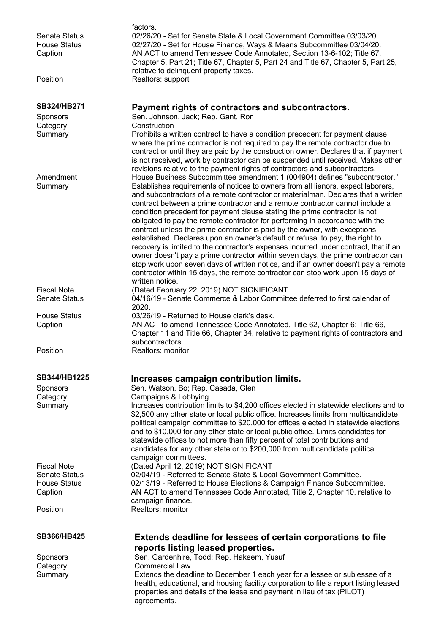| <b>Senate Status</b>                       | factors.<br>02/26/20 - Set for Senate State & Local Government Committee 03/03/20.                                                                                                                                                                                                                                                                                                                                                                                                                                                                                                                                                                                                                                                                                                                                                                                                                                                                                                                                 |
|--------------------------------------------|--------------------------------------------------------------------------------------------------------------------------------------------------------------------------------------------------------------------------------------------------------------------------------------------------------------------------------------------------------------------------------------------------------------------------------------------------------------------------------------------------------------------------------------------------------------------------------------------------------------------------------------------------------------------------------------------------------------------------------------------------------------------------------------------------------------------------------------------------------------------------------------------------------------------------------------------------------------------------------------------------------------------|
| <b>House Status</b><br>Caption             | 02/27/20 - Set for House Finance, Ways & Means Subcommittee 03/04/20.<br>AN ACT to amend Tennessee Code Annotated, Section 13-6-102; Title 67,<br>Chapter 5, Part 21; Title 67, Chapter 5, Part 24 and Title 67, Chapter 5, Part 25,                                                                                                                                                                                                                                                                                                                                                                                                                                                                                                                                                                                                                                                                                                                                                                               |
| Position                                   | relative to delinquent property taxes.<br>Realtors: support                                                                                                                                                                                                                                                                                                                                                                                                                                                                                                                                                                                                                                                                                                                                                                                                                                                                                                                                                        |
|                                            |                                                                                                                                                                                                                                                                                                                                                                                                                                                                                                                                                                                                                                                                                                                                                                                                                                                                                                                                                                                                                    |
| SB324/HB271                                | Payment rights of contractors and subcontractors.                                                                                                                                                                                                                                                                                                                                                                                                                                                                                                                                                                                                                                                                                                                                                                                                                                                                                                                                                                  |
| <b>Sponsors</b><br>Category                | Sen. Johnson, Jack; Rep. Gant, Ron<br>Construction                                                                                                                                                                                                                                                                                                                                                                                                                                                                                                                                                                                                                                                                                                                                                                                                                                                                                                                                                                 |
| Summary                                    | Prohibits a written contract to have a condition precedent for payment clause                                                                                                                                                                                                                                                                                                                                                                                                                                                                                                                                                                                                                                                                                                                                                                                                                                                                                                                                      |
|                                            | where the prime contractor is not required to pay the remote contractor due to<br>contract or until they are paid by the construction owner. Declares that if payment<br>is not received, work by contractor can be suspended until received. Makes other<br>revisions relative to the payment rights of contractors and subcontractors.                                                                                                                                                                                                                                                                                                                                                                                                                                                                                                                                                                                                                                                                           |
| Amendment<br>Summary                       | House Business Subcommittee amendment 1 (004904) defines "subcontractor."<br>Establishes requirements of notices to owners from all lienors, expect laborers,<br>and subcontractors of a remote contractor or materialman. Declares that a written<br>contract between a prime contractor and a remote contractor cannot include a<br>condition precedent for payment clause stating the prime contractor is not<br>obligated to pay the remote contractor for performing in accordance with the<br>contract unless the prime contractor is paid by the owner, with exceptions<br>established. Declares upon an owner's default or refusal to pay, the right to<br>recovery is limited to the contractor's expenses incurred under contract, that if an<br>owner doesn't pay a prime contractor within seven days, the prime contractor can<br>stop work upon seven days of written notice, and if an owner doesn't pay a remote<br>contractor within 15 days, the remote contractor can stop work upon 15 days of |
|                                            | written notice.                                                                                                                                                                                                                                                                                                                                                                                                                                                                                                                                                                                                                                                                                                                                                                                                                                                                                                                                                                                                    |
| <b>Fiscal Note</b><br><b>Senate Status</b> | (Dated February 22, 2019) NOT SIGNIFICANT<br>04/16/19 - Senate Commerce & Labor Committee deferred to first calendar of<br>2020.                                                                                                                                                                                                                                                                                                                                                                                                                                                                                                                                                                                                                                                                                                                                                                                                                                                                                   |
| <b>House Status</b>                        | 03/26/19 - Returned to House clerk's desk.                                                                                                                                                                                                                                                                                                                                                                                                                                                                                                                                                                                                                                                                                                                                                                                                                                                                                                                                                                         |
| Caption                                    | AN ACT to amend Tennessee Code Annotated, Title 62, Chapter 6; Title 66,<br>Chapter 11 and Title 66, Chapter 34, relative to payment rights of contractors and<br>subcontractors.                                                                                                                                                                                                                                                                                                                                                                                                                                                                                                                                                                                                                                                                                                                                                                                                                                  |
| Position                                   | Realtors: monitor                                                                                                                                                                                                                                                                                                                                                                                                                                                                                                                                                                                                                                                                                                                                                                                                                                                                                                                                                                                                  |
| <b>SB344/HB1225</b>                        | Increases campaign contribution limits.                                                                                                                                                                                                                                                                                                                                                                                                                                                                                                                                                                                                                                                                                                                                                                                                                                                                                                                                                                            |
| Sponsors                                   | Sen. Watson, Bo; Rep. Casada, Glen                                                                                                                                                                                                                                                                                                                                                                                                                                                                                                                                                                                                                                                                                                                                                                                                                                                                                                                                                                                 |
| Category                                   | Campaigns & Lobbying                                                                                                                                                                                                                                                                                                                                                                                                                                                                                                                                                                                                                                                                                                                                                                                                                                                                                                                                                                                               |
| Summary                                    | Increases contribution limits to \$4,200 offices elected in statewide elections and to<br>\$2,500 any other state or local public office. Increases limits from multicandidate<br>political campaign committee to \$20,000 for offices elected in statewide elections<br>and to \$10,000 for any other state or local public office. Limits candidates for<br>statewide offices to not more than fifty percent of total contributions and<br>candidates for any other state or to \$200,000 from multicandidate political<br>campaign committees.                                                                                                                                                                                                                                                                                                                                                                                                                                                                  |
| <b>Fiscal Note</b>                         | (Dated April 12, 2019) NOT SIGNIFICANT                                                                                                                                                                                                                                                                                                                                                                                                                                                                                                                                                                                                                                                                                                                                                                                                                                                                                                                                                                             |
| <b>Senate Status</b>                       | 02/04/19 - Referred to Senate State & Local Government Committee.                                                                                                                                                                                                                                                                                                                                                                                                                                                                                                                                                                                                                                                                                                                                                                                                                                                                                                                                                  |
| <b>House Status</b><br>Caption             | 02/13/19 - Referred to House Elections & Campaign Finance Subcommittee.<br>AN ACT to amend Tennessee Code Annotated, Title 2, Chapter 10, relative to                                                                                                                                                                                                                                                                                                                                                                                                                                                                                                                                                                                                                                                                                                                                                                                                                                                              |
|                                            | campaign finance.                                                                                                                                                                                                                                                                                                                                                                                                                                                                                                                                                                                                                                                                                                                                                                                                                                                                                                                                                                                                  |
| Position                                   | <b>Realtors: monitor</b>                                                                                                                                                                                                                                                                                                                                                                                                                                                                                                                                                                                                                                                                                                                                                                                                                                                                                                                                                                                           |
| <b>SB366/HB425</b>                         | Extends deadline for lessees of certain corporations to file<br>reports listing leased properties.                                                                                                                                                                                                                                                                                                                                                                                                                                                                                                                                                                                                                                                                                                                                                                                                                                                                                                                 |
| Sponsors                                   | Sen. Gardenhire, Todd; Rep. Hakeem, Yusuf                                                                                                                                                                                                                                                                                                                                                                                                                                                                                                                                                                                                                                                                                                                                                                                                                                                                                                                                                                          |
| Category                                   | <b>Commercial Law</b>                                                                                                                                                                                                                                                                                                                                                                                                                                                                                                                                                                                                                                                                                                                                                                                                                                                                                                                                                                                              |
| Summary                                    | Extends the deadline to December 1 each year for a lessee or sublessee of a<br>health, educational, and housing facility corporation to file a report listing leased<br>properties and details of the lease and payment in lieu of tax (PILOT)<br>agreements.                                                                                                                                                                                                                                                                                                                                                                                                                                                                                                                                                                                                                                                                                                                                                      |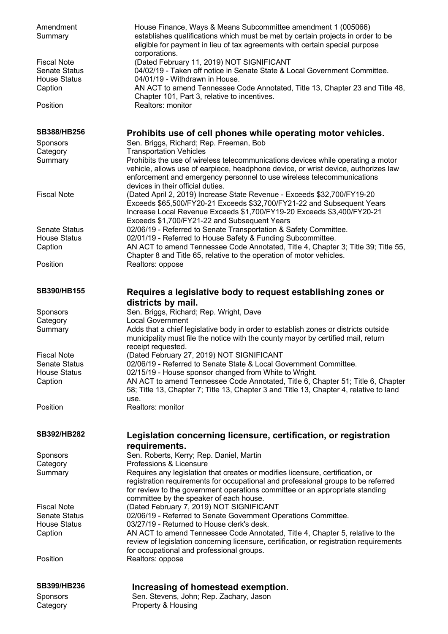| Amendment<br>Summary                       | House Finance, Ways & Means Subcommittee amendment 1 (005066)<br>establishes qualifications which must be met by certain projects in order to be<br>eligible for payment in lieu of tax agreements with certain special purpose<br>corporations.                                      |
|--------------------------------------------|---------------------------------------------------------------------------------------------------------------------------------------------------------------------------------------------------------------------------------------------------------------------------------------|
| <b>Fiscal Note</b><br><b>Senate Status</b> | (Dated February 11, 2019) NOT SIGNIFICANT<br>04/02/19 - Taken off notice in Senate State & Local Government Committee.                                                                                                                                                                |
| <b>House Status</b><br>Caption             | 04/01/19 - Withdrawn in House.<br>AN ACT to amend Tennessee Code Annotated, Title 13, Chapter 23 and Title 48,<br>Chapter 101, Part 3, relative to incentives.                                                                                                                        |
| Position                                   | Realtors: monitor                                                                                                                                                                                                                                                                     |
| <b>SB388/HB256</b>                         | Prohibits use of cell phones while operating motor vehicles.                                                                                                                                                                                                                          |
| Sponsors<br>Category                       | Sen. Briggs, Richard; Rep. Freeman, Bob<br><b>Transportation Vehicles</b>                                                                                                                                                                                                             |
| Summary                                    | Prohibits the use of wireless telecommunications devices while operating a motor<br>vehicle, allows use of earpiece, headphone device, or wrist device, authorizes law<br>enforcement and emergency personnel to use wireless telecommunications<br>devices in their official duties. |
| <b>Fiscal Note</b>                         | (Dated April 2, 2019) Increase State Revenue - Exceeds \$32,700/FY19-20<br>Exceeds \$65,500/FY20-21 Exceeds \$32,700/FY21-22 and Subsequent Years<br>Increase Local Revenue Exceeds \$1,700/FY19-20 Exceeds \$3,400/FY20-21                                                           |
| <b>Senate Status</b>                       | Exceeds \$1,700/FY21-22 and Subsequent Years<br>02/06/19 - Referred to Senate Transportation & Safety Committee.                                                                                                                                                                      |
| <b>House Status</b>                        | 02/01/19 - Referred to House Safety & Funding Subcommittee.                                                                                                                                                                                                                           |
| Caption                                    | AN ACT to amend Tennessee Code Annotated, Title 4, Chapter 3; Title 39; Title 55,                                                                                                                                                                                                     |
| Position                                   | Chapter 8 and Title 65, relative to the operation of motor vehicles.<br>Realtors: oppose                                                                                                                                                                                              |
| SB390/HB155                                | Requires a legislative body to request establishing zones or                                                                                                                                                                                                                          |
|                                            | districts by mail.                                                                                                                                                                                                                                                                    |
| Sponsors<br>Category                       | Sen. Briggs, Richard; Rep. Wright, Dave<br><b>Local Government</b>                                                                                                                                                                                                                    |
| Summary                                    | Adds that a chief legislative body in order to establish zones or districts outside<br>municipality must file the notice with the county mayor by certified mail, return<br>receipt requested.                                                                                        |
| <b>Fiscal Note</b>                         | (Dated February 27, 2019) NOT SIGNIFICANT                                                                                                                                                                                                                                             |
| <b>Senate Status</b>                       | 02/06/19 - Referred to Senate State & Local Government Committee.                                                                                                                                                                                                                     |
| <b>House Status</b><br>Caption             | 02/15/19 - House sponsor changed from White to Wright.<br>AN ACT to amend Tennessee Code Annotated, Title 6, Chapter 51; Title 6, Chapter                                                                                                                                             |
|                                            | 58; Title 13, Chapter 7; Title 13, Chapter 3 and Title 13, Chapter 4, relative to land<br>use.                                                                                                                                                                                        |
| Position                                   | Realtors: monitor                                                                                                                                                                                                                                                                     |
| SB392/HB282                                | Legislation concerning licensure, certification, or registration<br>requirements.                                                                                                                                                                                                     |
| Sponsors                                   | Sen. Roberts, Kerry; Rep. Daniel, Martin                                                                                                                                                                                                                                              |
| Category                                   | Professions & Licensure                                                                                                                                                                                                                                                               |
| Summary                                    | Requires any legislation that creates or modifies licensure, certification, or<br>registration requirements for occupational and professional groups to be referred<br>for review to the government operations committee or an appropriate standing                                   |
|                                            | committee by the speaker of each house.                                                                                                                                                                                                                                               |
| <b>Fiscal Note</b><br><b>Senate Status</b> | (Dated February 7, 2019) NOT SIGNIFICANT<br>02/06/19 - Referred to Senate Government Operations Committee.                                                                                                                                                                            |
| <b>House Status</b>                        | 03/27/19 - Returned to House clerk's desk.                                                                                                                                                                                                                                            |
| Caption                                    | AN ACT to amend Tennessee Code Annotated, Title 4, Chapter 5, relative to the                                                                                                                                                                                                         |
|                                            | review of legislation concerning licensure, certification, or registration requirements                                                                                                                                                                                               |
| Position                                   | for occupational and professional groups.<br>Realtors: oppose                                                                                                                                                                                                                         |
| <b>SB399/HB236</b>                         | Increasing of homestead exemption.                                                                                                                                                                                                                                                    |
| Sponsors                                   | Sen. Stevens, John; Rep. Zachary, Jason                                                                                                                                                                                                                                               |
| Category                                   | Property & Housing                                                                                                                                                                                                                                                                    |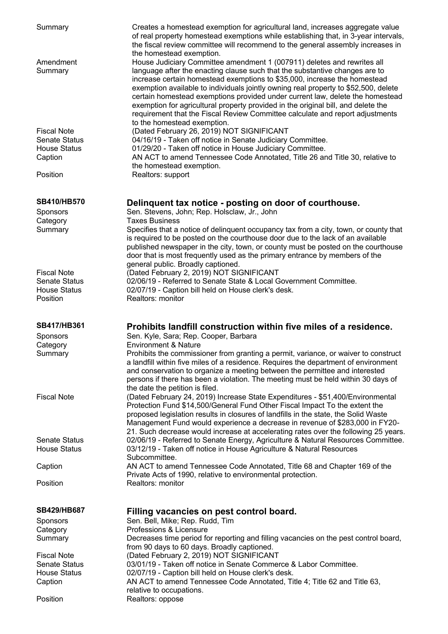| Summary                         | Creates a homestead exemption for agricultural land, increases aggregate value<br>of real property homestead exemptions while establishing that, in 3-year intervals,<br>the fiscal review committee will recommend to the general assembly increases in<br>the homestead exemption.                                                                                                                                                                                                                                                                                                                             |
|---------------------------------|------------------------------------------------------------------------------------------------------------------------------------------------------------------------------------------------------------------------------------------------------------------------------------------------------------------------------------------------------------------------------------------------------------------------------------------------------------------------------------------------------------------------------------------------------------------------------------------------------------------|
| Amendment<br>Summary            | House Judiciary Committee amendment 1 (007911) deletes and rewrites all<br>language after the enacting clause such that the substantive changes are to<br>increase certain homestead exemptions to \$35,000, increase the homestead<br>exemption available to individuals jointly owning real property to \$52,500, delete<br>certain homestead exemptions provided under current law, delete the homestead<br>exemption for agricultural property provided in the original bill, and delete the<br>requirement that the Fiscal Review Committee calculate and report adjustments<br>to the homestead exemption. |
| <b>Fiscal Note</b>              | (Dated February 26, 2019) NOT SIGNIFICANT                                                                                                                                                                                                                                                                                                                                                                                                                                                                                                                                                                        |
| <b>Senate Status</b>            | 04/16/19 - Taken off notice in Senate Judiciary Committee.                                                                                                                                                                                                                                                                                                                                                                                                                                                                                                                                                       |
| <b>House Status</b><br>Caption  | 01/29/20 - Taken off notice in House Judiciary Committee.<br>AN ACT to amend Tennessee Code Annotated, Title 26 and Title 30, relative to                                                                                                                                                                                                                                                                                                                                                                                                                                                                        |
|                                 | the homestead exemption.                                                                                                                                                                                                                                                                                                                                                                                                                                                                                                                                                                                         |
| Position                        | Realtors: support                                                                                                                                                                                                                                                                                                                                                                                                                                                                                                                                                                                                |
| <b>SB410/HB570</b>              | Delinquent tax notice - posting on door of courthouse.                                                                                                                                                                                                                                                                                                                                                                                                                                                                                                                                                           |
| Sponsors                        | Sen. Stevens, John; Rep. Holsclaw, Jr., John                                                                                                                                                                                                                                                                                                                                                                                                                                                                                                                                                                     |
| Category<br>Summary             | <b>Taxes Business</b><br>Specifies that a notice of delinquent occupancy tax from a city, town, or county that                                                                                                                                                                                                                                                                                                                                                                                                                                                                                                   |
|                                 | is required to be posted on the courthouse door due to the lack of an available<br>published newspaper in the city, town, or county must be posted on the courthouse<br>door that is most frequently used as the primary entrance by members of the                                                                                                                                                                                                                                                                                                                                                              |
| <b>Fiscal Note</b>              | general public. Broadly captioned.<br>(Dated February 2, 2019) NOT SIGNIFICANT                                                                                                                                                                                                                                                                                                                                                                                                                                                                                                                                   |
| <b>Senate Status</b>            | 02/06/19 - Referred to Senate State & Local Government Committee.                                                                                                                                                                                                                                                                                                                                                                                                                                                                                                                                                |
| <b>House Status</b><br>Position | 02/07/19 - Caption bill held on House clerk's desk.<br>Realtors: monitor                                                                                                                                                                                                                                                                                                                                                                                                                                                                                                                                         |
|                                 |                                                                                                                                                                                                                                                                                                                                                                                                                                                                                                                                                                                                                  |
| <b>SB417/HB361</b>              |                                                                                                                                                                                                                                                                                                                                                                                                                                                                                                                                                                                                                  |
| Sponsors                        | Prohibits landfill construction within five miles of a residence.<br>Sen. Kyle, Sara; Rep. Cooper, Barbara                                                                                                                                                                                                                                                                                                                                                                                                                                                                                                       |
| Category                        | <b>Environment &amp; Nature</b>                                                                                                                                                                                                                                                                                                                                                                                                                                                                                                                                                                                  |
| Summary                         | Prohibits the commissioner from granting a permit, variance, or waiver to construct<br>a landfill within five miles of a residence. Requires the department of environment<br>and conservation to organize a meeting between the permittee and interested<br>persons if there has been a violation. The meeting must be held within 30 days of                                                                                                                                                                                                                                                                   |
| <b>Fiscal Note</b>              | the date the petition is filed.                                                                                                                                                                                                                                                                                                                                                                                                                                                                                                                                                                                  |
|                                 | (Dated February 24, 2019) Increase State Expenditures - \$51,400/Environmental<br>Protection Fund \$14,500/General Fund Other Fiscal Impact To the extent the<br>proposed legislation results in closures of landfills in the state, the Solid Waste<br>Management Fund would experience a decrease in revenue of \$283,000 in FY20-                                                                                                                                                                                                                                                                             |
| <b>Senate Status</b>            | 21. Such decrease would increase at accelerating rates over the following 25 years.<br>02/06/19 - Referred to Senate Energy, Agriculture & Natural Resources Committee.                                                                                                                                                                                                                                                                                                                                                                                                                                          |
| <b>House Status</b>             | 03/12/19 - Taken off notice in House Agriculture & Natural Resources<br>Subcommittee.                                                                                                                                                                                                                                                                                                                                                                                                                                                                                                                            |
| Caption                         | AN ACT to amend Tennessee Code Annotated, Title 68 and Chapter 169 of the<br>Private Acts of 1990, relative to environmental protection.                                                                                                                                                                                                                                                                                                                                                                                                                                                                         |
| Position                        | Realtors: monitor                                                                                                                                                                                                                                                                                                                                                                                                                                                                                                                                                                                                |
| <b>SB429/HB687</b>              |                                                                                                                                                                                                                                                                                                                                                                                                                                                                                                                                                                                                                  |
| Sponsors                        | Filling vacancies on pest control board.<br>Sen. Bell, Mike; Rep. Rudd, Tim                                                                                                                                                                                                                                                                                                                                                                                                                                                                                                                                      |
| Category                        | Professions & Licensure                                                                                                                                                                                                                                                                                                                                                                                                                                                                                                                                                                                          |
| Summary                         | Decreases time period for reporting and filling vacancies on the pest control board,<br>from 90 days to 60 days. Broadly captioned.                                                                                                                                                                                                                                                                                                                                                                                                                                                                              |
| <b>Fiscal Note</b>              | (Dated February 2, 2019) NOT SIGNIFICANT                                                                                                                                                                                                                                                                                                                                                                                                                                                                                                                                                                         |
| <b>Senate Status</b>            | 03/01/19 - Taken off notice in Senate Commerce & Labor Committee.                                                                                                                                                                                                                                                                                                                                                                                                                                                                                                                                                |
| <b>House Status</b><br>Caption  | 02/07/19 - Caption bill held on House clerk's desk.<br>AN ACT to amend Tennessee Code Annotated, Title 4; Title 62 and Title 63,                                                                                                                                                                                                                                                                                                                                                                                                                                                                                 |
| Position                        | relative to occupations.<br>Realtors: oppose                                                                                                                                                                                                                                                                                                                                                                                                                                                                                                                                                                     |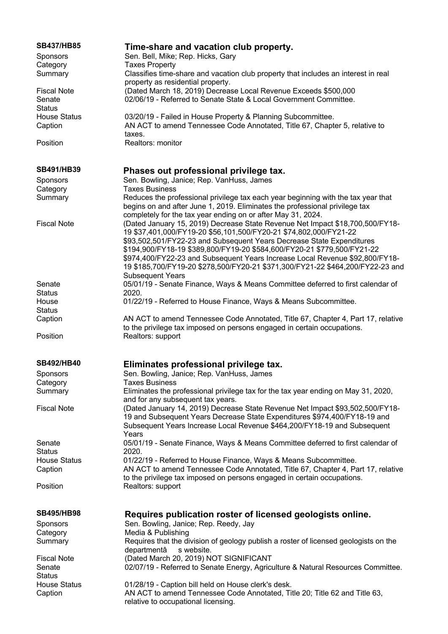| <b>SB437/HB85</b><br><b>Sponsors</b><br>Category | Time-share and vacation club property.<br>Sen. Bell, Mike; Rep. Hicks, Gary<br><b>Taxes Property</b>                                                                                                                                                                        |
|--------------------------------------------------|-----------------------------------------------------------------------------------------------------------------------------------------------------------------------------------------------------------------------------------------------------------------------------|
| Summary                                          | Classifies time-share and vacation club property that includes an interest in real<br>property as residential property.                                                                                                                                                     |
| <b>Fiscal Note</b><br>Senate<br><b>Status</b>    | (Dated March 18, 2019) Decrease Local Revenue Exceeds \$500,000<br>02/06/19 - Referred to Senate State & Local Government Committee.                                                                                                                                        |
| <b>House Status</b><br>Caption                   | 03/20/19 - Failed in House Property & Planning Subcommittee.<br>AN ACT to amend Tennessee Code Annotated, Title 67, Chapter 5, relative to<br>taxes.                                                                                                                        |
| Position                                         | Realtors: monitor                                                                                                                                                                                                                                                           |
| <b>SB491/HB39</b>                                | Phases out professional privilege tax.                                                                                                                                                                                                                                      |
| <b>Sponsors</b>                                  | Sen. Bowling, Janice; Rep. VanHuss, James                                                                                                                                                                                                                                   |
| Category<br>Summary                              | <b>Taxes Business</b><br>Reduces the professional privilege tax each year beginning with the tax year that<br>begins on and after June 1, 2019. Eliminates the professional privilege tax<br>completely for the tax year ending on or after May 31, 2024.                   |
| <b>Fiscal Note</b>                               | (Dated January 15, 2019) Decrease State Revenue Net Impact \$18,700,500/FY18-<br>19 \$37,401,000/FY19-20 \$56,101,500/FY20-21 \$74,802,000/FY21-22<br>\$93,502,501/FY22-23 and Subsequent Years Decrease State Expenditures                                                 |
|                                                  | \$194,900/FY18-19 \$389,800/FY19-20 \$584,600/FY20-21 \$779,500/FY21-22<br>\$974,400/FY22-23 and Subsequent Years Increase Local Revenue \$92,800/FY18-<br>19 \$185,700/FY19-20 \$278,500/FY20-21 \$371,300/FY21-22 \$464,200/FY22-23 and<br><b>Subsequent Years</b>        |
| Senate                                           | 05/01/19 - Senate Finance, Ways & Means Committee deferred to first calendar of                                                                                                                                                                                             |
| <b>Status</b><br>House<br><b>Status</b>          | 2020.<br>01/22/19 - Referred to House Finance, Ways & Means Subcommittee.                                                                                                                                                                                                   |
| Caption                                          | AN ACT to amend Tennessee Code Annotated, Title 67, Chapter 4, Part 17, relative<br>to the privilege tax imposed on persons engaged in certain occupations.                                                                                                                 |
| Position                                         | Realtors: support                                                                                                                                                                                                                                                           |
| <b>SB492/HB40</b>                                | Eliminates professional privilege tax.                                                                                                                                                                                                                                      |
| Sponsors<br>Category                             | Sen. Bowling, Janice; Rep. VanHuss, James<br><b>Taxes Business</b>                                                                                                                                                                                                          |
| Summary                                          | Eliminates the professional privilege tax for the tax year ending on May 31, 2020,                                                                                                                                                                                          |
| <b>Fiscal Note</b>                               | and for any subsequent tax years.<br>(Dated January 14, 2019) Decrease State Revenue Net Impact \$93,502,500/FY18-<br>19 and Subsequent Years Decrease State Expenditures \$974,400/FY18-19 and<br>Subsequent Years Increase Local Revenue \$464,200/FY18-19 and Subsequent |
| Senate<br><b>Status</b>                          | Years<br>05/01/19 - Senate Finance, Ways & Means Committee deferred to first calendar of<br>2020.                                                                                                                                                                           |
| <b>House Status</b><br>Caption                   | 01/22/19 - Referred to House Finance, Ways & Means Subcommittee.<br>AN ACT to amend Tennessee Code Annotated, Title 67, Chapter 4, Part 17, relative                                                                                                                        |
| Position                                         | to the privilege tax imposed on persons engaged in certain occupations.<br>Realtors: support                                                                                                                                                                                |
| <b>SB495/HB98</b>                                | Requires publication roster of licensed geologists online.                                                                                                                                                                                                                  |
| <b>Sponsors</b><br>Category                      | Sen. Bowling, Janice; Rep. Reedy, Jay<br>Media & Publishing                                                                                                                                                                                                                 |
| Summary                                          | Requires that the division of geology publish a roster of licensed geologists on the                                                                                                                                                                                        |
| <b>Fiscal Note</b><br>Senate                     | departmentâ<br>s website.<br>(Dated March 20, 2019) NOT SIGNIFICANT<br>02/07/19 - Referred to Senate Energy, Agriculture & Natural Resources Committee.                                                                                                                     |
| <b>Status</b>                                    |                                                                                                                                                                                                                                                                             |
| <b>House Status</b><br>Caption                   | 01/28/19 - Caption bill held on House clerk's desk.<br>AN ACT to amend Tennessee Code Annotated, Title 20; Title 62 and Title 63,<br>relative to occupational licensing.                                                                                                    |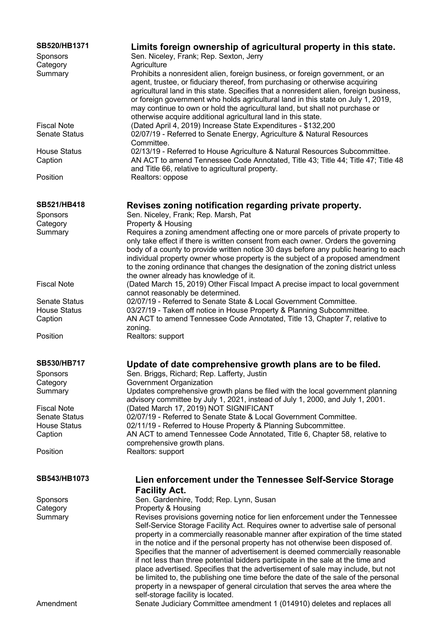| SB520/HB1371                | Limits foreign ownership of agricultural property in this state.                                                                                                                                                                                                                                                                                                                                                                                                                                                                                                                                                                                                                                                                                                    |
|-----------------------------|---------------------------------------------------------------------------------------------------------------------------------------------------------------------------------------------------------------------------------------------------------------------------------------------------------------------------------------------------------------------------------------------------------------------------------------------------------------------------------------------------------------------------------------------------------------------------------------------------------------------------------------------------------------------------------------------------------------------------------------------------------------------|
| <b>Sponsors</b>             | Sen. Niceley, Frank; Rep. Sexton, Jerry                                                                                                                                                                                                                                                                                                                                                                                                                                                                                                                                                                                                                                                                                                                             |
| Category                    | Agriculture                                                                                                                                                                                                                                                                                                                                                                                                                                                                                                                                                                                                                                                                                                                                                         |
| Summary                     | Prohibits a nonresident alien, foreign business, or foreign government, or an<br>agent, trustee, or fiduciary thereof, from purchasing or otherwise acquiring<br>agricultural land in this state. Specifies that a nonresident alien, foreign business,<br>or foreign government who holds agricultural land in this state on July 1, 2019,<br>may continue to own or hold the agricultural land, but shall not purchase or<br>otherwise acquire additional agricultural land in this state.                                                                                                                                                                                                                                                                        |
| <b>Fiscal Note</b>          | (Dated April 4, 2019) Increase State Expenditures - \$132,200                                                                                                                                                                                                                                                                                                                                                                                                                                                                                                                                                                                                                                                                                                       |
| <b>Senate Status</b>        | 02/07/19 - Referred to Senate Energy, Agriculture & Natural Resources<br>Committee.                                                                                                                                                                                                                                                                                                                                                                                                                                                                                                                                                                                                                                                                                 |
| <b>House Status</b>         | 02/13/19 - Referred to House Agriculture & Natural Resources Subcommittee.                                                                                                                                                                                                                                                                                                                                                                                                                                                                                                                                                                                                                                                                                          |
| Caption                     | AN ACT to amend Tennessee Code Annotated, Title 43; Title 44; Title 47; Title 48<br>and Title 66, relative to agricultural property.                                                                                                                                                                                                                                                                                                                                                                                                                                                                                                                                                                                                                                |
| Position                    | Realtors: oppose                                                                                                                                                                                                                                                                                                                                                                                                                                                                                                                                                                                                                                                                                                                                                    |
| SB521/HB418                 | Revises zoning notification regarding private property.                                                                                                                                                                                                                                                                                                                                                                                                                                                                                                                                                                                                                                                                                                             |
| <b>Sponsors</b>             | Sen. Niceley, Frank; Rep. Marsh, Pat                                                                                                                                                                                                                                                                                                                                                                                                                                                                                                                                                                                                                                                                                                                                |
| Category                    | Property & Housing                                                                                                                                                                                                                                                                                                                                                                                                                                                                                                                                                                                                                                                                                                                                                  |
| Summary                     | Requires a zoning amendment affecting one or more parcels of private property to<br>only take effect if there is written consent from each owner. Orders the governing<br>body of a county to provide written notice 30 days before any public hearing to each<br>individual property owner whose property is the subject of a proposed amendment<br>to the zoning ordinance that changes the designation of the zoning district unless<br>the owner already has knowledge of it.                                                                                                                                                                                                                                                                                   |
| <b>Fiscal Note</b>          | (Dated March 15, 2019) Other Fiscal Impact A precise impact to local government<br>cannot reasonably be determined.                                                                                                                                                                                                                                                                                                                                                                                                                                                                                                                                                                                                                                                 |
| <b>Senate Status</b>        | 02/07/19 - Referred to Senate State & Local Government Committee.                                                                                                                                                                                                                                                                                                                                                                                                                                                                                                                                                                                                                                                                                                   |
| <b>House Status</b>         | 03/27/19 - Taken off notice in House Property & Planning Subcommittee.                                                                                                                                                                                                                                                                                                                                                                                                                                                                                                                                                                                                                                                                                              |
| Caption                     | AN ACT to amend Tennessee Code Annotated, Title 13, Chapter 7, relative to                                                                                                                                                                                                                                                                                                                                                                                                                                                                                                                                                                                                                                                                                          |
|                             | zoning.                                                                                                                                                                                                                                                                                                                                                                                                                                                                                                                                                                                                                                                                                                                                                             |
| Position                    | Realtors: support                                                                                                                                                                                                                                                                                                                                                                                                                                                                                                                                                                                                                                                                                                                                                   |
| <b>SB530/HB717</b>          | Update of date comprehensive growth plans are to be filed.                                                                                                                                                                                                                                                                                                                                                                                                                                                                                                                                                                                                                                                                                                          |
| Sponsors                    | Sen. Briggs, Richard; Rep. Lafferty, Justin                                                                                                                                                                                                                                                                                                                                                                                                                                                                                                                                                                                                                                                                                                                         |
| Category                    | Government Organization                                                                                                                                                                                                                                                                                                                                                                                                                                                                                                                                                                                                                                                                                                                                             |
| Summary                     | Updates comprehensive growth plans be filed with the local government planning                                                                                                                                                                                                                                                                                                                                                                                                                                                                                                                                                                                                                                                                                      |
|                             | advisory committee by July 1, 2021, instead of July 1, 2000, and July 1, 2001.                                                                                                                                                                                                                                                                                                                                                                                                                                                                                                                                                                                                                                                                                      |
| <b>Fiscal Note</b>          | (Dated March 17, 2019) NOT SIGNIFICANT                                                                                                                                                                                                                                                                                                                                                                                                                                                                                                                                                                                                                                                                                                                              |
| <b>Senate Status</b>        | 02/07/19 - Referred to Senate State & Local Government Committee.                                                                                                                                                                                                                                                                                                                                                                                                                                                                                                                                                                                                                                                                                                   |
| <b>House Status</b>         | 02/11/19 - Referred to House Property & Planning Subcommittee.<br>AN ACT to amend Tennessee Code Annotated, Title 6, Chapter 58, relative to                                                                                                                                                                                                                                                                                                                                                                                                                                                                                                                                                                                                                        |
| Caption                     | comprehensive growth plans.                                                                                                                                                                                                                                                                                                                                                                                                                                                                                                                                                                                                                                                                                                                                         |
| Position                    | Realtors: support                                                                                                                                                                                                                                                                                                                                                                                                                                                                                                                                                                                                                                                                                                                                                   |
| SB543/HB1073                | Lien enforcement under the Tennessee Self-Service Storage                                                                                                                                                                                                                                                                                                                                                                                                                                                                                                                                                                                                                                                                                                           |
|                             | <b>Facility Act.</b>                                                                                                                                                                                                                                                                                                                                                                                                                                                                                                                                                                                                                                                                                                                                                |
|                             | Sen. Gardenhire, Todd; Rep. Lynn, Susan                                                                                                                                                                                                                                                                                                                                                                                                                                                                                                                                                                                                                                                                                                                             |
| <b>Sponsors</b><br>Category | Property & Housing                                                                                                                                                                                                                                                                                                                                                                                                                                                                                                                                                                                                                                                                                                                                                  |
|                             |                                                                                                                                                                                                                                                                                                                                                                                                                                                                                                                                                                                                                                                                                                                                                                     |
| Summary                     | Revises provisions governing notice for lien enforcement under the Tennessee<br>Self-Service Storage Facility Act. Requires owner to advertise sale of personal<br>property in a commercially reasonable manner after expiration of the time stated<br>in the notice and if the personal property has not otherwise been disposed of.<br>Specifies that the manner of advertisement is deemed commercially reasonable<br>if not less than three potential bidders participate in the sale at the time and<br>place advertised. Specifies that the advertisement of sale may include, but not<br>be limited to, the publishing one time before the date of the sale of the personal<br>property in a newspaper of general circulation that serves the area where the |
| Amendment                   | self-storage facility is located.<br>Senate Judiciary Committee amendment 1 (014910) deletes and replaces all                                                                                                                                                                                                                                                                                                                                                                                                                                                                                                                                                                                                                                                       |
|                             |                                                                                                                                                                                                                                                                                                                                                                                                                                                                                                                                                                                                                                                                                                                                                                     |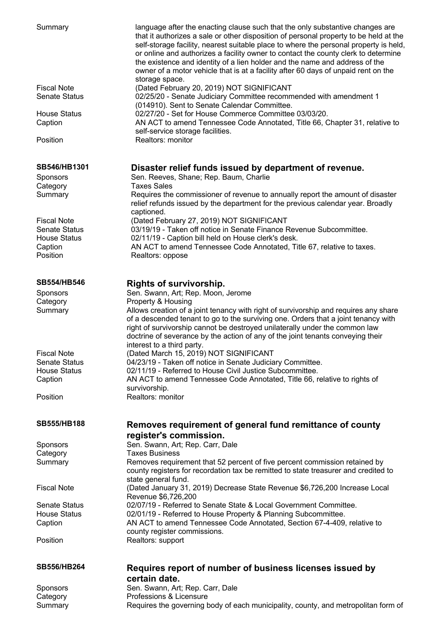| Summary                                         | language after the enacting clause such that the only substantive changes are<br>that it authorizes a sale or other disposition of personal property to be held at the<br>self-storage facility, nearest suitable place to where the personal property is held,<br>or online and authorizes a facility owner to contact the county clerk to determine<br>the existence and identity of a lien holder and the name and address of the<br>owner of a motor vehicle that is at a facility after 60 days of unpaid rent on the<br>storage space. |
|-------------------------------------------------|----------------------------------------------------------------------------------------------------------------------------------------------------------------------------------------------------------------------------------------------------------------------------------------------------------------------------------------------------------------------------------------------------------------------------------------------------------------------------------------------------------------------------------------------|
| <b>Fiscal Note</b><br><b>Senate Status</b>      | (Dated February 20, 2019) NOT SIGNIFICANT<br>02/25/20 - Senate Judiciary Committee recommended with amendment 1<br>(014910). Sent to Senate Calendar Committee.                                                                                                                                                                                                                                                                                                                                                                              |
| <b>House Status</b><br>Caption                  | 02/27/20 - Set for House Commerce Committee 03/03/20.<br>AN ACT to amend Tennessee Code Annotated, Title 66, Chapter 31, relative to<br>self-service storage facilities.                                                                                                                                                                                                                                                                                                                                                                     |
| Position                                        | Realtors: monitor                                                                                                                                                                                                                                                                                                                                                                                                                                                                                                                            |
| SB546/HB1301<br>Sponsors<br>Category<br>Summary | Disaster relief funds issued by department of revenue.<br>Sen. Reeves, Shane; Rep. Baum, Charlie<br><b>Taxes Sales</b><br>Requires the commissioner of revenue to annually report the amount of disaster<br>relief refunds issued by the department for the previous calendar year. Broadly                                                                                                                                                                                                                                                  |
| <b>Fiscal Note</b><br><b>Senate Status</b>      | captioned.<br>(Dated February 27, 2019) NOT SIGNIFICANT<br>03/19/19 - Taken off notice in Senate Finance Revenue Subcommittee.                                                                                                                                                                                                                                                                                                                                                                                                               |
| <b>House Status</b><br>Caption<br>Position      | 02/11/19 - Caption bill held on House clerk's desk.<br>AN ACT to amend Tennessee Code Annotated, Title 67, relative to taxes.<br>Realtors: oppose                                                                                                                                                                                                                                                                                                                                                                                            |
| <b>SB554/HB546</b>                              | <b>Rights of survivorship.</b>                                                                                                                                                                                                                                                                                                                                                                                                                                                                                                               |
| <b>Sponsors</b>                                 | Sen. Swann, Art; Rep. Moon, Jerome                                                                                                                                                                                                                                                                                                                                                                                                                                                                                                           |
| Category<br>Summary                             | Property & Housing<br>Allows creation of a joint tenancy with right of survivorship and requires any share<br>of a descended tenant to go to the surviving one. Orders that a joint tenancy with<br>right of survivorship cannot be destroyed unilaterally under the common law<br>doctrine of severance by the action of any of the joint tenants conveying their<br>interest to a third party.                                                                                                                                             |
| <b>Fiscal Note</b>                              | (Dated March 15, 2019) NOT SIGNIFICANT                                                                                                                                                                                                                                                                                                                                                                                                                                                                                                       |
| <b>Senate Status</b>                            | 04/23/19 - Taken off notice in Senate Judiciary Committee.                                                                                                                                                                                                                                                                                                                                                                                                                                                                                   |
| <b>House Status</b>                             | 02/11/19 - Referred to House Civil Justice Subcommittee.                                                                                                                                                                                                                                                                                                                                                                                                                                                                                     |
| Caption                                         | AN ACT to amend Tennessee Code Annotated, Title 66, relative to rights of<br>survivorship.                                                                                                                                                                                                                                                                                                                                                                                                                                                   |
| Position                                        | Realtors: monitor                                                                                                                                                                                                                                                                                                                                                                                                                                                                                                                            |
| <b>SB555/HB188</b>                              | Removes requirement of general fund remittance of county<br>register's commission.                                                                                                                                                                                                                                                                                                                                                                                                                                                           |
| Sponsors                                        | Sen. Swann, Art; Rep. Carr, Dale                                                                                                                                                                                                                                                                                                                                                                                                                                                                                                             |
| Category                                        | <b>Taxes Business</b>                                                                                                                                                                                                                                                                                                                                                                                                                                                                                                                        |
| Summary                                         | Removes requirement that 52 percent of five percent commission retained by<br>county registers for recordation tax be remitted to state treasurer and credited to<br>state general fund.                                                                                                                                                                                                                                                                                                                                                     |
| <b>Fiscal Note</b>                              | (Dated January 31, 2019) Decrease State Revenue \$6,726,200 Increase Local<br>Revenue \$6,726,200                                                                                                                                                                                                                                                                                                                                                                                                                                            |
| <b>Senate Status</b>                            | 02/07/19 - Referred to Senate State & Local Government Committee.                                                                                                                                                                                                                                                                                                                                                                                                                                                                            |
| <b>House Status</b>                             | 02/01/19 - Referred to House Property & Planning Subcommittee.                                                                                                                                                                                                                                                                                                                                                                                                                                                                               |
| Caption                                         | AN ACT to amend Tennessee Code Annotated, Section 67-4-409, relative to                                                                                                                                                                                                                                                                                                                                                                                                                                                                      |
| Position                                        | county register commissions.<br>Realtors: support                                                                                                                                                                                                                                                                                                                                                                                                                                                                                            |
| <b>SB556/HB264</b>                              | Requires report of number of business licenses issued by                                                                                                                                                                                                                                                                                                                                                                                                                                                                                     |
|                                                 | certain date.                                                                                                                                                                                                                                                                                                                                                                                                                                                                                                                                |
| Sponsors                                        | Sen. Swann, Art; Rep. Carr, Dale                                                                                                                                                                                                                                                                                                                                                                                                                                                                                                             |
| Category                                        | Professions & Licensure                                                                                                                                                                                                                                                                                                                                                                                                                                                                                                                      |
| Summary                                         | Requires the governing body of each municipality, county, and metropolitan form of                                                                                                                                                                                                                                                                                                                                                                                                                                                           |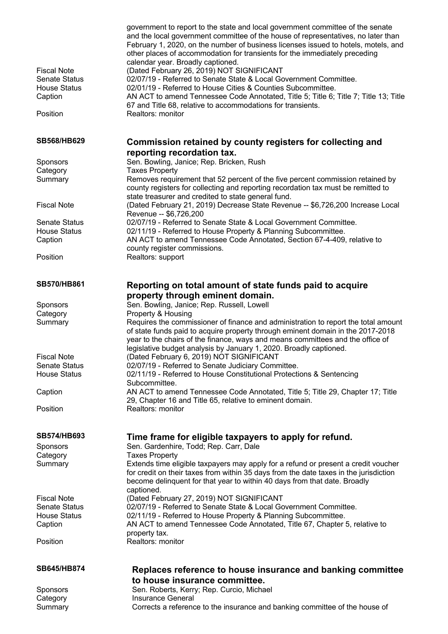| <b>Fiscal Note</b><br><b>Senate Status</b><br><b>House Status</b><br>Caption | government to report to the state and local government committee of the senate<br>and the local government committee of the house of representatives, no later than<br>February 1, 2020, on the number of business licenses issued to hotels, motels, and<br>other places of accommodation for transients for the immediately preceding<br>calendar year. Broadly captioned.<br>(Dated February 26, 2019) NOT SIGNIFICANT<br>02/07/19 - Referred to Senate State & Local Government Committee.<br>02/01/19 - Referred to House Cities & Counties Subcommittee.<br>AN ACT to amend Tennessee Code Annotated, Title 5; Title 6; Title 7; Title 13; Title<br>67 and Title 68, relative to accommodations for transients. |
|------------------------------------------------------------------------------|-----------------------------------------------------------------------------------------------------------------------------------------------------------------------------------------------------------------------------------------------------------------------------------------------------------------------------------------------------------------------------------------------------------------------------------------------------------------------------------------------------------------------------------------------------------------------------------------------------------------------------------------------------------------------------------------------------------------------|
| Position                                                                     | Realtors: monitor                                                                                                                                                                                                                                                                                                                                                                                                                                                                                                                                                                                                                                                                                                     |
| <b>SB568/HB629</b>                                                           | Commission retained by county registers for collecting and                                                                                                                                                                                                                                                                                                                                                                                                                                                                                                                                                                                                                                                            |
| Sponsors                                                                     | reporting recordation tax.<br>Sen. Bowling, Janice; Rep. Bricken, Rush                                                                                                                                                                                                                                                                                                                                                                                                                                                                                                                                                                                                                                                |
| Category                                                                     | <b>Taxes Property</b>                                                                                                                                                                                                                                                                                                                                                                                                                                                                                                                                                                                                                                                                                                 |
| Summary                                                                      | Removes requirement that 52 percent of the five percent commission retained by<br>county registers for collecting and reporting recordation tax must be remitted to<br>state treasurer and credited to state general fund.                                                                                                                                                                                                                                                                                                                                                                                                                                                                                            |
| <b>Fiscal Note</b>                                                           | (Dated February 21, 2019) Decrease State Revenue -- \$6,726,200 Increase Local<br>Revenue -- \$6,726,200                                                                                                                                                                                                                                                                                                                                                                                                                                                                                                                                                                                                              |
| <b>Senate Status</b>                                                         | 02/07/19 - Referred to Senate State & Local Government Committee.                                                                                                                                                                                                                                                                                                                                                                                                                                                                                                                                                                                                                                                     |
| <b>House Status</b><br>Caption                                               | 02/11/19 - Referred to House Property & Planning Subcommittee.<br>AN ACT to amend Tennessee Code Annotated, Section 67-4-409, relative to<br>county register commissions.                                                                                                                                                                                                                                                                                                                                                                                                                                                                                                                                             |
| Position                                                                     | Realtors: support                                                                                                                                                                                                                                                                                                                                                                                                                                                                                                                                                                                                                                                                                                     |
| <b>SB570/HB861</b>                                                           | Reporting on total amount of state funds paid to acquire                                                                                                                                                                                                                                                                                                                                                                                                                                                                                                                                                                                                                                                              |
|                                                                              | property through eminent domain.                                                                                                                                                                                                                                                                                                                                                                                                                                                                                                                                                                                                                                                                                      |
| Sponsors<br>Category                                                         | Sen. Bowling, Janice; Rep. Russell, Lowell<br>Property & Housing                                                                                                                                                                                                                                                                                                                                                                                                                                                                                                                                                                                                                                                      |
| Summary                                                                      | Requires the commissioner of finance and administration to report the total amount<br>of state funds paid to acquire property through eminent domain in the 2017-2018<br>year to the chairs of the finance, ways and means committees and the office of<br>legislative budget analysis by January 1, 2020. Broadly captioned.                                                                                                                                                                                                                                                                                                                                                                                         |
| <b>Fiscal Note</b>                                                           | (Dated February 6, 2019) NOT SIGNIFICANT                                                                                                                                                                                                                                                                                                                                                                                                                                                                                                                                                                                                                                                                              |
| <b>Senate Status</b><br><b>House Status</b>                                  | 02/07/19 - Referred to Senate Judiciary Committee.<br>02/11/19 - Referred to House Constitutional Protections & Sentencing<br>Subcommittee.                                                                                                                                                                                                                                                                                                                                                                                                                                                                                                                                                                           |
| Caption                                                                      | AN ACT to amend Tennessee Code Annotated, Title 5; Title 29, Chapter 17; Title<br>29, Chapter 16 and Title 65, relative to eminent domain.                                                                                                                                                                                                                                                                                                                                                                                                                                                                                                                                                                            |
| Position                                                                     | Realtors: monitor                                                                                                                                                                                                                                                                                                                                                                                                                                                                                                                                                                                                                                                                                                     |
| <b>SB574/HB693</b>                                                           | Time frame for eligible taxpayers to apply for refund.                                                                                                                                                                                                                                                                                                                                                                                                                                                                                                                                                                                                                                                                |
| Sponsors<br>Category                                                         | Sen. Gardenhire, Todd; Rep. Carr, Dale<br><b>Taxes Property</b>                                                                                                                                                                                                                                                                                                                                                                                                                                                                                                                                                                                                                                                       |
| Summary                                                                      | Extends time eligible taxpayers may apply for a refund or present a credit voucher                                                                                                                                                                                                                                                                                                                                                                                                                                                                                                                                                                                                                                    |
|                                                                              | for credit on their taxes from within 35 days from the date taxes in the jurisdiction<br>become delinquent for that year to within 40 days from that date. Broadly                                                                                                                                                                                                                                                                                                                                                                                                                                                                                                                                                    |
| <b>Fiscal Note</b>                                                           | captioned.<br>(Dated February 27, 2019) NOT SIGNIFICANT                                                                                                                                                                                                                                                                                                                                                                                                                                                                                                                                                                                                                                                               |
| <b>Senate Status</b>                                                         | 02/07/19 - Referred to Senate State & Local Government Committee.                                                                                                                                                                                                                                                                                                                                                                                                                                                                                                                                                                                                                                                     |
| <b>House Status</b>                                                          | 02/11/19 - Referred to House Property & Planning Subcommittee.                                                                                                                                                                                                                                                                                                                                                                                                                                                                                                                                                                                                                                                        |
| Caption                                                                      | AN ACT to amend Tennessee Code Annotated, Title 67, Chapter 5, relative to                                                                                                                                                                                                                                                                                                                                                                                                                                                                                                                                                                                                                                            |
| Position                                                                     | property tax.<br>Realtors: monitor                                                                                                                                                                                                                                                                                                                                                                                                                                                                                                                                                                                                                                                                                    |
| <b>SB645/HB874</b>                                                           | Replaces reference to house insurance and banking committee                                                                                                                                                                                                                                                                                                                                                                                                                                                                                                                                                                                                                                                           |
|                                                                              | to house insurance committee.                                                                                                                                                                                                                                                                                                                                                                                                                                                                                                                                                                                                                                                                                         |
| Sponsors                                                                     | Sen. Roberts, Kerry; Rep. Curcio, Michael                                                                                                                                                                                                                                                                                                                                                                                                                                                                                                                                                                                                                                                                             |
| Category                                                                     | <b>Insurance General</b>                                                                                                                                                                                                                                                                                                                                                                                                                                                                                                                                                                                                                                                                                              |
| Summary                                                                      | Corrects a reference to the insurance and banking committee of the house of                                                                                                                                                                                                                                                                                                                                                                                                                                                                                                                                                                                                                                           |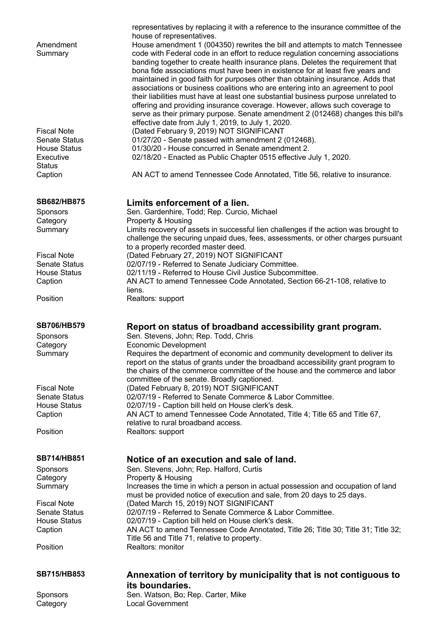| <b>SB715/HB853</b>                          | Annexation of territory by municipality that is not contiguous to<br>its boundaries.                                                                                                     |
|---------------------------------------------|------------------------------------------------------------------------------------------------------------------------------------------------------------------------------------------|
| Position                                    | Realtors: monitor                                                                                                                                                                        |
| <b>House Status</b><br>Caption              | 02/07/19 - Caption bill held on House clerk's desk.<br>AN ACT to amend Tennessee Code Annotated, Title 26; Title 30; Title 31; Title 32;<br>Title 56 and Title 71, relative to property. |
| <b>Senate Status</b>                        | 02/07/19 - Referred to Senate Commerce & Labor Committee.                                                                                                                                |
| <b>Fiscal Note</b>                          | must be provided notice of execution and sale, from 20 days to 25 days.<br>(Dated March 15, 2019) NOT SIGNIFICANT                                                                        |
| Category<br>Summary                         | Property & Housing<br>Increases the time in which a person in actual possession and occupation of land                                                                                   |
| Sponsors                                    | Sen. Stevens, John; Rep. Halford, Curtis                                                                                                                                                 |
| <b>SB714/HB851</b>                          | Notice of an execution and sale of land.                                                                                                                                                 |
| Position                                    | Realtors: support                                                                                                                                                                        |
| Caption                                     | AN ACT to amend Tennessee Code Annotated, Title 4; Title 65 and Title 67,<br>relative to rural broadband access.                                                                         |
| <b>House Status</b>                         | 02/07/19 - Caption bill held on House clerk's desk.                                                                                                                                      |
| <b>Fiscal Note</b><br><b>Senate Status</b>  | committee of the senate. Broadly captioned.<br>(Dated February 8, 2019) NOT SIGNIFICANT<br>02/07/19 - Referred to Senate Commerce & Labor Committee.                                     |
|                                             | report on the status of grants under the broadband accessibility grant program to<br>the chairs of the commerce committee of the house and the commerce and labor                        |
| Category<br>Summary                         | <b>Economic Development</b><br>Requires the department of economic and community development to deliver its                                                                              |
| Sponsors                                    | Sen. Stevens, John; Rep. Todd, Chris                                                                                                                                                     |
| <b>SB706/HB579</b>                          | Report on status of broadband accessibility grant program.                                                                                                                               |
| Position                                    | liens.<br>Realtors: support                                                                                                                                                              |
| Caption                                     | AN ACT to amend Tennessee Code Annotated, Section 66-21-108, relative to                                                                                                                 |
| <b>Senate Status</b><br><b>House Status</b> | 02/07/19 - Referred to Senate Judiciary Committee.<br>02/11/19 - Referred to House Civil Justice Subcommittee.                                                                           |
| <b>Fiscal Note</b>                          | (Dated February 27, 2019) NOT SIGNIFICANT                                                                                                                                                |
|                                             | challenge the securing unpaid dues, fees, assessments, or other charges pursuant<br>to a properly recorded master deed.                                                                  |
| Category<br>Summary                         | Property & Housing<br>Limits recovery of assets in successful lien challenges if the action was brought to                                                                               |
| Sponsors                                    | Sen. Gardenhire, Todd; Rep. Curcio, Michael                                                                                                                                              |
| <b>SB682/HB875</b>                          | Limits enforcement of a lien.                                                                                                                                                            |
| Caption                                     | AN ACT to amend Tennessee Code Annotated, Title 56, relative to insurance.                                                                                                               |
| Executive<br><b>Status</b>                  | 02/18/20 - Enacted as Public Chapter 0515 effective July 1, 2020.                                                                                                                        |
| <b>House Status</b>                         | 01/30/20 - House concurred in Senate amendment 2.                                                                                                                                        |
| <b>Fiscal Note</b><br><b>Senate Status</b>  | (Dated February 9, 2019) NOT SIGNIFICANT<br>01/27/20 - Senate passed with amendment 2 (012468).                                                                                          |
|                                             | serve as their primary purpose. Senate amendment 2 (012468) changes this bill's<br>effective date from July 1, 2019, to July 1, 2020.                                                    |
|                                             | offering and providing insurance coverage. However, allows such coverage to                                                                                                              |
|                                             | associations or business coalitions who are entering into an agreement to pool<br>their liabilities must have at least one substantial business purpose unrelated to                     |
|                                             | maintained in good faith for purposes other than obtaining insurance. Adds that                                                                                                          |
|                                             | banding together to create health insurance plans. Deletes the requirement that<br>bona fide associations must have been in existence for at least five years and                        |
| Amendment<br>Summary                        | House amendment 1 (004350) rewrites the bill and attempts to match Tennessee<br>code with Federal code in an effort to reduce regulation concerning associations                         |
|                                             | house of representatives.                                                                                                                                                                |
|                                             | representatives by replacing it with a reference to the insurance committee of the                                                                                                       |

Sponsors Sen. Watson, Bo; Rep. Carter, Mike Sponsors<br>
Category<br>
Category<br>
Local Government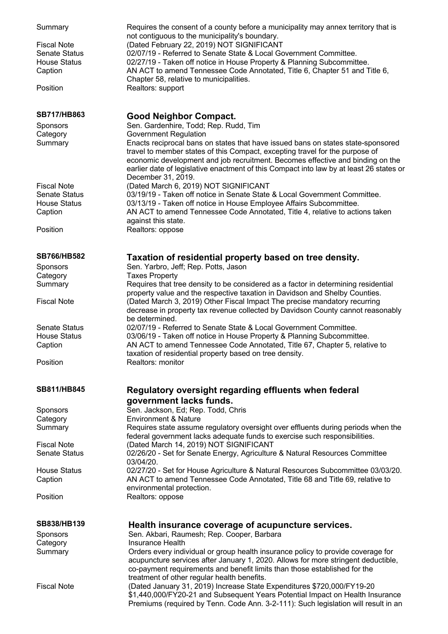| Summary<br><b>Fiscal Note</b><br><b>Senate Status</b><br><b>House Status</b><br>Caption<br>Position | Requires the consent of a county before a municipality may annex territory that is<br>not contiguous to the municipality's boundary.<br>(Dated February 22, 2019) NOT SIGNIFICANT<br>02/07/19 - Referred to Senate State & Local Government Committee.<br>02/27/19 - Taken off notice in House Property & Planning Subcommittee.<br>AN ACT to amend Tennessee Code Annotated, Title 6, Chapter 51 and Title 6,<br>Chapter 58, relative to municipalities.<br>Realtors: support |
|-----------------------------------------------------------------------------------------------------|--------------------------------------------------------------------------------------------------------------------------------------------------------------------------------------------------------------------------------------------------------------------------------------------------------------------------------------------------------------------------------------------------------------------------------------------------------------------------------|
| <b>SB717/HB863</b>                                                                                  | <b>Good Neighbor Compact.</b>                                                                                                                                                                                                                                                                                                                                                                                                                                                  |
| Sponsors<br>Category                                                                                | Sen. Gardenhire, Todd; Rep. Rudd, Tim<br><b>Government Regulation</b>                                                                                                                                                                                                                                                                                                                                                                                                          |
| Summary                                                                                             | Enacts reciprocal bans on states that have issued bans on states state-sponsored<br>travel to member states of this Compact, excepting travel for the purpose of<br>economic development and job recruitment. Becomes effective and binding on the<br>earlier date of legislative enactment of this Compact into law by at least 26 states or<br>December 31, 2019.                                                                                                            |
| <b>Fiscal Note</b>                                                                                  | (Dated March 6, 2019) NOT SIGNIFICANT                                                                                                                                                                                                                                                                                                                                                                                                                                          |
| <b>Senate Status</b>                                                                                | 03/19/19 - Taken off notice in Senate State & Local Government Committee.                                                                                                                                                                                                                                                                                                                                                                                                      |
| <b>House Status</b>                                                                                 | 03/13/19 - Taken off notice in House Employee Affairs Subcommittee.                                                                                                                                                                                                                                                                                                                                                                                                            |
| Caption                                                                                             | AN ACT to amend Tennessee Code Annotated, Title 4, relative to actions taken                                                                                                                                                                                                                                                                                                                                                                                                   |
| Position                                                                                            | against this state.<br>Realtors: oppose                                                                                                                                                                                                                                                                                                                                                                                                                                        |
|                                                                                                     |                                                                                                                                                                                                                                                                                                                                                                                                                                                                                |
| <b>SB766/HB582</b>                                                                                  | Taxation of residential property based on tree density.                                                                                                                                                                                                                                                                                                                                                                                                                        |
| Sponsors                                                                                            | Sen. Yarbro, Jeff; Rep. Potts, Jason                                                                                                                                                                                                                                                                                                                                                                                                                                           |
| Category                                                                                            | <b>Taxes Property</b>                                                                                                                                                                                                                                                                                                                                                                                                                                                          |
| Summary                                                                                             | Requires that tree density to be considered as a factor in determining residential                                                                                                                                                                                                                                                                                                                                                                                             |
| <b>Fiscal Note</b>                                                                                  | property value and the respective taxation in Davidson and Shelby Counties.<br>(Dated March 3, 2019) Other Fiscal Impact The precise mandatory recurring<br>decrease in property tax revenue collected by Davidson County cannot reasonably                                                                                                                                                                                                                                    |
| <b>Senate Status</b>                                                                                | be determined.<br>02/07/19 - Referred to Senate State & Local Government Committee.                                                                                                                                                                                                                                                                                                                                                                                            |
| <b>House Status</b>                                                                                 | 03/06/19 - Taken off notice in House Property & Planning Subcommittee.                                                                                                                                                                                                                                                                                                                                                                                                         |
| Caption                                                                                             | AN ACT to amend Tennessee Code Annotated, Title 67, Chapter 5, relative to                                                                                                                                                                                                                                                                                                                                                                                                     |
|                                                                                                     | taxation of residential property based on tree density.                                                                                                                                                                                                                                                                                                                                                                                                                        |
| Position                                                                                            | Realtors: monitor                                                                                                                                                                                                                                                                                                                                                                                                                                                              |
| SB811/HB845                                                                                         | Regulatory oversight regarding effluents when federal<br>government lacks funds.                                                                                                                                                                                                                                                                                                                                                                                               |
| Sponsors                                                                                            | Sen. Jackson, Ed; Rep. Todd, Chris                                                                                                                                                                                                                                                                                                                                                                                                                                             |
| Category                                                                                            | <b>Environment &amp; Nature</b>                                                                                                                                                                                                                                                                                                                                                                                                                                                |
| Summary                                                                                             | Requires state assume regulatory oversight over effluents during periods when the<br>federal government lacks adequate funds to exercise such responsibilities.                                                                                                                                                                                                                                                                                                                |
| <b>Fiscal Note</b>                                                                                  | (Dated March 14, 2019) NOT SIGNIFICANT                                                                                                                                                                                                                                                                                                                                                                                                                                         |
| <b>Senate Status</b>                                                                                | 02/26/20 - Set for Senate Energy, Agriculture & Natural Resources Committee<br>03/04/20.                                                                                                                                                                                                                                                                                                                                                                                       |
| <b>House Status</b>                                                                                 | 02/27/20 - Set for House Agriculture & Natural Resources Subcommittee 03/03/20.                                                                                                                                                                                                                                                                                                                                                                                                |
| Caption                                                                                             | AN ACT to amend Tennessee Code Annotated, Title 68 and Title 69, relative to                                                                                                                                                                                                                                                                                                                                                                                                   |
|                                                                                                     | environmental protection.                                                                                                                                                                                                                                                                                                                                                                                                                                                      |
| Position                                                                                            | Realtors: oppose                                                                                                                                                                                                                                                                                                                                                                                                                                                               |
|                                                                                                     |                                                                                                                                                                                                                                                                                                                                                                                                                                                                                |
| SB838/HB139                                                                                         | Health insurance coverage of acupuncture services.                                                                                                                                                                                                                                                                                                                                                                                                                             |
| Sponsors                                                                                            | Sen. Akbari, Raumesh; Rep. Cooper, Barbara                                                                                                                                                                                                                                                                                                                                                                                                                                     |
| Category                                                                                            | <b>Insurance Health</b>                                                                                                                                                                                                                                                                                                                                                                                                                                                        |
| Summary                                                                                             | Orders every individual or group health insurance policy to provide coverage for<br>acupuncture services after January 1, 2020. Allows for more stringent deductible,                                                                                                                                                                                                                                                                                                          |
| <b>Fiscal Note</b>                                                                                  | co-payment requirements and benefit limits than those established for the<br>treatment of other regular health benefits.<br>(Dated January 31, 2019) Increase State Expenditures \$720,000/FY19-20                                                                                                                                                                                                                                                                             |
|                                                                                                     | \$1,440,000/FY20-21 and Subsequent Years Potential Impact on Health Insurance<br>Premiums (required by Tenn. Code Ann. 3-2-111): Such legislation will result in an                                                                                                                                                                                                                                                                                                            |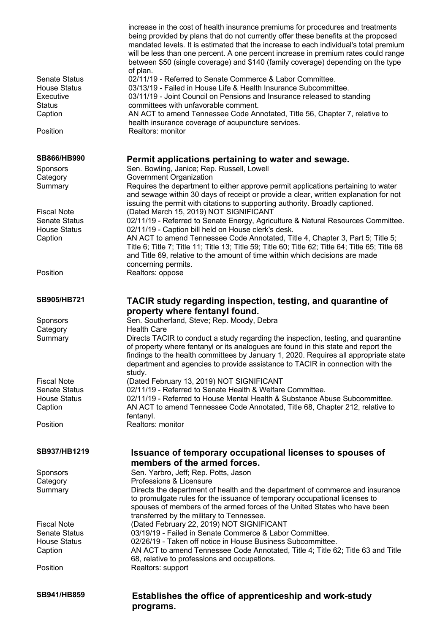|                                             | increase in the cost of health insurance premiums for procedures and treatments<br>being provided by plans that do not currently offer these benefits at the proposed<br>mandated levels. It is estimated that the increase to each individual's total premium<br>will be less than one percent. A one percent increase in premium rates could range<br>between \$50 (single coverage) and \$140 (family coverage) depending on the type<br>of plan. |
|---------------------------------------------|------------------------------------------------------------------------------------------------------------------------------------------------------------------------------------------------------------------------------------------------------------------------------------------------------------------------------------------------------------------------------------------------------------------------------------------------------|
| <b>Senate Status</b>                        | 02/11/19 - Referred to Senate Commerce & Labor Committee.                                                                                                                                                                                                                                                                                                                                                                                            |
| <b>House Status</b><br>Executive            | 03/13/19 - Failed in House Life & Health Insurance Subcommittee.<br>03/11/19 - Joint Council on Pensions and Insurance released to standing                                                                                                                                                                                                                                                                                                          |
| <b>Status</b>                               | committees with unfavorable comment.                                                                                                                                                                                                                                                                                                                                                                                                                 |
| Caption                                     | AN ACT to amend Tennessee Code Annotated, Title 56, Chapter 7, relative to                                                                                                                                                                                                                                                                                                                                                                           |
| Position                                    | health insurance coverage of acupuncture services.<br>Realtors: monitor                                                                                                                                                                                                                                                                                                                                                                              |
|                                             |                                                                                                                                                                                                                                                                                                                                                                                                                                                      |
| <b>SB866/HB990</b>                          | Permit applications pertaining to water and sewage.                                                                                                                                                                                                                                                                                                                                                                                                  |
| <b>Sponsors</b><br>Category                 | Sen. Bowling, Janice; Rep. Russell, Lowell<br>Government Organization                                                                                                                                                                                                                                                                                                                                                                                |
| Summary                                     | Requires the department to either approve permit applications pertaining to water<br>and sewage within 30 days of receipt or provide a clear, written explanation for not<br>issuing the permit with citations to supporting authority. Broadly captioned.                                                                                                                                                                                           |
| <b>Fiscal Note</b>                          | (Dated March 15, 2019) NOT SIGNIFICANT                                                                                                                                                                                                                                                                                                                                                                                                               |
| <b>Senate Status</b>                        | 02/11/19 - Referred to Senate Energy, Agriculture & Natural Resources Committee.                                                                                                                                                                                                                                                                                                                                                                     |
| <b>House Status</b><br>Caption              | 02/11/19 - Caption bill held on House clerk's desk.<br>AN ACT to amend Tennessee Code Annotated, Title 4, Chapter 3, Part 5; Title 5;                                                                                                                                                                                                                                                                                                                |
|                                             | Title 6; Title 7; Title 11; Title 13; Title 59; Title 60; Title 62; Title 64; Title 65; Title 68<br>and Title 69, relative to the amount of time within which decisions are made<br>concerning permits.                                                                                                                                                                                                                                              |
| Position                                    | Realtors: oppose                                                                                                                                                                                                                                                                                                                                                                                                                                     |
| SB905/HB721                                 | TACIR study regarding inspection, testing, and quarantine of                                                                                                                                                                                                                                                                                                                                                                                         |
|                                             | property where fentanyl found.                                                                                                                                                                                                                                                                                                                                                                                                                       |
| Sponsors                                    | Sen. Southerland, Steve; Rep. Moody, Debra                                                                                                                                                                                                                                                                                                                                                                                                           |
| Category<br>Summary                         | <b>Health Care</b><br>Directs TACIR to conduct a study regarding the inspection, testing, and quarantine                                                                                                                                                                                                                                                                                                                                             |
|                                             | of property where fentanyl or its analogues are found in this state and report the<br>findings to the health committees by January 1, 2020. Requires all appropriate state<br>department and agencies to provide assistance to TACIR in connection with the<br>study.                                                                                                                                                                                |
| <b>Fiscal Note</b>                          | (Dated February 13, 2019) NOT SIGNIFICANT                                                                                                                                                                                                                                                                                                                                                                                                            |
| <b>Senate Status</b><br><b>House Status</b> | 02/11/19 - Referred to Senate Health & Welfare Committee.<br>02/11/19 - Referred to House Mental Health & Substance Abuse Subcommittee.                                                                                                                                                                                                                                                                                                              |
| Caption                                     | AN ACT to amend Tennessee Code Annotated, Title 68, Chapter 212, relative to                                                                                                                                                                                                                                                                                                                                                                         |
|                                             | fentanyl.                                                                                                                                                                                                                                                                                                                                                                                                                                            |
| Position                                    | Realtors: monitor                                                                                                                                                                                                                                                                                                                                                                                                                                    |
| SB937/HB1219                                | Issuance of temporary occupational licenses to spouses of<br>members of the armed forces.                                                                                                                                                                                                                                                                                                                                                            |
| Sponsors                                    | Sen. Yarbro, Jeff; Rep. Potts, Jason                                                                                                                                                                                                                                                                                                                                                                                                                 |
| Category                                    | Professions & Licensure                                                                                                                                                                                                                                                                                                                                                                                                                              |
| Summary                                     | Directs the department of health and the department of commerce and insurance<br>to promulgate rules for the issuance of temporary occupational licenses to                                                                                                                                                                                                                                                                                          |
|                                             | spouses of members of the armed forces of the United States who have been<br>transferred by the military to Tennessee.                                                                                                                                                                                                                                                                                                                               |
| <b>Fiscal Note</b>                          | (Dated February 22, 2019) NOT SIGNIFICANT                                                                                                                                                                                                                                                                                                                                                                                                            |
| <b>Senate Status</b><br><b>House Status</b> | 03/19/19 - Failed in Senate Commerce & Labor Committee.<br>02/26/19 - Taken off notice in House Business Subcommittee.                                                                                                                                                                                                                                                                                                                               |
| Caption                                     | AN ACT to amend Tennessee Code Annotated, Title 4; Title 62; Title 63 and Title                                                                                                                                                                                                                                                                                                                                                                      |
|                                             | 68, relative to professions and occupations.                                                                                                                                                                                                                                                                                                                                                                                                         |
| Position                                    | Realtors: support                                                                                                                                                                                                                                                                                                                                                                                                                                    |
| SB941/HB859                                 | Establishes the office of apprenticeship and work-study<br>programs.                                                                                                                                                                                                                                                                                                                                                                                 |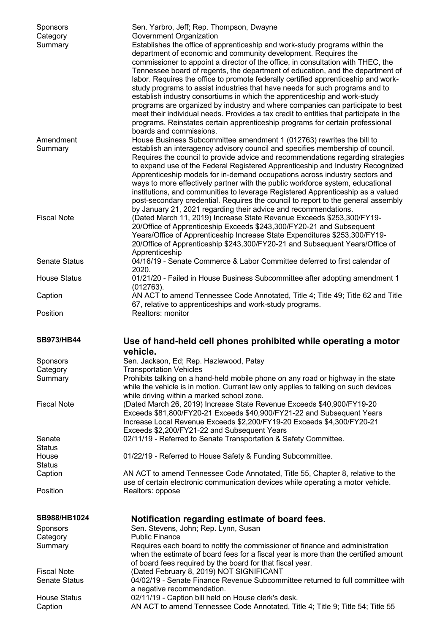| <b>Sponsors</b><br>Category<br>Summary | Sen. Yarbro, Jeff; Rep. Thompson, Dwayne<br>Government Organization<br>Establishes the office of apprenticeship and work-study programs within the                                                                                                                                                                                                                                                                                                                                                                                                                                                                                                                  |
|----------------------------------------|---------------------------------------------------------------------------------------------------------------------------------------------------------------------------------------------------------------------------------------------------------------------------------------------------------------------------------------------------------------------------------------------------------------------------------------------------------------------------------------------------------------------------------------------------------------------------------------------------------------------------------------------------------------------|
|                                        | department of economic and community development. Requires the<br>commissioner to appoint a director of the office, in consultation with THEC, the<br>Tennessee board of regents, the department of education, and the department of<br>labor. Requires the office to promote federally certified apprenticeship and work-<br>study programs to assist industries that have needs for such programs and to<br>establish industry consortiums in which the apprenticeship and work-study<br>programs are organized by industry and where companies can participate to best<br>meet their individual needs. Provides a tax credit to entities that participate in the |
|                                        | programs. Reinstates certain apprenticeship programs for certain professional<br>boards and commissions.                                                                                                                                                                                                                                                                                                                                                                                                                                                                                                                                                            |
| Amendment                              | House Business Subcommittee amendment 1 (012763) rewrites the bill to                                                                                                                                                                                                                                                                                                                                                                                                                                                                                                                                                                                               |
| Summary                                | establish an interagency advisory council and specifies membership of council.<br>Requires the council to provide advice and recommendations regarding strategies<br>to expand use of the Federal Registered Apprenticeship and Industry Recognized<br>Apprenticeship models for in-demand occupations across industry sectors and<br>ways to more effectively partner with the public workforce system, educational<br>institutions, and communities to leverage Registered Apprenticeship as a valued<br>post-secondary credential. Requires the council to report to the general assembly                                                                        |
| <b>Fiscal Note</b>                     | by January 21, 2021 regarding their advice and recommendations.<br>(Dated March 11, 2019) Increase State Revenue Exceeds \$253,300/FY19-<br>20/Office of Apprenticeship Exceeds \$243,300/FY20-21 and Subsequent<br>Years/Office of Apprenticeship Increase State Expenditures \$253,300/FY19-<br>20/Office of Apprenticeship \$243,300/FY20-21 and Subsequent Years/Office of                                                                                                                                                                                                                                                                                      |
| <b>Senate Status</b>                   | Apprenticeship<br>04/16/19 - Senate Commerce & Labor Committee deferred to first calendar of<br>2020.                                                                                                                                                                                                                                                                                                                                                                                                                                                                                                                                                               |
| <b>House Status</b>                    | 01/21/20 - Failed in House Business Subcommittee after adopting amendment 1<br>(012763).                                                                                                                                                                                                                                                                                                                                                                                                                                                                                                                                                                            |
| Caption                                | AN ACT to amend Tennessee Code Annotated, Title 4; Title 49; Title 62 and Title<br>67, relative to apprenticeships and work-study programs.                                                                                                                                                                                                                                                                                                                                                                                                                                                                                                                         |
| Position                               | Realtors: monitor                                                                                                                                                                                                                                                                                                                                                                                                                                                                                                                                                                                                                                                   |
| <b>SB973/HB44</b>                      | Use of hand-held cell phones prohibited while operating a motor<br>vehicle.                                                                                                                                                                                                                                                                                                                                                                                                                                                                                                                                                                                         |
| <b>Sponsors</b>                        | Sen. Jackson, Ed; Rep. Hazlewood, Patsy                                                                                                                                                                                                                                                                                                                                                                                                                                                                                                                                                                                                                             |
| Category                               | <b>Transportation Vehicles</b>                                                                                                                                                                                                                                                                                                                                                                                                                                                                                                                                                                                                                                      |
| Summary                                | Prohibits talking on a hand-held mobile phone on any road or highway in the state<br>while the vehicle is in motion. Current law only applies to talking on such devices                                                                                                                                                                                                                                                                                                                                                                                                                                                                                            |
| <b>Fiscal Note</b>                     | while driving within a marked school zone.<br>(Dated March 26, 2019) Increase State Revenue Exceeds \$40,900/FY19-20<br>Exceeds \$81,800/FY20-21 Exceeds \$40,900/FY21-22 and Subsequent Years<br>Increase Local Revenue Exceeds \$2,200/FY19-20 Exceeds \$4,300/FY20-21                                                                                                                                                                                                                                                                                                                                                                                            |
| Senate                                 | Exceeds \$2,200/FY21-22 and Subsequent Years<br>02/11/19 - Referred to Senate Transportation & Safety Committee.                                                                                                                                                                                                                                                                                                                                                                                                                                                                                                                                                    |
| <b>Status</b>                          |                                                                                                                                                                                                                                                                                                                                                                                                                                                                                                                                                                                                                                                                     |
| House<br><b>Status</b>                 | 01/22/19 - Referred to House Safety & Funding Subcommittee.                                                                                                                                                                                                                                                                                                                                                                                                                                                                                                                                                                                                         |
| Caption                                | AN ACT to amend Tennessee Code Annotated, Title 55, Chapter 8, relative to the                                                                                                                                                                                                                                                                                                                                                                                                                                                                                                                                                                                      |
|                                        | use of certain electronic communication devices while operating a motor vehicle.                                                                                                                                                                                                                                                                                                                                                                                                                                                                                                                                                                                    |
| Position                               | Realtors: oppose                                                                                                                                                                                                                                                                                                                                                                                                                                                                                                                                                                                                                                                    |
| SB988/HB1024                           | Notification regarding estimate of board fees.                                                                                                                                                                                                                                                                                                                                                                                                                                                                                                                                                                                                                      |
| Sponsors                               | Sen. Stevens, John; Rep. Lynn, Susan                                                                                                                                                                                                                                                                                                                                                                                                                                                                                                                                                                                                                                |
| Category                               | <b>Public Finance</b>                                                                                                                                                                                                                                                                                                                                                                                                                                                                                                                                                                                                                                               |
| Summary                                | Requires each board to notify the commissioner of finance and administration<br>when the estimate of board fees for a fiscal year is more than the certified amount                                                                                                                                                                                                                                                                                                                                                                                                                                                                                                 |
| <b>Fiscal Note</b>                     | of board fees required by the board for that fiscal year.<br>(Dated February 8, 2019) NOT SIGNIFICANT                                                                                                                                                                                                                                                                                                                                                                                                                                                                                                                                                               |
| <b>Senate Status</b>                   | 04/02/19 - Senate Finance Revenue Subcommittee returned to full committee with<br>a negative recommendation.                                                                                                                                                                                                                                                                                                                                                                                                                                                                                                                                                        |
| <b>House Status</b>                    | 02/11/19 - Caption bill held on House clerk's desk.<br>AN ACT to amend Tennessee Code Annotated, Title 4; Title 9; Title 54; Title 55                                                                                                                                                                                                                                                                                                                                                                                                                                                                                                                               |
| Caption                                |                                                                                                                                                                                                                                                                                                                                                                                                                                                                                                                                                                                                                                                                     |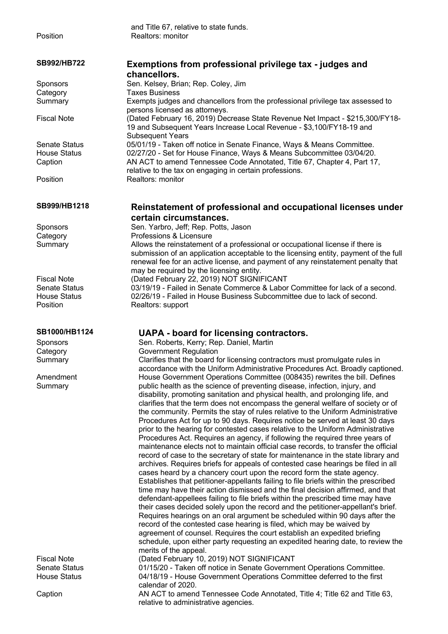and Title 67, relative to state funds. Position Realtors: monitor **SB992/HB722 Exemptions from professional privilege tax - judges and chancellors.** Sponsors Sen. Kelsey, Brian; Rep. Coley, Jim Category Taxes Business Summary Exempts judges and chancellors from the professional privilege tax assessed to persons licensed as attorneys. Fiscal Note (Dated February 16, 2019) Decrease State Revenue Net Impact - \$215,300/FY18- 19 and Subsequent Years Increase Local Revenue - \$3,100/FY18-19 and Subsequent Years Senate Status 05/01/19 - Taken off notice in Senate Finance, Ways & Means Committee.<br>House Status 02/27/20 - Set for House Finance, Ways & Means Subcommittee 03/04/20. 02/27/20 - Set for House Finance, Ways & Means Subcommittee 03/04/20. Caption AN ACT to amend Tennessee Code Annotated, Title 67, Chapter 4, Part 17, relative to the tax on engaging in certain professions. Position Realtors: monitor **SB999/HB1218 Reinstatement of professional and occupational licenses under certain circumstances.** Sponsors Sen. Yarbro, Jeff; Rep. Potts, Jason Category **Professions & Licensure** Summary Allows the reinstatement of a professional or occupational license if there is submission of an application acceptable to the licensing entity, payment of the full renewal fee for an active license, and payment of any reinstatement penalty that may be required by the licensing entity. Fiscal Note (Dated February 22, 2019) NOT SIGNIFICANT Senate Status 03/19/19 - Failed in Senate Commerce & Labor Committee for lack of a second. House Status 02/26/19 - Failed in House Business Subcommittee due to lack of second. Position Realtors: support **SB1000/HB1124 UAPA - board for licensing contractors.** Sponsors Sen. Roberts, Kerry; Rep. Daniel, Martin Category **Government Regulation** Summary Clarifies that the board for licensing contractors must promulgate rules in accordance with the Uniform Administrative Procedures Act. Broadly captioned. Amendment Summary House Government Operations Committee (008435) rewrites the bill. Defines public health as the science of preventing disease, infection, injury, and disability, promoting sanitation and physical health, and prolonging life, and clarifies that the term does not encompass the general welfare of society or of the community. Permits the stay of rules relative to the Uniform Administrative Procedures Act for up to 90 days. Requires notice be served at least 30 days prior to the hearing for contested cases relative to the Uniform Administrative Procedures Act. Requires an agency, if following the required three years of maintenance elects not to maintain official case records, to transfer the official record of case to the secretary of state for maintenance in the state library and archives. Requires briefs for appeals of contested case hearings be filed in all cases heard by a chancery court upon the record form the state agency. Establishes that petitioner-appellants failing to file briefs within the prescribed time may have their action dismissed and the final decision affirmed, and that defendant-appellees failing to file briefs within the prescribed time may have their cases decided solely upon the record and the petitioner-appellant's brief. Requires hearings on an oral argument be scheduled within 90 days after the record of the contested case hearing is filed, which may be waived by agreement of counsel. Requires the court establish an expedited briefing schedule, upon either party requesting an expedited hearing date, to review the merits of the appeal. Fiscal Note (Dated February 10, 2019) NOT SIGNIFICANT<br>Senate Status (01/15/20 - Taken off notice in Senate Governm 01/15/20 - Taken off notice in Senate Government Operations Committee. House Status 04/18/19 - House Government Operations Committee deferred to the first calendar of 2020.

Caption AN ACT to amend Tennessee Code Annotated, Title 4; Title 62 and Title 63, relative to administrative agencies.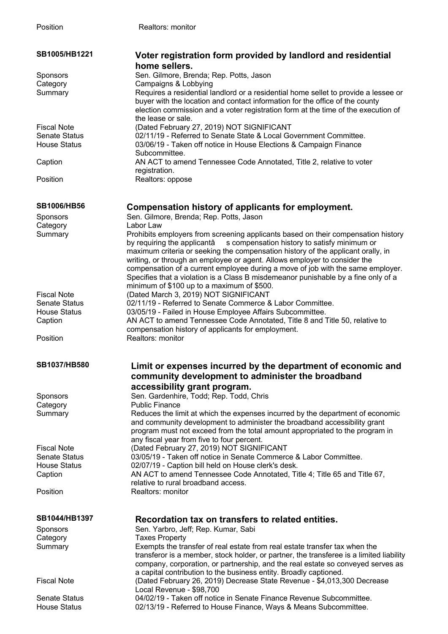| SB1005/HB1221        | Voter registration form provided by landlord and residential                            |
|----------------------|-----------------------------------------------------------------------------------------|
|                      | home sellers.                                                                           |
| Sponsors             | Sen. Gilmore, Brenda; Rep. Potts, Jason                                                 |
| Category             | Campaigns & Lobbying                                                                    |
| Summary              | Requires a residential landlord or a residential home sellet to provide a lessee or     |
|                      | buyer with the location and contact information for the office of the county            |
|                      |                                                                                         |
|                      | election commission and a voter registration form at the time of the execution of       |
|                      | the lease or sale.                                                                      |
| <b>Fiscal Note</b>   | (Dated February 27, 2019) NOT SIGNIFICANT                                               |
| <b>Senate Status</b> | 02/11/19 - Referred to Senate State & Local Government Committee.                       |
| <b>House Status</b>  | 03/06/19 - Taken off notice in House Elections & Campaign Finance                       |
|                      | Subcommittee.                                                                           |
| Caption              | AN ACT to amend Tennessee Code Annotated, Title 2, relative to voter                    |
|                      | registration.                                                                           |
| Position             | Realtors: oppose                                                                        |
|                      |                                                                                         |
|                      |                                                                                         |
| <b>SB1006/HB56</b>   | Compensation history of applicants for employment.                                      |
| Sponsors             | Sen. Gilmore, Brenda; Rep. Potts, Jason                                                 |
| Category             | Labor Law                                                                               |
| Summary              | Prohibits employers from screening applicants based on their compensation history       |
|                      | by requiring the applicantâ<br>s compensation history to satisfy minimum or             |
|                      | maximum criteria or seeking the compensation history of the applicant orally, in        |
|                      | writing, or through an employee or agent. Allows employer to consider the               |
|                      | compensation of a current employee during a move of job with the same employer.         |
|                      | Specifies that a violation is a Class B misdemeanor punishable by a fine only of a      |
|                      |                                                                                         |
|                      | minimum of \$100 up to a maximum of \$500.                                              |
| <b>Fiscal Note</b>   | (Dated March 3, 2019) NOT SIGNIFICANT                                                   |
| <b>Senate Status</b> | 02/11/19 - Referred to Senate Commerce & Labor Committee.                               |
| <b>House Status</b>  | 03/05/19 - Failed in House Employee Affairs Subcommittee.                               |
| Caption              | AN ACT to amend Tennessee Code Annotated, Title 8 and Title 50, relative to             |
|                      | compensation history of applicants for employment.                                      |
| Position             | Realtors: monitor                                                                       |
|                      |                                                                                         |
|                      |                                                                                         |
| <b>SB1037/HB580</b>  | Limit or expenses incurred by the department of economic and                            |
|                      | community development to administer the broadband                                       |
|                      |                                                                                         |
|                      | accessibility grant program.                                                            |
| <b>Sponsors</b>      | Sen. Gardenhire, Todd; Rep. Todd, Chris                                                 |
| Category             | <b>Public Finance</b>                                                                   |
| Summary              | Reduces the limit at which the expenses incurred by the department of economic          |
|                      | and community development to administer the broadband accessibility grant               |
|                      | program must not exceed from the total amount appropriated to the program in            |
|                      | any fiscal year from five to four percent.                                              |
| <b>Fiscal Note</b>   | (Dated February 27, 2019) NOT SIGNIFICANT                                               |
| <b>Senate Status</b> | 03/05/19 - Taken off notice in Senate Commerce & Labor Committee.                       |
| <b>House Status</b>  | 02/07/19 - Caption bill held on House clerk's desk.                                     |
| Caption              | AN ACT to amend Tennessee Code Annotated, Title 4; Title 65 and Title 67,               |
|                      | relative to rural broadband access.                                                     |
| Position             | Realtors: monitor                                                                       |
|                      |                                                                                         |
|                      |                                                                                         |
|                      |                                                                                         |
|                      |                                                                                         |
| SB1044/HB1397        | Recordation tax on transfers to related entities.                                       |
| <b>Sponsors</b>      | Sen. Yarbro, Jeff; Rep. Kumar, Sabi                                                     |
| Category             | <b>Taxes Property</b>                                                                   |
| Summary              | Exempts the transfer of real estate from real estate transfer tax when the              |
|                      | transferor is a member, stock holder, or partner, the transferee is a limited liability |
|                      | company, corporation, or partnership, and the real estate so conveyed serves as         |
|                      | a capital contribution to the business entity. Broadly captioned.                       |
| <b>Fiscal Note</b>   | (Dated February 26, 2019) Decrease State Revenue - \$4,013,300 Decrease                 |
|                      | Local Revenue - \$98,700                                                                |
| <b>Senate Status</b> | 04/02/19 - Taken off notice in Senate Finance Revenue Subcommittee.                     |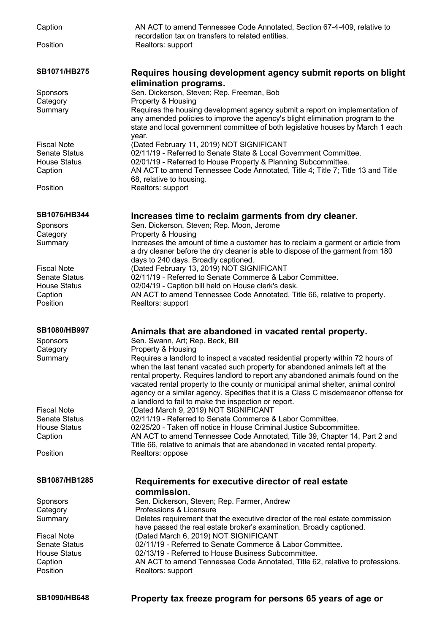Caption AN ACT to amend Tennessee Code Annotated, Section 67-4-409, relative to recordation tax on transfers to related entities. Position Realtors: support **SB1071/HB275 Requires housing development agency submit reports on blight elimination programs.** Sponsors Sen. Dickerson, Steven; Rep. Freeman, Bob Category **Property & Housing** Summary Requires the housing development agency submit a report on implementation of any amended policies to improve the agency's blight elimination program to the state and local government committee of both legislative houses by March 1 each year. Fiscal Note (Dated February 11, 2019) NOT SIGNIFICANT<br>Senate Status 02/11/19 - Referred to Senate State & Local Go Senate Status 02/11/19 - Referred to Senate State & Local Government Committee.<br>House Status 02/01/19 - Referred to House Property & Planning Subcommittee. 02/01/19 - Referred to House Property & Planning Subcommittee. Caption AN ACT to amend Tennessee Code Annotated, Title 4; Title 7; Title 13 and Title 68, relative to housing. Position Realtors: support **SB1076/HB344 Increases time to reclaim garments from dry cleaner.** Sponsors Sen. Dickerson, Steven; Rep. Moon, Jerome Category **Property & Housing** Summary Increases the amount of time a customer has to reclaim a garment or article from a dry cleaner before the dry cleaner is able to dispose of the garment from 180 days to 240 days. Broadly captioned. Fiscal Note (Dated February 13, 2019) NOT SIGNIFICANT Senate Status 02/11/19 - Referred to Senate Commerce & Labor Committee. House Status 02/04/19 - Caption bill held on House clerk's desk. Caption AN ACT to amend Tennessee Code Annotated, Title 66, relative to property. Position Realtors: support **SB1080/HB997 Animals that are abandoned in vacated rental property.** Sponsors Sen. Swann, Art; Rep. Beck, Bill Category **Property & Housing** Summary Requires a landlord to inspect a vacated residential property within 72 hours of when the last tenant vacated such property for abandoned animals left at the rental property. Requires landlord to report any abandoned animals found on the vacated rental property to the county or municipal animal shelter, animal control agency or a similar agency. Specifies that it is a Class C misdemeanor offense for a landlord to fail to make the inspection or report. Fiscal Note (Dated March 9, 2019) NOT SIGNIFICANT Senate Status 02/11/19 - Referred to Senate Commerce & Labor Committee. House Status 02/25/20 - Taken off notice in House Criminal Justice Subcommittee. Caption AN ACT to amend Tennessee Code Annotated, Title 39, Chapter 14, Part 2 and Title 66, relative to animals that are abandoned in vacated rental property. Position Realtors: oppose **SB1087/HB1285 Requirements for executive director of real estate commission.** Sponsors Sen. Dickerson, Steven; Rep. Farmer, Andrew Category **Professions & Licensure** Summary Deletes requirement that the executive director of the real estate commission have passed the real estate broker's examination. Broadly captioned. Fiscal Note (Dated March 6, 2019) NOT SIGNIFICANT Senate Status 02/11/19 - Referred to Senate Commerce & Labor Committee. House Status 02/13/19 - Referred to House Business Subcommittee. Caption AN ACT to amend Tennessee Code Annotated, Title 62, relative to professions. Position Realtors: support **SB1090/HB648 Property tax freeze program for persons 65 years of age or**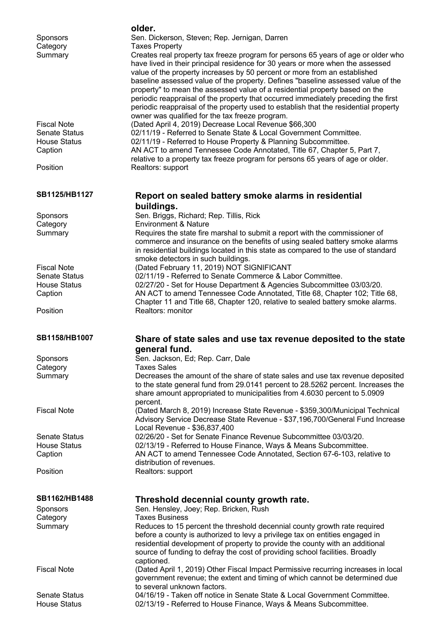| <b>Sponsors</b>                             | older.<br>Sen. Dickerson, Steven; Rep. Jernigan, Darren                                                                                                                                                                                                                                                                                                                                                                                                                                                                                                                                                                                                                       |
|---------------------------------------------|-------------------------------------------------------------------------------------------------------------------------------------------------------------------------------------------------------------------------------------------------------------------------------------------------------------------------------------------------------------------------------------------------------------------------------------------------------------------------------------------------------------------------------------------------------------------------------------------------------------------------------------------------------------------------------|
| Category<br>Summary                         | <b>Taxes Property</b><br>Creates real property tax freeze program for persons 65 years of age or older who<br>have lived in their principal residence for 30 years or more when the assessed<br>value of the property increases by 50 percent or more from an established<br>baseline assessed value of the property. Defines "baseline assessed value of the<br>property" to mean the assessed value of a residential property based on the<br>periodic reappraisal of the property that occurred immediately preceding the first<br>periodic reappraisal of the property used to establish that the residential property<br>owner was qualified for the tax freeze program. |
| <b>Fiscal Note</b>                          | (Dated April 4, 2019) Decrease Local Revenue \$66,300                                                                                                                                                                                                                                                                                                                                                                                                                                                                                                                                                                                                                         |
| <b>Senate Status</b><br><b>House Status</b> | 02/11/19 - Referred to Senate State & Local Government Committee.                                                                                                                                                                                                                                                                                                                                                                                                                                                                                                                                                                                                             |
| Caption                                     | 02/11/19 - Referred to House Property & Planning Subcommittee.<br>AN ACT to amend Tennessee Code Annotated, Title 67, Chapter 5, Part 7,                                                                                                                                                                                                                                                                                                                                                                                                                                                                                                                                      |
|                                             | relative to a property tax freeze program for persons 65 years of age or older.                                                                                                                                                                                                                                                                                                                                                                                                                                                                                                                                                                                               |
| Position                                    | Realtors: support                                                                                                                                                                                                                                                                                                                                                                                                                                                                                                                                                                                                                                                             |
| SB1125/HB1127                               | Report on sealed battery smoke alarms in residential<br>buildings.                                                                                                                                                                                                                                                                                                                                                                                                                                                                                                                                                                                                            |
| <b>Sponsors</b>                             | Sen. Briggs, Richard; Rep. Tillis, Rick                                                                                                                                                                                                                                                                                                                                                                                                                                                                                                                                                                                                                                       |
| Category<br>Summary                         | <b>Environment &amp; Nature</b><br>Requires the state fire marshal to submit a report with the commissioner of                                                                                                                                                                                                                                                                                                                                                                                                                                                                                                                                                                |
|                                             | commerce and insurance on the benefits of using sealed battery smoke alarms<br>in residential buildings located in this state as compared to the use of standard<br>smoke detectors in such buildings.                                                                                                                                                                                                                                                                                                                                                                                                                                                                        |
| <b>Fiscal Note</b><br><b>Senate Status</b>  | (Dated February 11, 2019) NOT SIGNIFICANT<br>02/11/19 - Referred to Senate Commerce & Labor Committee.                                                                                                                                                                                                                                                                                                                                                                                                                                                                                                                                                                        |
| <b>House Status</b>                         | 02/27/20 - Set for House Department & Agencies Subcommittee 03/03/20.                                                                                                                                                                                                                                                                                                                                                                                                                                                                                                                                                                                                         |
| Caption                                     | AN ACT to amend Tennessee Code Annotated, Title 68, Chapter 102; Title 68,                                                                                                                                                                                                                                                                                                                                                                                                                                                                                                                                                                                                    |
| Position                                    | Chapter 11 and Title 68, Chapter 120, relative to sealed battery smoke alarms.<br>Realtors: monitor                                                                                                                                                                                                                                                                                                                                                                                                                                                                                                                                                                           |
|                                             |                                                                                                                                                                                                                                                                                                                                                                                                                                                                                                                                                                                                                                                                               |
| SB1158/HB1007                               | Share of state sales and use tax revenue deposited to the state                                                                                                                                                                                                                                                                                                                                                                                                                                                                                                                                                                                                               |
|                                             | general fund.<br>Sen. Jackson, Ed; Rep. Carr, Dale                                                                                                                                                                                                                                                                                                                                                                                                                                                                                                                                                                                                                            |
| Sponsors<br>Category                        | <b>Taxes Sales</b>                                                                                                                                                                                                                                                                                                                                                                                                                                                                                                                                                                                                                                                            |
| Summary                                     | Decreases the amount of the share of state sales and use tax revenue deposited<br>to the state general fund from 29.0141 percent to 28.5262 percent. Increases the<br>share amount appropriated to municipalities from 4.6030 percent to 5.0909                                                                                                                                                                                                                                                                                                                                                                                                                               |
| <b>Fiscal Note</b>                          | percent.<br>(Dated March 8, 2019) Increase State Revenue - \$359,300/Municipal Technical<br>Advisory Service Decrease State Revenue - \$37,196,700/General Fund Increase                                                                                                                                                                                                                                                                                                                                                                                                                                                                                                      |
| <b>Senate Status</b>                        | Local Revenue - \$36,837,400<br>02/26/20 - Set for Senate Finance Revenue Subcommittee 03/03/20.                                                                                                                                                                                                                                                                                                                                                                                                                                                                                                                                                                              |
| <b>House Status</b>                         | 02/13/19 - Referred to House Finance, Ways & Means Subcommittee.                                                                                                                                                                                                                                                                                                                                                                                                                                                                                                                                                                                                              |
| Caption                                     | AN ACT to amend Tennessee Code Annotated, Section 67-6-103, relative to                                                                                                                                                                                                                                                                                                                                                                                                                                                                                                                                                                                                       |
| Position                                    | distribution of revenues.<br>Realtors: support                                                                                                                                                                                                                                                                                                                                                                                                                                                                                                                                                                                                                                |
|                                             |                                                                                                                                                                                                                                                                                                                                                                                                                                                                                                                                                                                                                                                                               |
| SB1162/HB1488                               | Threshold decennial county growth rate.                                                                                                                                                                                                                                                                                                                                                                                                                                                                                                                                                                                                                                       |
| <b>Sponsors</b><br>Category                 | Sen. Hensley, Joey; Rep. Bricken, Rush<br><b>Taxes Business</b>                                                                                                                                                                                                                                                                                                                                                                                                                                                                                                                                                                                                               |
| Summary                                     | Reduces to 15 percent the threshold decennial county growth rate required<br>before a county is authorized to levy a privilege tax on entities engaged in<br>residential development of property to provide the county with an additional<br>source of funding to defray the cost of providing school facilities. Broadly                                                                                                                                                                                                                                                                                                                                                     |
| <b>Fiscal Note</b>                          | captioned.<br>(Dated April 1, 2019) Other Fiscal Impact Permissive recurring increases in local<br>government revenue; the extent and timing of which cannot be determined due<br>to several unknown factors.                                                                                                                                                                                                                                                                                                                                                                                                                                                                 |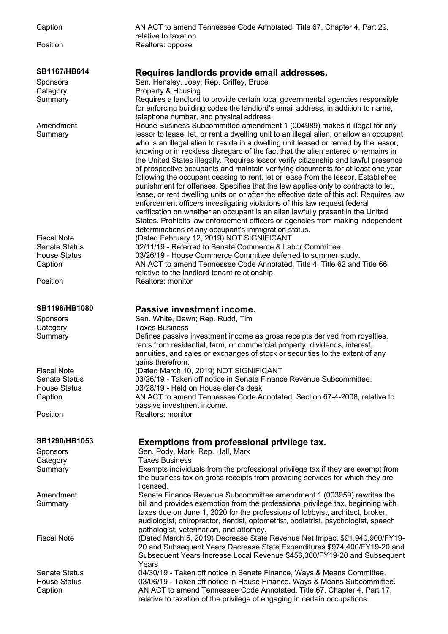| Caption                        | AN ACT to amend Tennessee Code Annotated, Title 67, Chapter 4, Part 29,<br>relative to taxation.                                                                                                                                                                                                                                                                                                                                                                                                                                                                                                                                                                                                                                                                                                                                                                                                                                                                                                                                                 |
|--------------------------------|--------------------------------------------------------------------------------------------------------------------------------------------------------------------------------------------------------------------------------------------------------------------------------------------------------------------------------------------------------------------------------------------------------------------------------------------------------------------------------------------------------------------------------------------------------------------------------------------------------------------------------------------------------------------------------------------------------------------------------------------------------------------------------------------------------------------------------------------------------------------------------------------------------------------------------------------------------------------------------------------------------------------------------------------------|
| Position                       | Realtors: oppose                                                                                                                                                                                                                                                                                                                                                                                                                                                                                                                                                                                                                                                                                                                                                                                                                                                                                                                                                                                                                                 |
| SB1167/HB614                   | Requires landlords provide email addresses.                                                                                                                                                                                                                                                                                                                                                                                                                                                                                                                                                                                                                                                                                                                                                                                                                                                                                                                                                                                                      |
| <b>Sponsors</b>                | Sen. Hensley, Joey; Rep. Griffey, Bruce                                                                                                                                                                                                                                                                                                                                                                                                                                                                                                                                                                                                                                                                                                                                                                                                                                                                                                                                                                                                          |
| Category                       | Property & Housing                                                                                                                                                                                                                                                                                                                                                                                                                                                                                                                                                                                                                                                                                                                                                                                                                                                                                                                                                                                                                               |
| Summary                        | Requires a landlord to provide certain local governmental agencies responsible<br>for enforcing building codes the landlord's email address, in addition to name,<br>telephone number, and physical address.                                                                                                                                                                                                                                                                                                                                                                                                                                                                                                                                                                                                                                                                                                                                                                                                                                     |
| Amendment<br>Summary           | House Business Subcommittee amendment 1 (004989) makes it illegal for any<br>lessor to lease, let, or rent a dwelling unit to an illegal alien, or allow an occupant<br>who is an illegal alien to reside in a dwelling unit leased or rented by the lessor,<br>knowing or in reckless disregard of the fact that the alien entered or remains in<br>the United States illegally. Requires lessor verify citizenship and lawful presence<br>of prospective occupants and maintain verifying documents for at least one year<br>following the occupant ceasing to rent, let or lease from the lessor. Establishes<br>punishment for offenses. Specifies that the law applies only to contracts to let,<br>lease, or rent dwelling units on or after the effective date of this act. Requires law<br>enforcement officers investigating violations of this law request federal<br>verification on whether an occupant is an alien lawfully present in the United<br>States. Prohibits law enforcement officers or agencies from making independent |
|                                | determinations of any occupant's immigration status.                                                                                                                                                                                                                                                                                                                                                                                                                                                                                                                                                                                                                                                                                                                                                                                                                                                                                                                                                                                             |
| <b>Fiscal Note</b>             | (Dated February 12, 2019) NOT SIGNIFICANT                                                                                                                                                                                                                                                                                                                                                                                                                                                                                                                                                                                                                                                                                                                                                                                                                                                                                                                                                                                                        |
| <b>Senate Status</b>           | 02/11/19 - Referred to Senate Commerce & Labor Committee.                                                                                                                                                                                                                                                                                                                                                                                                                                                                                                                                                                                                                                                                                                                                                                                                                                                                                                                                                                                        |
| <b>House Status</b><br>Caption | 03/26/19 - House Commerce Committee deferred to summer study.<br>AN ACT to amend Tennessee Code Annotated, Title 4; Title 62 and Title 66,<br>relative to the landlord tenant relationship.                                                                                                                                                                                                                                                                                                                                                                                                                                                                                                                                                                                                                                                                                                                                                                                                                                                      |
| Position                       | Realtors: monitor                                                                                                                                                                                                                                                                                                                                                                                                                                                                                                                                                                                                                                                                                                                                                                                                                                                                                                                                                                                                                                |
| <b>SB1198/HB1080</b>           | Passive investment income.                                                                                                                                                                                                                                                                                                                                                                                                                                                                                                                                                                                                                                                                                                                                                                                                                                                                                                                                                                                                                       |
| <b>Sponsors</b>                | Sen. White, Dawn; Rep. Rudd, Tim                                                                                                                                                                                                                                                                                                                                                                                                                                                                                                                                                                                                                                                                                                                                                                                                                                                                                                                                                                                                                 |
| Category                       | <b>Taxes Business</b>                                                                                                                                                                                                                                                                                                                                                                                                                                                                                                                                                                                                                                                                                                                                                                                                                                                                                                                                                                                                                            |
| Summary                        | Defines passive investment income as gross receipts derived from royalties,<br>rents from residential, farm, or commercial property, dividends, interest,<br>annuities, and sales or exchanges of stock or securities to the extent of any<br>gains therefrom.                                                                                                                                                                                                                                                                                                                                                                                                                                                                                                                                                                                                                                                                                                                                                                                   |
| <b>Fiscal Note</b>             | (Dated March 10, 2019) NOT SIGNIFICANT                                                                                                                                                                                                                                                                                                                                                                                                                                                                                                                                                                                                                                                                                                                                                                                                                                                                                                                                                                                                           |
| <b>Senate Status</b>           | 03/26/19 - Taken off notice in Senate Finance Revenue Subcommittee.                                                                                                                                                                                                                                                                                                                                                                                                                                                                                                                                                                                                                                                                                                                                                                                                                                                                                                                                                                              |
| <b>House Status</b>            | 03/28/19 - Held on House clerk's desk.                                                                                                                                                                                                                                                                                                                                                                                                                                                                                                                                                                                                                                                                                                                                                                                                                                                                                                                                                                                                           |
| Caption                        | AN ACT to amend Tennessee Code Annotated, Section 67-4-2008, relative to<br>passive investment income.                                                                                                                                                                                                                                                                                                                                                                                                                                                                                                                                                                                                                                                                                                                                                                                                                                                                                                                                           |
| Position                       | Realtors: monitor                                                                                                                                                                                                                                                                                                                                                                                                                                                                                                                                                                                                                                                                                                                                                                                                                                                                                                                                                                                                                                |
| <b>SB1290/HB1053</b>           | Exemptions from professional privilege tax.                                                                                                                                                                                                                                                                                                                                                                                                                                                                                                                                                                                                                                                                                                                                                                                                                                                                                                                                                                                                      |
| <b>Sponsors</b>                | Sen. Pody, Mark; Rep. Hall, Mark<br><b>Taxes Business</b>                                                                                                                                                                                                                                                                                                                                                                                                                                                                                                                                                                                                                                                                                                                                                                                                                                                                                                                                                                                        |
| Category<br>Summary            | Exempts individuals from the professional privilege tax if they are exempt from                                                                                                                                                                                                                                                                                                                                                                                                                                                                                                                                                                                                                                                                                                                                                                                                                                                                                                                                                                  |
|                                | the business tax on gross receipts from providing services for which they are<br>licensed.                                                                                                                                                                                                                                                                                                                                                                                                                                                                                                                                                                                                                                                                                                                                                                                                                                                                                                                                                       |
| Amendment                      | Senate Finance Revenue Subcommittee amendment 1 (003959) rewrites the                                                                                                                                                                                                                                                                                                                                                                                                                                                                                                                                                                                                                                                                                                                                                                                                                                                                                                                                                                            |
| Summary                        | bill and provides exemption from the professional privilege tax, beginning with<br>taxes due on June 1, 2020 for the professions of lobbyist, architect, broker,<br>audiologist, chiropractor, dentist, optometrist, podiatrist, psychologist, speech<br>pathologist, veterinarian, and attorney.                                                                                                                                                                                                                                                                                                                                                                                                                                                                                                                                                                                                                                                                                                                                                |
| <b>Fiscal Note</b>             | (Dated March 5, 2019) Decrease State Revenue Net Impact \$91,940,900/FY19-<br>20 and Subsequent Years Decrease State Expenditures \$974,400/FY19-20 and<br>Subsequent Years Increase Local Revenue \$456,300/FY19-20 and Subsequent<br>Years                                                                                                                                                                                                                                                                                                                                                                                                                                                                                                                                                                                                                                                                                                                                                                                                     |
| <b>Senate Status</b>           | 04/30/19 - Taken off notice in Senate Finance, Ways & Means Committee.                                                                                                                                                                                                                                                                                                                                                                                                                                                                                                                                                                                                                                                                                                                                                                                                                                                                                                                                                                           |
| <b>House Status</b><br>Caption | 03/06/19 - Taken off notice in House Finance, Ways & Means Subcommittee.<br>AN ACT to amend Tennessee Code Annotated, Title 67, Chapter 4, Part 17,<br>relative to taxation of the privilege of engaging in certain occupations.                                                                                                                                                                                                                                                                                                                                                                                                                                                                                                                                                                                                                                                                                                                                                                                                                 |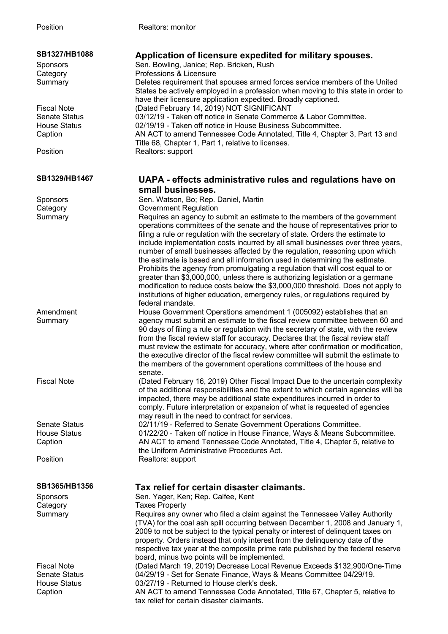| SB1327/HB1088<br>Sponsors<br>Category<br>Summary                             | Application of licensure expedited for military spouses.<br>Sen. Bowling, Janice; Rep. Bricken, Rush<br>Professions & Licensure<br>Deletes requirement that spouses armed forces service members of the United<br>States be actively employed in a profession when moving to this state in order to<br>have their licensure application expedited. Broadly captioned.                                                                                                                                                                                                                                                                                                                                                                                                                                                                  |
|------------------------------------------------------------------------------|----------------------------------------------------------------------------------------------------------------------------------------------------------------------------------------------------------------------------------------------------------------------------------------------------------------------------------------------------------------------------------------------------------------------------------------------------------------------------------------------------------------------------------------------------------------------------------------------------------------------------------------------------------------------------------------------------------------------------------------------------------------------------------------------------------------------------------------|
| <b>Fiscal Note</b><br><b>Senate Status</b><br><b>House Status</b><br>Caption | (Dated February 14, 2019) NOT SIGNIFICANT<br>03/12/19 - Taken off notice in Senate Commerce & Labor Committee.<br>02/19/19 - Taken off notice in House Business Subcommittee.<br>AN ACT to amend Tennessee Code Annotated, Title 4, Chapter 3, Part 13 and<br>Title 68, Chapter 1, Part 1, relative to licenses.                                                                                                                                                                                                                                                                                                                                                                                                                                                                                                                       |
| Position                                                                     | Realtors: support                                                                                                                                                                                                                                                                                                                                                                                                                                                                                                                                                                                                                                                                                                                                                                                                                      |
| SB1329/HB1467                                                                | UAPA - effects administrative rules and regulations have on                                                                                                                                                                                                                                                                                                                                                                                                                                                                                                                                                                                                                                                                                                                                                                            |
|                                                                              | small businesses.                                                                                                                                                                                                                                                                                                                                                                                                                                                                                                                                                                                                                                                                                                                                                                                                                      |
| Sponsors                                                                     | Sen. Watson, Bo; Rep. Daniel, Martin                                                                                                                                                                                                                                                                                                                                                                                                                                                                                                                                                                                                                                                                                                                                                                                                   |
| Category                                                                     | <b>Government Regulation</b>                                                                                                                                                                                                                                                                                                                                                                                                                                                                                                                                                                                                                                                                                                                                                                                                           |
| Summary                                                                      | Requires an agency to submit an estimate to the members of the government<br>operations committees of the senate and the house of representatives prior to<br>filing a rule or regulation with the secretary of state. Orders the estimate to<br>include implementation costs incurred by all small businesses over three years,<br>number of small businesses affected by the regulation, reasoning upon which<br>the estimate is based and all information used in determining the estimate.<br>Prohibits the agency from promulgating a regulation that will cost equal to or<br>greater than \$3,000,000, unless there is authorizing legislation or a germane<br>modification to reduce costs below the \$3,000,000 threshold. Does not apply to<br>institutions of higher education, emergency rules, or regulations required by |
|                                                                              | federal mandate.                                                                                                                                                                                                                                                                                                                                                                                                                                                                                                                                                                                                                                                                                                                                                                                                                       |
| Amendment<br>Summary                                                         | House Government Operations amendment 1 (005092) establishes that an<br>agency must submit an estimate to the fiscal review committee between 60 and<br>90 days of filing a rule or regulation with the secretary of state, with the review<br>from the fiscal review staff for accuracy. Declares that the fiscal review staff<br>must review the estimate for accuracy, where after confirmation or modification,<br>the executive director of the fiscal review committee will submit the estimate to<br>the members of the government operations committees of the house and<br>senate.                                                                                                                                                                                                                                            |
| <b>Fiscal Note</b>                                                           | (Dated February 16, 2019) Other Fiscal Impact Due to the uncertain complexity<br>of the additional responsibilities and the extent to which certain agencies will be<br>impacted, there may be additional state expenditures incurred in order to<br>comply. Future interpretation or expansion of what is requested of agencies<br>may result in the need to contract for services.                                                                                                                                                                                                                                                                                                                                                                                                                                                   |
| <b>Senate Status</b>                                                         | 02/11/19 - Referred to Senate Government Operations Committee.                                                                                                                                                                                                                                                                                                                                                                                                                                                                                                                                                                                                                                                                                                                                                                         |
| <b>House Status</b>                                                          | 01/22/20 - Taken off notice in House Finance, Ways & Means Subcommittee.                                                                                                                                                                                                                                                                                                                                                                                                                                                                                                                                                                                                                                                                                                                                                               |
| Caption                                                                      | AN ACT to amend Tennessee Code Annotated, Title 4, Chapter 5, relative to                                                                                                                                                                                                                                                                                                                                                                                                                                                                                                                                                                                                                                                                                                                                                              |
|                                                                              | the Uniform Administrative Procedures Act.                                                                                                                                                                                                                                                                                                                                                                                                                                                                                                                                                                                                                                                                                                                                                                                             |
| Position                                                                     | Realtors: support                                                                                                                                                                                                                                                                                                                                                                                                                                                                                                                                                                                                                                                                                                                                                                                                                      |
| SB1365/HB1356                                                                | Tax relief for certain disaster claimants.                                                                                                                                                                                                                                                                                                                                                                                                                                                                                                                                                                                                                                                                                                                                                                                             |
| Sponsors                                                                     | Sen. Yager, Ken; Rep. Calfee, Kent                                                                                                                                                                                                                                                                                                                                                                                                                                                                                                                                                                                                                                                                                                                                                                                                     |
| Category                                                                     | <b>Taxes Property</b>                                                                                                                                                                                                                                                                                                                                                                                                                                                                                                                                                                                                                                                                                                                                                                                                                  |
| Summary                                                                      | Requires any owner who filed a claim against the Tennessee Valley Authority<br>(TVA) for the coal ash spill occurring between December 1, 2008 and January 1,<br>2009 to not be subject to the typical penalty or interest of delinquent taxes on<br>property. Orders instead that only interest from the delinguency date of the<br>respective tax year at the composite prime rate published by the federal reserve<br>board, minus two points will be implemented.                                                                                                                                                                                                                                                                                                                                                                  |
| <b>Fiscal Note</b>                                                           | (Dated March 19, 2019) Decrease Local Revenue Exceeds \$132,900/One-Time                                                                                                                                                                                                                                                                                                                                                                                                                                                                                                                                                                                                                                                                                                                                                               |
| <b>Senate Status</b><br><b>House Status</b><br>Caption                       | 04/29/19 - Set for Senate Finance, Ways & Means Committee 04/29/19.<br>03/27/19 - Returned to House clerk's desk.<br>AN ACT to amend Tennessee Code Annotated, Title 67, Chapter 5, relative to                                                                                                                                                                                                                                                                                                                                                                                                                                                                                                                                                                                                                                        |

tax relief for certain disaster claimants.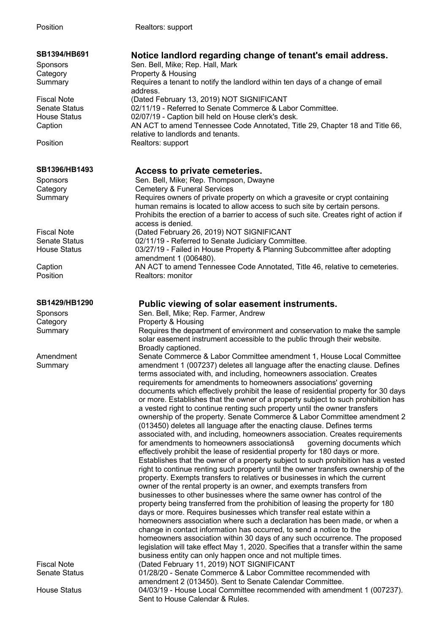| SB1394/HB691<br>Sponsors<br>Category                                         | Notice landlord regarding change of tenant's email address.<br>Sen. Bell, Mike; Rep. Hall, Mark<br>Property & Housing                                                                                                                                                                                                                                                                                                                                                                                                                                                                                                                                                                                                                                                                                                                                                                                                                                                                                                                                                                                                                                                                                                                                                                                                                                                                                                                                                                                                                                                                                                                                                                                                                                                                                                                                                                                                        |
|------------------------------------------------------------------------------|------------------------------------------------------------------------------------------------------------------------------------------------------------------------------------------------------------------------------------------------------------------------------------------------------------------------------------------------------------------------------------------------------------------------------------------------------------------------------------------------------------------------------------------------------------------------------------------------------------------------------------------------------------------------------------------------------------------------------------------------------------------------------------------------------------------------------------------------------------------------------------------------------------------------------------------------------------------------------------------------------------------------------------------------------------------------------------------------------------------------------------------------------------------------------------------------------------------------------------------------------------------------------------------------------------------------------------------------------------------------------------------------------------------------------------------------------------------------------------------------------------------------------------------------------------------------------------------------------------------------------------------------------------------------------------------------------------------------------------------------------------------------------------------------------------------------------------------------------------------------------------------------------------------------------|
| Summary                                                                      | Requires a tenant to notify the landlord within ten days of a change of email<br>address.                                                                                                                                                                                                                                                                                                                                                                                                                                                                                                                                                                                                                                                                                                                                                                                                                                                                                                                                                                                                                                                                                                                                                                                                                                                                                                                                                                                                                                                                                                                                                                                                                                                                                                                                                                                                                                    |
| <b>Fiscal Note</b><br><b>Senate Status</b><br><b>House Status</b><br>Caption | (Dated February 13, 2019) NOT SIGNIFICANT<br>02/11/19 - Referred to Senate Commerce & Labor Committee.<br>02/07/19 - Caption bill held on House clerk's desk.<br>AN ACT to amend Tennessee Code Annotated, Title 29, Chapter 18 and Title 66,<br>relative to landlords and tenants.                                                                                                                                                                                                                                                                                                                                                                                                                                                                                                                                                                                                                                                                                                                                                                                                                                                                                                                                                                                                                                                                                                                                                                                                                                                                                                                                                                                                                                                                                                                                                                                                                                          |
| Position                                                                     | Realtors: support                                                                                                                                                                                                                                                                                                                                                                                                                                                                                                                                                                                                                                                                                                                                                                                                                                                                                                                                                                                                                                                                                                                                                                                                                                                                                                                                                                                                                                                                                                                                                                                                                                                                                                                                                                                                                                                                                                            |
| SB1396/HB1493                                                                | Access to private cemeteries.                                                                                                                                                                                                                                                                                                                                                                                                                                                                                                                                                                                                                                                                                                                                                                                                                                                                                                                                                                                                                                                                                                                                                                                                                                                                                                                                                                                                                                                                                                                                                                                                                                                                                                                                                                                                                                                                                                |
| Sponsors                                                                     | Sen. Bell, Mike; Rep. Thompson, Dwayne                                                                                                                                                                                                                                                                                                                                                                                                                                                                                                                                                                                                                                                                                                                                                                                                                                                                                                                                                                                                                                                                                                                                                                                                                                                                                                                                                                                                                                                                                                                                                                                                                                                                                                                                                                                                                                                                                       |
| Category                                                                     | <b>Cemetery &amp; Funeral Services</b>                                                                                                                                                                                                                                                                                                                                                                                                                                                                                                                                                                                                                                                                                                                                                                                                                                                                                                                                                                                                                                                                                                                                                                                                                                                                                                                                                                                                                                                                                                                                                                                                                                                                                                                                                                                                                                                                                       |
| Summary                                                                      | Requires owners of private property on which a gravesite or crypt containing                                                                                                                                                                                                                                                                                                                                                                                                                                                                                                                                                                                                                                                                                                                                                                                                                                                                                                                                                                                                                                                                                                                                                                                                                                                                                                                                                                                                                                                                                                                                                                                                                                                                                                                                                                                                                                                 |
|                                                                              | human remains is located to allow access to such site by certain persons.<br>Prohibits the erection of a barrier to access of such site. Creates right of action if<br>access is denied.                                                                                                                                                                                                                                                                                                                                                                                                                                                                                                                                                                                                                                                                                                                                                                                                                                                                                                                                                                                                                                                                                                                                                                                                                                                                                                                                                                                                                                                                                                                                                                                                                                                                                                                                     |
| <b>Fiscal Note</b>                                                           | (Dated February 26, 2019) NOT SIGNIFICANT                                                                                                                                                                                                                                                                                                                                                                                                                                                                                                                                                                                                                                                                                                                                                                                                                                                                                                                                                                                                                                                                                                                                                                                                                                                                                                                                                                                                                                                                                                                                                                                                                                                                                                                                                                                                                                                                                    |
| <b>Senate Status</b>                                                         | 02/11/19 - Referred to Senate Judiciary Committee.                                                                                                                                                                                                                                                                                                                                                                                                                                                                                                                                                                                                                                                                                                                                                                                                                                                                                                                                                                                                                                                                                                                                                                                                                                                                                                                                                                                                                                                                                                                                                                                                                                                                                                                                                                                                                                                                           |
| <b>House Status</b>                                                          | 03/27/19 - Failed in House Property & Planning Subcommittee after adopting<br>amendment 1 (006480).                                                                                                                                                                                                                                                                                                                                                                                                                                                                                                                                                                                                                                                                                                                                                                                                                                                                                                                                                                                                                                                                                                                                                                                                                                                                                                                                                                                                                                                                                                                                                                                                                                                                                                                                                                                                                          |
| Caption                                                                      | AN ACT to amend Tennessee Code Annotated, Title 46, relative to cemeteries.                                                                                                                                                                                                                                                                                                                                                                                                                                                                                                                                                                                                                                                                                                                                                                                                                                                                                                                                                                                                                                                                                                                                                                                                                                                                                                                                                                                                                                                                                                                                                                                                                                                                                                                                                                                                                                                  |
| Position                                                                     | Realtors: monitor                                                                                                                                                                                                                                                                                                                                                                                                                                                                                                                                                                                                                                                                                                                                                                                                                                                                                                                                                                                                                                                                                                                                                                                                                                                                                                                                                                                                                                                                                                                                                                                                                                                                                                                                                                                                                                                                                                            |
|                                                                              |                                                                                                                                                                                                                                                                                                                                                                                                                                                                                                                                                                                                                                                                                                                                                                                                                                                                                                                                                                                                                                                                                                                                                                                                                                                                                                                                                                                                                                                                                                                                                                                                                                                                                                                                                                                                                                                                                                                              |
| SB1429/HB1290                                                                | Public viewing of solar easement instruments.                                                                                                                                                                                                                                                                                                                                                                                                                                                                                                                                                                                                                                                                                                                                                                                                                                                                                                                                                                                                                                                                                                                                                                                                                                                                                                                                                                                                                                                                                                                                                                                                                                                                                                                                                                                                                                                                                |
| Sponsors                                                                     | Sen. Bell, Mike; Rep. Farmer, Andrew                                                                                                                                                                                                                                                                                                                                                                                                                                                                                                                                                                                                                                                                                                                                                                                                                                                                                                                                                                                                                                                                                                                                                                                                                                                                                                                                                                                                                                                                                                                                                                                                                                                                                                                                                                                                                                                                                         |
| Category                                                                     | Property & Housing                                                                                                                                                                                                                                                                                                                                                                                                                                                                                                                                                                                                                                                                                                                                                                                                                                                                                                                                                                                                                                                                                                                                                                                                                                                                                                                                                                                                                                                                                                                                                                                                                                                                                                                                                                                                                                                                                                           |
| Summary                                                                      | Requires the department of environment and conservation to make the sample<br>solar easement instrument accessible to the public through their website.<br>Broadly captioned.                                                                                                                                                                                                                                                                                                                                                                                                                                                                                                                                                                                                                                                                                                                                                                                                                                                                                                                                                                                                                                                                                                                                                                                                                                                                                                                                                                                                                                                                                                                                                                                                                                                                                                                                                |
| Amendment<br>Summary                                                         | Senate Commerce & Labor Committee amendment 1, House Local Committee<br>amendment 1 (007237) deletes all language after the enacting clause. Defines<br>terms associated with, and including, homeowners association. Creates<br>requirements for amendments to homeowners associations' governing<br>documents which effectively prohibit the lease of residential property for 30 days<br>or more. Establishes that the owner of a property subject to such prohibition has<br>a vested right to continue renting such property until the owner transfers<br>ownership of the property. Senate Commerce & Labor Committee amendment 2<br>(013450) deletes all language after the enacting clause. Defines terms<br>associated with, and including, homeowners association. Creates requirements<br>for amendments to homeowners associationsâ<br>governing documents which<br>effectively prohibit the lease of residential property for 180 days or more.<br>Establishes that the owner of a property subject to such prohibition has a vested<br>right to continue renting such property until the owner transfers ownership of the<br>property. Exempts transfers to relatives or businesses in which the current<br>owner of the rental property is an owner, and exempts transfers from<br>businesses to other businesses where the same owner has control of the<br>property being transferred from the prohibition of leasing the property for 180<br>days or more. Requires businesses which transfer real estate within a<br>homeowners association where such a declaration has been made, or when a<br>change in contact information has occurred, to send a notice to the<br>homeowners association within 30 days of any such occurrence. The proposed<br>legislation will take effect May 1, 2020. Specifies that a transfer within the same<br>business entity can only happen once and not multiple times. |
| <b>Fiscal Note</b><br><b>Senate Status</b>                                   | (Dated February 11, 2019) NOT SIGNIFICANT<br>01/28/20 - Senate Commerce & Labor Committee recommended with                                                                                                                                                                                                                                                                                                                                                                                                                                                                                                                                                                                                                                                                                                                                                                                                                                                                                                                                                                                                                                                                                                                                                                                                                                                                                                                                                                                                                                                                                                                                                                                                                                                                                                                                                                                                                   |
|                                                                              | amendment 2 (013450). Sent to Senate Calendar Committee.                                                                                                                                                                                                                                                                                                                                                                                                                                                                                                                                                                                                                                                                                                                                                                                                                                                                                                                                                                                                                                                                                                                                                                                                                                                                                                                                                                                                                                                                                                                                                                                                                                                                                                                                                                                                                                                                     |

Sent to House Calendar & Rules.

House Status 04/03/19 - House Local Committee recommended with amendment 1 (007237).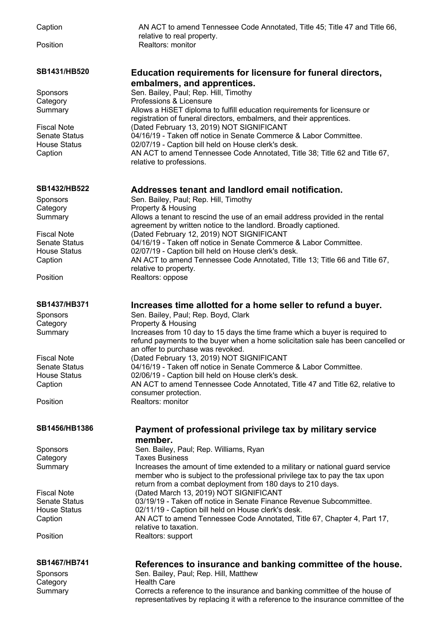| Caption                        | AN ACT to amend Tennessee Code Annotated, Title 45; Title 47 and Title 66,<br>relative to real property.                                                                                                                   |
|--------------------------------|----------------------------------------------------------------------------------------------------------------------------------------------------------------------------------------------------------------------------|
| Position                       | Realtors: monitor                                                                                                                                                                                                          |
| SB1431/HB520                   | Education requirements for licensure for funeral directors,                                                                                                                                                                |
|                                | embalmers, and apprentices.                                                                                                                                                                                                |
| Sponsors                       | Sen. Bailey, Paul; Rep. Hill, Timothy                                                                                                                                                                                      |
| Category                       | Professions & Licensure                                                                                                                                                                                                    |
| Summary                        | Allows a HiSET diploma to fulfill education requirements for licensure or<br>registration of funeral directors, embalmers, and their apprentices.                                                                          |
| <b>Fiscal Note</b>             | (Dated February 13, 2019) NOT SIGNIFICANT                                                                                                                                                                                  |
| Senate Status                  | 04/16/19 - Taken off notice in Senate Commerce & Labor Committee.                                                                                                                                                          |
| <b>House Status</b><br>Caption | 02/07/19 - Caption bill held on House clerk's desk.<br>AN ACT to amend Tennessee Code Annotated, Title 38; Title 62 and Title 67,<br>relative to professions.                                                              |
| SB1432/HB522                   | Addresses tenant and landlord email notification.                                                                                                                                                                          |
| Sponsors                       | Sen. Bailey, Paul; Rep. Hill, Timothy                                                                                                                                                                                      |
| Category                       | Property & Housing                                                                                                                                                                                                         |
| Summary                        | Allows a tenant to rescind the use of an email address provided in the rental<br>agreement by written notice to the landlord. Broadly captioned.                                                                           |
| <b>Fiscal Note</b>             | (Dated February 12, 2019) NOT SIGNIFICANT                                                                                                                                                                                  |
| <b>Senate Status</b>           | 04/16/19 - Taken off notice in Senate Commerce & Labor Committee.                                                                                                                                                          |
| <b>House Status</b><br>Caption | 02/07/19 - Caption bill held on House clerk's desk.<br>AN ACT to amend Tennessee Code Annotated, Title 13; Title 66 and Title 67,<br>relative to property.                                                                 |
| Position                       | Realtors: oppose                                                                                                                                                                                                           |
| SB1437/HB371                   | Increases time allotted for a home seller to refund a buyer.                                                                                                                                                               |
| Sponsors                       | Sen. Bailey, Paul; Rep. Boyd, Clark                                                                                                                                                                                        |
| Category                       | Property & Housing                                                                                                                                                                                                         |
| Summary                        | Increases from 10 day to 15 days the time frame which a buyer is required to<br>refund payments to the buyer when a home solicitation sale has been cancelled or<br>an offer to purchase was revoked.                      |
| <b>Fiscal Note</b>             | (Dated February 13, 2019) NOT SIGNIFICANT                                                                                                                                                                                  |
| Senate Status                  | 04/16/19 - Taken off notice in Senate Commerce & Labor Committee.                                                                                                                                                          |
| <b>House Status</b>            | 02/06/19 - Caption bill held on House clerk's desk.                                                                                                                                                                        |
| Caption                        | AN ACT to amend Tennessee Code Annotated, Title 47 and Title 62, relative to<br>consumer protection.                                                                                                                       |
| Position                       | Realtors: monitor                                                                                                                                                                                                          |
| SB1456/HB1386                  | Payment of professional privilege tax by military service<br>member.                                                                                                                                                       |
| Sponsors                       | Sen. Bailey, Paul; Rep. Williams, Ryan                                                                                                                                                                                     |
| Category                       | <b>Taxes Business</b>                                                                                                                                                                                                      |
| Summary                        | Increases the amount of time extended to a military or national guard service<br>member who is subject to the professional privilege tax to pay the tax upon<br>return from a combat deployment from 180 days to 210 days. |
| <b>Fiscal Note</b>             | (Dated March 13, 2019) NOT SIGNIFICANT                                                                                                                                                                                     |
| <b>Senate Status</b>           | 03/19/19 - Taken off notice in Senate Finance Revenue Subcommittee.                                                                                                                                                        |
| <b>House Status</b>            | 02/11/19 - Caption bill held on House clerk's desk.                                                                                                                                                                        |
| Caption                        | AN ACT to amend Tennessee Code Annotated, Title 67, Chapter 4, Part 17,                                                                                                                                                    |
|                                | relative to taxation.                                                                                                                                                                                                      |
| Position                       | Realtors: support                                                                                                                                                                                                          |
| SB1467/HB741                   | References to insurance and banking committee of the house.                                                                                                                                                                |
| Sponsors                       | Sen. Bailey, Paul; Rep. Hill, Matthew                                                                                                                                                                                      |
| Category                       | <b>Health Care</b>                                                                                                                                                                                                         |
| Summary                        | Corrects a reference to the insurance and banking committee of the house of                                                                                                                                                |

representatives by replacing it with a reference to the insurance committee of the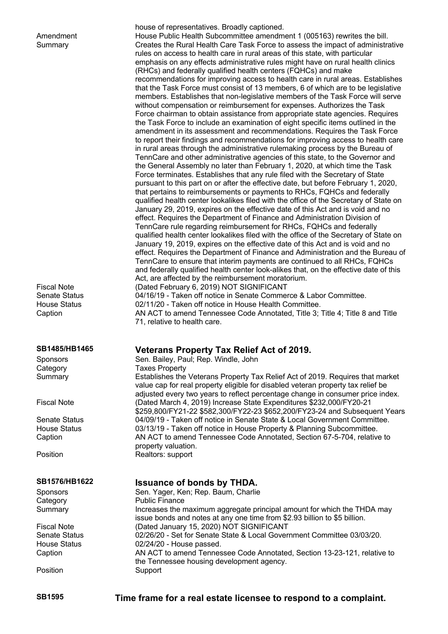| Amendment<br>Summary<br><b>Fiscal Note</b><br><b>Senate Status</b><br><b>House Status</b><br>Caption | house of representatives. Broadly captioned.<br>House Public Health Subcommittee amendment 1 (005163) rewrites the bill.<br>Creates the Rural Health Care Task Force to assess the impact of administrative<br>rules on access to health care in rural areas of this state, with particular<br>emphasis on any effects administrative rules might have on rural health clinics<br>(RHCs) and federally qualified health centers (FQHCs) and make<br>recommendations for improving access to health care in rural areas. Establishes<br>that the Task Force must consist of 13 members, 6 of which are to be legislative<br>members. Establishes that non-legislative members of the Task Force will serve<br>without compensation or reimbursement for expenses. Authorizes the Task<br>Force chairman to obtain assistance from appropriate state agencies. Requires<br>the Task Force to include an examination of eight specific items outlined in the<br>amendment in its assessment and recommendations. Requires the Task Force<br>to report their findings and recommendations for improving access to health care<br>in rural areas through the administrative rulemaking process by the Bureau of<br>TennCare and other administrative agencies of this state, to the Governor and<br>the General Assembly no later than February 1, 2020, at which time the Task<br>Force terminates. Establishes that any rule filed with the Secretary of State<br>pursuant to this part on or after the effective date, but before February 1, 2020,<br>that pertains to reimbursements or payments to RHCs, FQHCs and federally<br>qualified health center lookalikes filed with the office of the Secretary of State on<br>January 29, 2019, expires on the effective date of this Act and is void and no<br>effect. Requires the Department of Finance and Administration Division of<br>TennCare rule regarding reimbursement for RHCs, FQHCs and federally<br>qualified health center lookalikes filed with the office of the Secretary of State on<br>January 19, 2019, expires on the effective date of this Act and is void and no<br>effect. Requires the Department of Finance and Administration and the Bureau of<br>TennCare to ensure that interim payments are continued to all RHCs, FQHCs<br>and federally qualified health center look-alikes that, on the effective date of this<br>Act, are affected by the reimbursement moratorium.<br>(Dated February 6, 2019) NOT SIGNIFICANT<br>04/16/19 - Taken off notice in Senate Commerce & Labor Committee.<br>02/11/20 - Taken off notice in House Health Committee.<br>AN ACT to amend Tennessee Code Annotated, Title 3; Title 4; Title 8 and Title<br>71, relative to health care. |
|------------------------------------------------------------------------------------------------------|----------------------------------------------------------------------------------------------------------------------------------------------------------------------------------------------------------------------------------------------------------------------------------------------------------------------------------------------------------------------------------------------------------------------------------------------------------------------------------------------------------------------------------------------------------------------------------------------------------------------------------------------------------------------------------------------------------------------------------------------------------------------------------------------------------------------------------------------------------------------------------------------------------------------------------------------------------------------------------------------------------------------------------------------------------------------------------------------------------------------------------------------------------------------------------------------------------------------------------------------------------------------------------------------------------------------------------------------------------------------------------------------------------------------------------------------------------------------------------------------------------------------------------------------------------------------------------------------------------------------------------------------------------------------------------------------------------------------------------------------------------------------------------------------------------------------------------------------------------------------------------------------------------------------------------------------------------------------------------------------------------------------------------------------------------------------------------------------------------------------------------------------------------------------------------------------------------------------------------------------------------------------------------------------------------------------------------------------------------------------------------------------------------------------------------------------------------------------------------------------------------------------------------------------------------------------------------------------------------------------------------------------------------------------------------------------------------------------------------------------------|
| SB1485/HB1465                                                                                        | <b>Veterans Property Tax Relief Act of 2019.</b><br>Sen. Bailey, Paul; Rep. Windle, John                                                                                                                                                                                                                                                                                                                                                                                                                                                                                                                                                                                                                                                                                                                                                                                                                                                                                                                                                                                                                                                                                                                                                                                                                                                                                                                                                                                                                                                                                                                                                                                                                                                                                                                                                                                                                                                                                                                                                                                                                                                                                                                                                                                                                                                                                                                                                                                                                                                                                                                                                                                                                                                           |
| Sponsors<br>Category                                                                                 | <b>Taxes Property</b>                                                                                                                                                                                                                                                                                                                                                                                                                                                                                                                                                                                                                                                                                                                                                                                                                                                                                                                                                                                                                                                                                                                                                                                                                                                                                                                                                                                                                                                                                                                                                                                                                                                                                                                                                                                                                                                                                                                                                                                                                                                                                                                                                                                                                                                                                                                                                                                                                                                                                                                                                                                                                                                                                                                              |
| Summary                                                                                              | Establishes the Veterans Property Tax Relief Act of 2019. Requires that market                                                                                                                                                                                                                                                                                                                                                                                                                                                                                                                                                                                                                                                                                                                                                                                                                                                                                                                                                                                                                                                                                                                                                                                                                                                                                                                                                                                                                                                                                                                                                                                                                                                                                                                                                                                                                                                                                                                                                                                                                                                                                                                                                                                                                                                                                                                                                                                                                                                                                                                                                                                                                                                                     |
|                                                                                                      | value cap for real property eligible for disabled veteran property tax relief be                                                                                                                                                                                                                                                                                                                                                                                                                                                                                                                                                                                                                                                                                                                                                                                                                                                                                                                                                                                                                                                                                                                                                                                                                                                                                                                                                                                                                                                                                                                                                                                                                                                                                                                                                                                                                                                                                                                                                                                                                                                                                                                                                                                                                                                                                                                                                                                                                                                                                                                                                                                                                                                                   |
|                                                                                                      | adjusted every two years to reflect percentage change in consumer price index.                                                                                                                                                                                                                                                                                                                                                                                                                                                                                                                                                                                                                                                                                                                                                                                                                                                                                                                                                                                                                                                                                                                                                                                                                                                                                                                                                                                                                                                                                                                                                                                                                                                                                                                                                                                                                                                                                                                                                                                                                                                                                                                                                                                                                                                                                                                                                                                                                                                                                                                                                                                                                                                                     |
| <b>Fiscal Note</b>                                                                                   | (Dated March 4, 2019) Increase State Expenditures \$232,000/FY20-21<br>\$259,800/FY21-22 \$582,300/FY22-23 \$652,200/FY23-24 and Subsequent Years                                                                                                                                                                                                                                                                                                                                                                                                                                                                                                                                                                                                                                                                                                                                                                                                                                                                                                                                                                                                                                                                                                                                                                                                                                                                                                                                                                                                                                                                                                                                                                                                                                                                                                                                                                                                                                                                                                                                                                                                                                                                                                                                                                                                                                                                                                                                                                                                                                                                                                                                                                                                  |
| Senate Status                                                                                        | 04/09/19 - Taken off notice in Senate State & Local Government Committee.                                                                                                                                                                                                                                                                                                                                                                                                                                                                                                                                                                                                                                                                                                                                                                                                                                                                                                                                                                                                                                                                                                                                                                                                                                                                                                                                                                                                                                                                                                                                                                                                                                                                                                                                                                                                                                                                                                                                                                                                                                                                                                                                                                                                                                                                                                                                                                                                                                                                                                                                                                                                                                                                          |
| <b>House Status</b>                                                                                  | 03/13/19 - Taken off notice in House Property & Planning Subcommittee.                                                                                                                                                                                                                                                                                                                                                                                                                                                                                                                                                                                                                                                                                                                                                                                                                                                                                                                                                                                                                                                                                                                                                                                                                                                                                                                                                                                                                                                                                                                                                                                                                                                                                                                                                                                                                                                                                                                                                                                                                                                                                                                                                                                                                                                                                                                                                                                                                                                                                                                                                                                                                                                                             |
| Caption                                                                                              | AN ACT to amend Tennessee Code Annotated, Section 67-5-704, relative to                                                                                                                                                                                                                                                                                                                                                                                                                                                                                                                                                                                                                                                                                                                                                                                                                                                                                                                                                                                                                                                                                                                                                                                                                                                                                                                                                                                                                                                                                                                                                                                                                                                                                                                                                                                                                                                                                                                                                                                                                                                                                                                                                                                                                                                                                                                                                                                                                                                                                                                                                                                                                                                                            |
| Position                                                                                             | property valuation.<br>Realtors: support                                                                                                                                                                                                                                                                                                                                                                                                                                                                                                                                                                                                                                                                                                                                                                                                                                                                                                                                                                                                                                                                                                                                                                                                                                                                                                                                                                                                                                                                                                                                                                                                                                                                                                                                                                                                                                                                                                                                                                                                                                                                                                                                                                                                                                                                                                                                                                                                                                                                                                                                                                                                                                                                                                           |
|                                                                                                      |                                                                                                                                                                                                                                                                                                                                                                                                                                                                                                                                                                                                                                                                                                                                                                                                                                                                                                                                                                                                                                                                                                                                                                                                                                                                                                                                                                                                                                                                                                                                                                                                                                                                                                                                                                                                                                                                                                                                                                                                                                                                                                                                                                                                                                                                                                                                                                                                                                                                                                                                                                                                                                                                                                                                                    |

Sen. Yager, Ken; Rep. Baum, Charlie

the Tennessee housing development agency.

 $02/24/20$  - House passed.

## **SB1576/HB1622 Issuance of bonds by THDA.**<br>Sponsors **Spanning Sen. Yager, Ken**; Rep. Baum, Charlie

Category Public Finance Summary Increases the maximum aggregate principal amount for which the THDA may

Fiscal Note (Dated January 15, 2020) NOT SIGNIFICANT<br>Senate Status (2/26/20 - Set for Senate State & Local Govern Senate Status 02/26/20 - Set for Senate State & Local Government Committee 03/03/20.<br>House Status 02/24/20 - House passed. Caption AN ACT to amend Tennessee Code Annotated, Section 13-23-121, relative to

Position Support

**SB1595 Time frame for a real estate licensee to respond to a complaint.**

issue bonds and notes at any one time from \$2.93 billion to \$5 billion.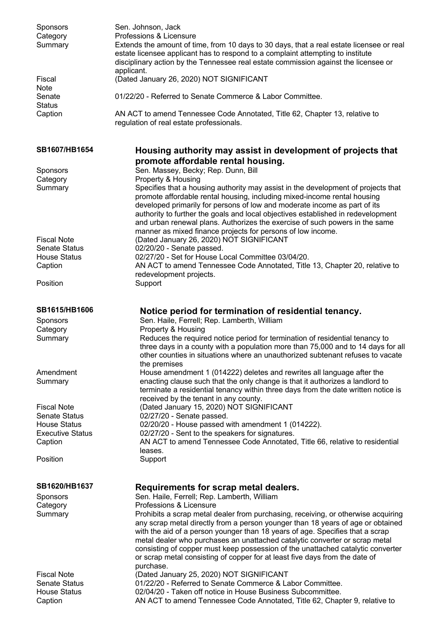| Sponsors<br>Category<br>Summary                                | Sen. Johnson, Jack<br>Professions & Licensure<br>Extends the amount of time, from 10 days to 30 days, that a real estate licensee or real<br>estate licensee applicant has to respond to a complaint attempting to institute<br>disciplinary action by the Tennessee real estate commission against the licensee or<br>applicant.                                                                                                                                                                                   |
|----------------------------------------------------------------|---------------------------------------------------------------------------------------------------------------------------------------------------------------------------------------------------------------------------------------------------------------------------------------------------------------------------------------------------------------------------------------------------------------------------------------------------------------------------------------------------------------------|
| Fiscal<br><b>Note</b>                                          | (Dated January 26, 2020) NOT SIGNIFICANT                                                                                                                                                                                                                                                                                                                                                                                                                                                                            |
| Senate<br><b>Status</b>                                        | 01/22/20 - Referred to Senate Commerce & Labor Committee.                                                                                                                                                                                                                                                                                                                                                                                                                                                           |
| Caption                                                        | AN ACT to amend Tennessee Code Annotated, Title 62, Chapter 13, relative to<br>regulation of real estate professionals.                                                                                                                                                                                                                                                                                                                                                                                             |
| SB1607/HB1654                                                  | Housing authority may assist in development of projects that<br>promote affordable rental housing.                                                                                                                                                                                                                                                                                                                                                                                                                  |
| Sponsors<br>Category                                           | Sen. Massey, Becky; Rep. Dunn, Bill<br>Property & Housing                                                                                                                                                                                                                                                                                                                                                                                                                                                           |
| Summary                                                        | Specifies that a housing authority may assist in the development of projects that<br>promote affordable rental housing, including mixed-income rental housing<br>developed primarily for persons of low and moderate income as part of its<br>authority to further the goals and local objectives established in redevelopment<br>and urban renewal plans. Authorizes the exercise of such powers in the same<br>manner as mixed finance projects for persons of low income.                                        |
| <b>Fiscal Note</b><br><b>Senate Status</b>                     | (Dated January 26, 2020) NOT SIGNIFICANT<br>02/20/20 - Senate passed.                                                                                                                                                                                                                                                                                                                                                                                                                                               |
| <b>House Status</b><br>Caption                                 | 02/27/20 - Set for House Local Committee 03/04/20.<br>AN ACT to amend Tennessee Code Annotated, Title 13, Chapter 20, relative to<br>redevelopment projects.                                                                                                                                                                                                                                                                                                                                                        |
| Position                                                       | Support                                                                                                                                                                                                                                                                                                                                                                                                                                                                                                             |
| <b>SB1615/HB1606</b><br><b>Sponsors</b><br>Category<br>Summary | Notice period for termination of residential tenancy.<br>Sen. Haile, Ferrell; Rep. Lamberth, William<br>Property & Housing<br>Reduces the required notice period for termination of residential tenancy to<br>three days in a county with a population more than 75,000 and to 14 days for all<br>other counties in situations where an unauthorized subtenant refuses to vacate                                                                                                                                    |
| Amendment<br>Summary                                           | the premises<br>House amendment 1 (014222) deletes and rewrites all language after the<br>enacting clause such that the only change is that it authorizes a landlord to<br>terminate a residential tenancy within three days from the date written notice is<br>received by the tenant in any county.                                                                                                                                                                                                               |
| <b>Fiscal Note</b><br><b>Senate Status</b>                     | (Dated January 15, 2020) NOT SIGNIFICANT<br>02/27/20 - Senate passed.                                                                                                                                                                                                                                                                                                                                                                                                                                               |
| <b>House Status</b><br><b>Executive Status</b>                 | 02/20/20 - House passed with amendment 1 (014222).<br>02/27/20 - Sent to the speakers for signatures.                                                                                                                                                                                                                                                                                                                                                                                                               |
| Caption                                                        | AN ACT to amend Tennessee Code Annotated, Title 66, relative to residential<br>leases.                                                                                                                                                                                                                                                                                                                                                                                                                              |
| Position                                                       | Support                                                                                                                                                                                                                                                                                                                                                                                                                                                                                                             |
| <b>SB1620/HB1637</b>                                           | Requirements for scrap metal dealers.                                                                                                                                                                                                                                                                                                                                                                                                                                                                               |
| Sponsors                                                       | Sen. Haile, Ferrell; Rep. Lamberth, William<br>Professions & Licensure                                                                                                                                                                                                                                                                                                                                                                                                                                              |
| Category<br>Summary                                            | Prohibits a scrap metal dealer from purchasing, receiving, or otherwise acquiring<br>any scrap metal directly from a person younger than 18 years of age or obtained<br>with the aid of a person younger than 18 years of age. Specifies that a scrap<br>metal dealer who purchases an unattached catalytic converter or scrap metal<br>consisting of copper must keep possession of the unattached catalytic converter<br>or scrap metal consisting of copper for at least five days from the date of<br>purchase. |
| <b>Fiscal Note</b>                                             | (Dated January 25, 2020) NOT SIGNIFICANT<br>01/22/20 - Referred to Senate Commerce & Labor Committee.                                                                                                                                                                                                                                                                                                                                                                                                               |
| <b>Senate Status</b><br><b>House Status</b><br>Caption         | 02/04/20 - Taken off notice in House Business Subcommittee.<br>AN ACT to amend Tennessee Code Annotated, Title 62, Chapter 9, relative to                                                                                                                                                                                                                                                                                                                                                                           |
|                                                                |                                                                                                                                                                                                                                                                                                                                                                                                                                                                                                                     |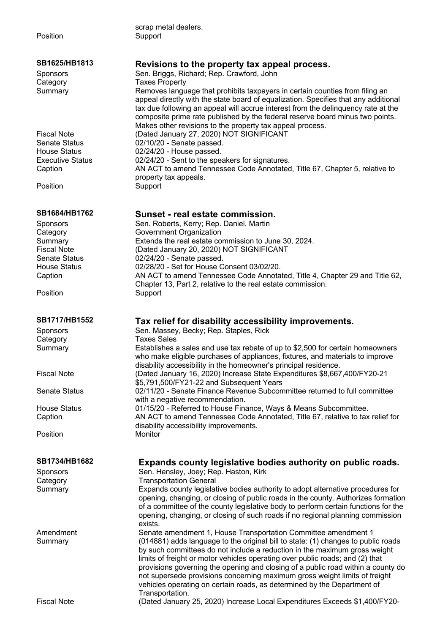| Position                                       | scrap metal dealers.<br>Support                                                                                                                                                                                                                                                                                                                                                                        |
|------------------------------------------------|--------------------------------------------------------------------------------------------------------------------------------------------------------------------------------------------------------------------------------------------------------------------------------------------------------------------------------------------------------------------------------------------------------|
| SB1625/HB1813                                  | Revisions to the property tax appeal process.                                                                                                                                                                                                                                                                                                                                                          |
| Sponsors                                       | Sen. Briggs, Richard; Rep. Crawford, John                                                                                                                                                                                                                                                                                                                                                              |
| Category                                       | <b>Taxes Property</b>                                                                                                                                                                                                                                                                                                                                                                                  |
| Summary                                        | Removes language that prohibits taxpayers in certain counties from filing an<br>appeal directly with the state board of equalization. Specifies that any additional<br>tax due following an appeal will accrue interest from the delinguency rate at the<br>composite prime rate published by the federal reserve board minus two points.<br>Makes other revisions to the property tax appeal process. |
| <b>Fiscal Note</b>                             | (Dated January 27, 2020) NOT SIGNIFICANT                                                                                                                                                                                                                                                                                                                                                               |
| <b>Senate Status</b>                           | 02/10/20 - Senate passed.                                                                                                                                                                                                                                                                                                                                                                              |
| <b>House Status</b><br><b>Executive Status</b> | 02/24/20 - House passed.                                                                                                                                                                                                                                                                                                                                                                               |
| Caption                                        | 02/24/20 - Sent to the speakers for signatures.<br>AN ACT to amend Tennessee Code Annotated, Title 67, Chapter 5, relative to                                                                                                                                                                                                                                                                          |
|                                                | property tax appeals.                                                                                                                                                                                                                                                                                                                                                                                  |
| Position                                       | Support                                                                                                                                                                                                                                                                                                                                                                                                |
| SB1684/HB1762                                  | Sunset - real estate commission.                                                                                                                                                                                                                                                                                                                                                                       |
| Sponsors                                       | Sen. Roberts, Kerry; Rep. Daniel, Martin                                                                                                                                                                                                                                                                                                                                                               |
| Category                                       | Government Organization                                                                                                                                                                                                                                                                                                                                                                                |
| Summary                                        | Extends the real estate commission to June 30, 2024.                                                                                                                                                                                                                                                                                                                                                   |
| <b>Fiscal Note</b>                             | (Dated January 20, 2020) NOT SIGNIFICANT                                                                                                                                                                                                                                                                                                                                                               |
| <b>Senate Status</b>                           | 02/24/20 - Senate passed.                                                                                                                                                                                                                                                                                                                                                                              |
| <b>House Status</b>                            | 02/28/20 - Set for House Consent 03/02/20.<br>AN ACT to amend Tennessee Code Annotated, Title 4, Chapter 29 and Title 62,                                                                                                                                                                                                                                                                              |
| Caption                                        | Chapter 13, Part 2, relative to the real estate commission.                                                                                                                                                                                                                                                                                                                                            |
| Position                                       | Support                                                                                                                                                                                                                                                                                                                                                                                                |
| SB1717/HB1552                                  | Tax relief for disability accessibility improvements.                                                                                                                                                                                                                                                                                                                                                  |
| Sponsors                                       | Sen. Massey, Becky; Rep. Staples, Rick                                                                                                                                                                                                                                                                                                                                                                 |
| Category                                       | <b>Taxes Sales</b>                                                                                                                                                                                                                                                                                                                                                                                     |
| Summary                                        | Establishes a sales and use tax rebate of up to \$2,500 for certain homeowners<br>who make eligible purchases of appliances, fixtures, and materials to improve<br>disability accessibility in the homeowner's principal residence.                                                                                                                                                                    |
| <b>Fiscal Note</b>                             | (Dated January 16, 2020) Increase State Expenditures \$8,667,400/FY20-21<br>\$5,791,500/FY21-22 and Subsequent Years                                                                                                                                                                                                                                                                                   |
| <b>Senate Status</b>                           | 02/11/20 - Senate Finance Revenue Subcommittee returned to full committee<br>with a negative recommendation.                                                                                                                                                                                                                                                                                           |
| <b>House Status</b>                            | 01/15/20 - Referred to House Finance, Ways & Means Subcommittee.                                                                                                                                                                                                                                                                                                                                       |
| Caption                                        | AN ACT to amend Tennessee Code Annotated, Title 67, relative to tax relief for<br>disability accessibility improvements.                                                                                                                                                                                                                                                                               |
| Position                                       | Monitor                                                                                                                                                                                                                                                                                                                                                                                                |
| SB1734/HB1682                                  | Expands county legislative bodies authority on public roads.                                                                                                                                                                                                                                                                                                                                           |
| Sponsors                                       | Sen. Hensley, Joey; Rep. Haston, Kirk                                                                                                                                                                                                                                                                                                                                                                  |
| Category                                       | <b>Transportation General</b>                                                                                                                                                                                                                                                                                                                                                                          |
| Summary                                        | Expands county legislative bodies authority to adopt alternative procedures for                                                                                                                                                                                                                                                                                                                        |
|                                                | opening, changing, or closing of public roads in the county. Authorizes formation                                                                                                                                                                                                                                                                                                                      |
|                                                | of a committee of the county legislative body to perform certain functions for the<br>opening, changing, or closing of such roads if no regional planning commission                                                                                                                                                                                                                                   |
|                                                | exists.                                                                                                                                                                                                                                                                                                                                                                                                |
| Amendment                                      | Senate amendment 1, House Transportation Committee amendment 1                                                                                                                                                                                                                                                                                                                                         |
| Summary                                        | (014881) adds language to the original bill to state: (1) changes to public roads                                                                                                                                                                                                                                                                                                                      |
|                                                | by such committees do not include a reduction in the maximum gross weight                                                                                                                                                                                                                                                                                                                              |
|                                                | limits of freight or motor vehicles operating over public roads; and (2) that                                                                                                                                                                                                                                                                                                                          |
|                                                | provisions governing the opening and closing of a public road within a county do<br>not supersede provisions concerning maximum gross weight limits of freight                                                                                                                                                                                                                                         |
|                                                | vehicles operating on certain roads, as determined by the Department of                                                                                                                                                                                                                                                                                                                                |
|                                                | Transportation.                                                                                                                                                                                                                                                                                                                                                                                        |
| <b>Fiscal Note</b>                             | (Dated January 25, 2020) Increase Local Expenditures Exceeds \$1,400/FY20-                                                                                                                                                                                                                                                                                                                             |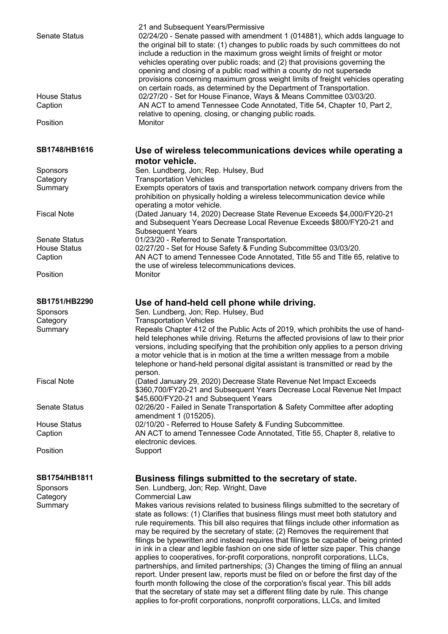| <b>Senate Status</b><br><b>House Status</b> | 21 and Subsequent Years/Permissive<br>02/24/20 - Senate passed with amendment 1 (014881), which adds language to<br>the original bill to state: (1) changes to public roads by such committees do not<br>include a reduction in the maximum gross weight limits of freight or motor<br>vehicles operating over public roads; and (2) that provisions governing the<br>opening and closing of a public road within a county do not supersede<br>provisions concerning maximum gross weight limits of freight vehicles operating<br>on certain roads, as determined by the Department of Transportation.<br>02/27/20 - Set for House Finance, Ways & Means Committee 03/03/20. |
|---------------------------------------------|------------------------------------------------------------------------------------------------------------------------------------------------------------------------------------------------------------------------------------------------------------------------------------------------------------------------------------------------------------------------------------------------------------------------------------------------------------------------------------------------------------------------------------------------------------------------------------------------------------------------------------------------------------------------------|
| Caption                                     | AN ACT to amend Tennessee Code Annotated, Title 54, Chapter 10, Part 2,<br>relative to opening, closing, or changing public roads.                                                                                                                                                                                                                                                                                                                                                                                                                                                                                                                                           |
| Position                                    | Monitor                                                                                                                                                                                                                                                                                                                                                                                                                                                                                                                                                                                                                                                                      |
| SB1748/HB1616                               | Use of wireless telecommunications devices while operating a<br>motor vehicle.                                                                                                                                                                                                                                                                                                                                                                                                                                                                                                                                                                                               |
| <b>Sponsors</b>                             | Sen. Lundberg, Jon; Rep. Hulsey, Bud                                                                                                                                                                                                                                                                                                                                                                                                                                                                                                                                                                                                                                         |
| Category                                    | <b>Transportation Vehicles</b>                                                                                                                                                                                                                                                                                                                                                                                                                                                                                                                                                                                                                                               |
| Summary                                     | Exempts operators of taxis and transportation network company drivers from the<br>prohibition on physically holding a wireless telecommunication device while<br>operating a motor vehicle.                                                                                                                                                                                                                                                                                                                                                                                                                                                                                  |
| <b>Fiscal Note</b>                          | (Dated January 14, 2020) Decrease State Revenue Exceeds \$4,000/FY20-21<br>and Subsequent Years Decrease Local Revenue Exceeds \$800/FY20-21 and<br><b>Subsequent Years</b>                                                                                                                                                                                                                                                                                                                                                                                                                                                                                                  |
| <b>Senate Status</b>                        | 01/23/20 - Referred to Senate Transportation.                                                                                                                                                                                                                                                                                                                                                                                                                                                                                                                                                                                                                                |
| <b>House Status</b>                         | 02/27/20 - Set for House Safety & Funding Subcommittee 03/03/20.                                                                                                                                                                                                                                                                                                                                                                                                                                                                                                                                                                                                             |
| Caption                                     | AN ACT to amend Tennessee Code Annotated, Title 55 and Title 65, relative to<br>the use of wireless telecommunications devices.                                                                                                                                                                                                                                                                                                                                                                                                                                                                                                                                              |
| Position                                    | Monitor                                                                                                                                                                                                                                                                                                                                                                                                                                                                                                                                                                                                                                                                      |
| SB1751/HB2290                               | Use of hand-held cell phone while driving.                                                                                                                                                                                                                                                                                                                                                                                                                                                                                                                                                                                                                                   |
| Sponsors                                    | Sen. Lundberg, Jon; Rep. Hulsey, Bud                                                                                                                                                                                                                                                                                                                                                                                                                                                                                                                                                                                                                                         |
| Category                                    | <b>Transportation Vehicles</b>                                                                                                                                                                                                                                                                                                                                                                                                                                                                                                                                                                                                                                               |
| Summary                                     | Repeals Chapter 412 of the Public Acts of 2019, which prohibits the use of hand-<br>held telephones while driving. Returns the affected provisions of law to their prior<br>versions, including specifying that the prohibition only applies to a person driving<br>a motor vehicle that is in motion at the time a written message from a mobile<br>telephone or hand-held personal digital assistant is transmitted or read by the<br>person.                                                                                                                                                                                                                              |
| <b>Fiscal Note</b>                          | (Dated January 29, 2020) Decrease State Revenue Net Impact Exceeds<br>\$360,700/FY20-21 and Subsequent Years Decrease Local Revenue Net Impact<br>\$45,600/FY20-21 and Subsequent Years                                                                                                                                                                                                                                                                                                                                                                                                                                                                                      |
| <b>Senate Status</b>                        | 02/26/20 - Failed in Senate Transportation & Safety Committee after adopting<br>amendment 1 (015205).                                                                                                                                                                                                                                                                                                                                                                                                                                                                                                                                                                        |
| <b>House Status</b>                         | 02/10/20 - Referred to House Safety & Funding Subcommittee.                                                                                                                                                                                                                                                                                                                                                                                                                                                                                                                                                                                                                  |
| Caption                                     | AN ACT to amend Tennessee Code Annotated, Title 55, Chapter 8, relative to                                                                                                                                                                                                                                                                                                                                                                                                                                                                                                                                                                                                   |
|                                             | electronic devices.                                                                                                                                                                                                                                                                                                                                                                                                                                                                                                                                                                                                                                                          |
| Position                                    | Support                                                                                                                                                                                                                                                                                                                                                                                                                                                                                                                                                                                                                                                                      |
| SB1754/HB1811                               | Business filings submitted to the secretary of state.                                                                                                                                                                                                                                                                                                                                                                                                                                                                                                                                                                                                                        |
| <b>Sponsors</b>                             | Sen. Lundberg, Jon; Rep. Wright, Dave                                                                                                                                                                                                                                                                                                                                                                                                                                                                                                                                                                                                                                        |
| Category                                    | <b>Commercial Law</b>                                                                                                                                                                                                                                                                                                                                                                                                                                                                                                                                                                                                                                                        |
| Summary                                     | Makes various revisions related to business filings submitted to the secretary of                                                                                                                                                                                                                                                                                                                                                                                                                                                                                                                                                                                            |
|                                             | state as follows: (1) Clarifies that business filings must meet both statutory and                                                                                                                                                                                                                                                                                                                                                                                                                                                                                                                                                                                           |
|                                             | rule requirements. This bill also requires that filings include other information as                                                                                                                                                                                                                                                                                                                                                                                                                                                                                                                                                                                         |
|                                             | may be required by the secretary of state; (2) Removes the requirement that                                                                                                                                                                                                                                                                                                                                                                                                                                                                                                                                                                                                  |
|                                             | filings be typewritten and instead requires that filings be capable of being printed                                                                                                                                                                                                                                                                                                                                                                                                                                                                                                                                                                                         |
|                                             | in ink in a clear and legible fashion on one side of letter size paper. This change                                                                                                                                                                                                                                                                                                                                                                                                                                                                                                                                                                                          |
|                                             | applies to cooperatives, for-profit corporations, nonprofit corporations, LLCs,                                                                                                                                                                                                                                                                                                                                                                                                                                                                                                                                                                                              |
|                                             | partnerships, and limited partnerships; (3) Changes the timing of filing an annual                                                                                                                                                                                                                                                                                                                                                                                                                                                                                                                                                                                           |
|                                             | report. Under present law, reports must be filed on or before the first day of the                                                                                                                                                                                                                                                                                                                                                                                                                                                                                                                                                                                           |
|                                             | fourth month following the close of the corporation's fiscal year. This bill adds<br>that the secretary of state may set a different filing date by rule. This change                                                                                                                                                                                                                                                                                                                                                                                                                                                                                                        |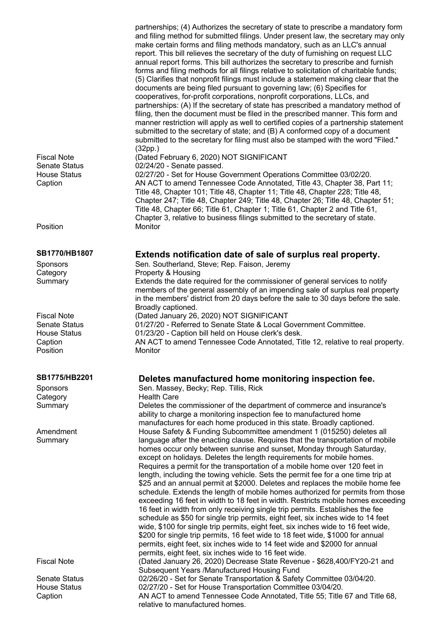partnerships; (4) Authorizes the secretary of state to prescribe a mandatory form and filing method for submitted filings. Under present law, the secretary may only make certain forms and filing methods mandatory, such as an LLC's annual report. This bill relieves the secretary of the duty of furnishing on request LLC annual report forms. This bill authorizes the secretary to prescribe and furnish forms and filing methods for all filings relative to solicitation of charitable funds; (5) Clarifies that nonprofit filings must include a statement making clear that the documents are being filed pursuant to governing law; (6) Specifies for cooperatives, for-profit corporations, nonprofit corporations, LLCs, and partnerships: (A) If the secretary of state has prescribed a mandatory method of filing, then the document must be filed in the prescribed manner. This form and manner restriction will apply as well to certified copies of a partnership statement submitted to the secretary of state; and (B) A conformed copy of a document submitted to the secretary for filing must also be stamped with the word "Filed." (32pp.) Fiscal Note (Dated February 6, 2020) NOT SIGNIFICANT Senate Status 02/24/20 - Senate passed.<br>House Status 02/27/20 - Set for House G 02/27/20 - Set for House Government Operations Committee 03/02/20. Caption AN ACT to amend Tennessee Code Annotated, Title 43, Chapter 38, Part 11; Title 48, Chapter 101; Title 48, Chapter 11; Title 48, Chapter 228; Title 48, Chapter 247; Title 48, Chapter 249; Title 48, Chapter 26; Title 48, Chapter 51; Title 48, Chapter 66; Title 61, Chapter 1; Title 61, Chapter 2 and Title 61, Chapter 3, relative to business filings submitted to the secretary of state. **SB1770/HB1807 Extends notification date of sale of surplus real property.** Sponsors Sen. Southerland, Steve; Rep. Faison, Jeremy Category **Property & Housing** Summary Extends the date required for the commissioner of general services to notify members of the general assembly of an impending sale of surplus real property in the members' district from 20 days before the sale to 30 days before the sale. Broadly captioned. Fiscal Note (Dated January 26, 2020) NOT SIGNIFICANT<br>Senate Status 01/27/20 - Referred to Senate State & Local G 01/27/20 - Referred to Senate State & Local Government Committee. House Status 01/23/20 - Caption bill held on House clerk's desk. Caption AN ACT to amend Tennessee Code Annotated, Title 12, relative to real property. Position Monitor **SB1775/HB2201 Deletes manufactured home monitoring inspection fee.** Sponsors Sen. Massey, Becky; Rep. Tillis, Rick Category **Health Care** Summary Deletes the commissioner of the department of commerce and insurance's ability to charge a monitoring inspection fee to manufactured home manufactures for each home produced in this state. Broadly captioned. House Safety & Funding Subcommittee amendment 1 (015250) deletes all language after the enacting clause. Requires that the transportation of mobile homes occur only between sunrise and sunset, Monday through Saturday, except on holidays. Deletes the length requirements for mobile homes. Requires a permit for the transportation of a mobile home over 120 feet in length, including the towing vehicle. Sets the permit fee for a one time trip at \$25 and an annual permit at \$2000. Deletes and replaces the mobile home fee schedule. Extends the length of mobile homes authorized for permits from those exceeding 16 feet in width to 18 feet in width. Restricts mobile homes exceeding 16 feet in width from only receiving single trip permits. Establishes the fee schedule as \$50 for single trip permits, eight feet, six inches wide to 14 feet wide, \$100 for single trip permits, eight feet, six inches wide to 16 feet wide, \$200 for single trip permits, 16 feet wide to 18 feet wide, \$1000 for annual permits, eight feet, six inches wide to 14 feet wide and \$2000 for annual permits, eight feet, six inches wide to 16 feet wide. Fiscal Note (Dated January 26, 2020) Decrease State Revenue - \$628,400/FY20-21 and Subsequent Years /Manufactured Housing Fund Senate Status 02/26/20 - Set for Senate Transportation & Safety Committee 03/04/20. House Status 02/27/20 - Set for House Transportation Committee 03/04/20. Caption AN ACT to amend Tennessee Code Annotated, Title 55; Title 67 and Title 68, relative to manufactured homes.

Position

Amendment **Summary**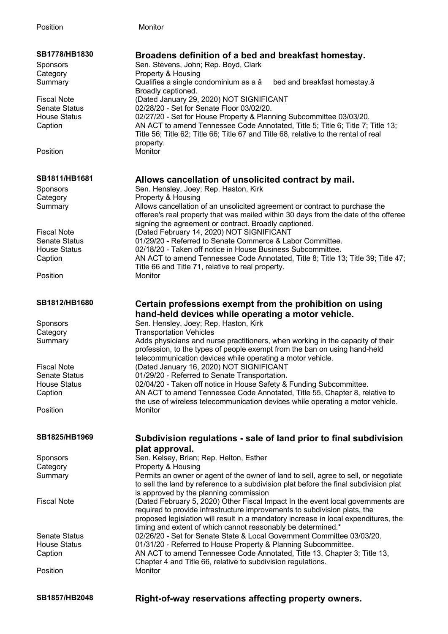| SB1778/HB1830        | Broadens definition of a bed and breakfast homestay.                                  |
|----------------------|---------------------------------------------------------------------------------------|
| <b>Sponsors</b>      | Sen. Stevens, John; Rep. Boyd, Clark                                                  |
| Category             | Property & Housing                                                                    |
| Summary              | Qualifies a single condominium as a â<br>bed and breakfast homestay.â                 |
|                      | Broadly captioned.                                                                    |
| <b>Fiscal Note</b>   | (Dated January 29, 2020) NOT SIGNIFICANT                                              |
|                      |                                                                                       |
| <b>Senate Status</b> | 02/28/20 - Set for Senate Floor 03/02/20.                                             |
| <b>House Status</b>  | 02/27/20 - Set for House Property & Planning Subcommittee 03/03/20.                   |
| Caption              | AN ACT to amend Tennessee Code Annotated, Title 5; Title 6; Title 7; Title 13;        |
|                      | Title 56; Title 62; Title 66; Title 67 and Title 68, relative to the rental of real   |
|                      | property.                                                                             |
| Position             | Monitor                                                                               |
|                      |                                                                                       |
| SB1811/HB1681        | Allows cancellation of unsolicited contract by mail.                                  |
| Sponsors             | Sen. Hensley, Joey; Rep. Haston, Kirk                                                 |
| Category             | Property & Housing                                                                    |
|                      | Allows cancellation of an unsolicited agreement or contract to purchase the           |
| Summary              |                                                                                       |
|                      | offeree's real property that was mailed within 30 days from the date of the offeree   |
|                      | signing the agreement or contract. Broadly captioned.                                 |
| <b>Fiscal Note</b>   | (Dated February 14, 2020) NOT SIGNIFICANT                                             |
| <b>Senate Status</b> | 01/29/20 - Referred to Senate Commerce & Labor Committee.                             |
| <b>House Status</b>  | 02/18/20 - Taken off notice in House Business Subcommittee.                           |
| Caption              | AN ACT to amend Tennessee Code Annotated, Title 8; Title 13; Title 39; Title 47;      |
|                      | Title 66 and Title 71, relative to real property.                                     |
| Position             | Monitor                                                                               |
|                      |                                                                                       |
| SB1812/HB1680        | Certain professions exempt from the prohibition on using                              |
|                      | hand-held devices while operating a motor vehicle.                                    |
|                      |                                                                                       |
|                      |                                                                                       |
| Sponsors             | Sen. Hensley, Joey; Rep. Haston, Kirk                                                 |
| Category             | <b>Transportation Vehicles</b>                                                        |
| Summary              | Adds physicians and nurse practitioners, when working in the capacity of their        |
|                      | profession, to the types of people exempt from the ban on using hand-held             |
|                      | telecommunication devices while operating a motor vehicle.                            |
| <b>Fiscal Note</b>   | (Dated January 16, 2020) NOT SIGNIFICANT                                              |
| <b>Senate Status</b> | 01/29/20 - Referred to Senate Transportation.                                         |
| <b>House Status</b>  | 02/04/20 - Taken off notice in House Safety & Funding Subcommittee.                   |
| Caption              | AN ACT to amend Tennessee Code Annotated, Title 55, Chapter 8, relative to            |
|                      | the use of wireless telecommunication devices while operating a motor vehicle.        |
| Position             | Monitor                                                                               |
|                      |                                                                                       |
| SB1825/HB1969        | Subdivision regulations - sale of land prior to final subdivision                     |
|                      |                                                                                       |
|                      | plat approval.                                                                        |
| Sponsors             | Sen. Kelsey, Brian; Rep. Helton, Esther                                               |
| Category             | Property & Housing                                                                    |
| Summary              | Permits an owner or agent of the owner of land to sell, agree to sell, or negotiate   |
|                      | to sell the land by reference to a subdivision plat before the final subdivision plat |
|                      | is approved by the planning commission                                                |
| <b>Fiscal Note</b>   | (Dated February 5, 2020) Other Fiscal Impact In the event local governments are       |
|                      | required to provide infrastructure improvements to subdivision plats, the             |
|                      | proposed legislation will result in a mandatory increase in local expenditures, the   |
|                      | timing and extent of which cannot reasonably be determined.*                          |
| <b>Senate Status</b> | 02/26/20 - Set for Senate State & Local Government Committee 03/03/20.                |
| <b>House Status</b>  | 01/31/20 - Referred to House Property & Planning Subcommittee.                        |
| Caption              | AN ACT to amend Tennessee Code Annotated, Title 13, Chapter 3; Title 13,              |
|                      | Chapter 4 and Title 66, relative to subdivision regulations.                          |
| Position             | Monitor                                                                               |
|                      |                                                                                       |

**SB1857/HB2048 Right-of-way reservations affecting property owners.**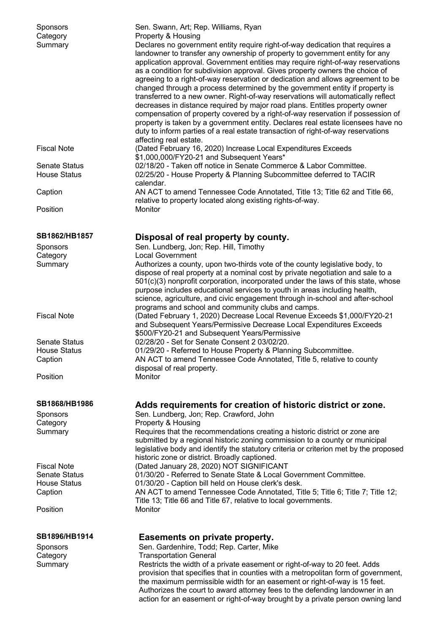| <b>Sponsors</b><br>Category<br>Summary                 | Sen. Swann, Art; Rep. Williams, Ryan<br>Property & Housing<br>Declares no government entity require right-of-way dedication that requires a<br>landowner to transfer any ownership of property to government entity for any<br>application approval. Government entities may require right-of-way reservations<br>as a condition for subdivision approval. Gives property owners the choice of<br>agreeing to a right-of-way reservation or dedication and allows agreement to be<br>changed through a process determined by the government entity if property is<br>transferred to a new owner. Right-of-way reservations will automatically reflect<br>decreases in distance required by major road plans. Entitles property owner<br>compensation of property covered by a right-of-way reservation if possession of<br>property is taken by a government entity. Declares real estate licensees have no<br>duty to inform parties of a real estate transaction of right-of-way reservations<br>affecting real estate. |
|--------------------------------------------------------|---------------------------------------------------------------------------------------------------------------------------------------------------------------------------------------------------------------------------------------------------------------------------------------------------------------------------------------------------------------------------------------------------------------------------------------------------------------------------------------------------------------------------------------------------------------------------------------------------------------------------------------------------------------------------------------------------------------------------------------------------------------------------------------------------------------------------------------------------------------------------------------------------------------------------------------------------------------------------------------------------------------------------|
| <b>Fiscal Note</b>                                     | (Dated February 16, 2020) Increase Local Expenditures Exceeds<br>\$1,000,000/FY20-21 and Subsequent Years*                                                                                                                                                                                                                                                                                                                                                                                                                                                                                                                                                                                                                                                                                                                                                                                                                                                                                                                |
| <b>Senate Status</b><br><b>House Status</b>            | 02/18/20 - Taken off notice in Senate Commerce & Labor Committee.<br>02/25/20 - House Property & Planning Subcommittee deferred to TACIR                                                                                                                                                                                                                                                                                                                                                                                                                                                                                                                                                                                                                                                                                                                                                                                                                                                                                  |
| Caption                                                | calendar.<br>AN ACT to amend Tennessee Code Annotated, Title 13; Title 62 and Title 66,<br>relative to property located along existing rights-of-way.                                                                                                                                                                                                                                                                                                                                                                                                                                                                                                                                                                                                                                                                                                                                                                                                                                                                     |
| Position                                               | Monitor                                                                                                                                                                                                                                                                                                                                                                                                                                                                                                                                                                                                                                                                                                                                                                                                                                                                                                                                                                                                                   |
| SB1862/HB1857                                          | Disposal of real property by county.                                                                                                                                                                                                                                                                                                                                                                                                                                                                                                                                                                                                                                                                                                                                                                                                                                                                                                                                                                                      |
| Sponsors<br>Category                                   | Sen. Lundberg, Jon; Rep. Hill, Timothy<br><b>Local Government</b>                                                                                                                                                                                                                                                                                                                                                                                                                                                                                                                                                                                                                                                                                                                                                                                                                                                                                                                                                         |
| Summary                                                | Authorizes a county, upon two-thirds vote of the county legislative body, to<br>dispose of real property at a nominal cost by private negotiation and sale to a<br>$501(c)(3)$ nonprofit corporation, incorporated under the laws of this state, whose<br>purpose includes educational services to youth in areas including health,<br>science, agriculture, and civic engagement through in-school and after-school<br>programs and school and community clubs and camps.                                                                                                                                                                                                                                                                                                                                                                                                                                                                                                                                                |
| <b>Fiscal Note</b>                                     | (Dated February 1, 2020) Decrease Local Revenue Exceeds \$1,000/FY20-21<br>and Subsequent Years/Permissive Decrease Local Expenditures Exceeds<br>\$500/FY20-21 and Subsequent Years/Permissive                                                                                                                                                                                                                                                                                                                                                                                                                                                                                                                                                                                                                                                                                                                                                                                                                           |
| <b>Senate Status</b><br><b>House Status</b><br>Caption | 02/28/20 - Set for Senate Consent 2 03/02/20.<br>01/29/20 - Referred to House Property & Planning Subcommittee.<br>AN ACT to amend Tennessee Code Annotated, Title 5, relative to county<br>disposal of real property.                                                                                                                                                                                                                                                                                                                                                                                                                                                                                                                                                                                                                                                                                                                                                                                                    |
| Position                                               | Monitor                                                                                                                                                                                                                                                                                                                                                                                                                                                                                                                                                                                                                                                                                                                                                                                                                                                                                                                                                                                                                   |
| SB1868/HB1986                                          | Adds requirements for creation of historic district or zone.                                                                                                                                                                                                                                                                                                                                                                                                                                                                                                                                                                                                                                                                                                                                                                                                                                                                                                                                                              |
| <b>Sponsors</b>                                        | Sen. Lundberg, Jon; Rep. Crawford, John                                                                                                                                                                                                                                                                                                                                                                                                                                                                                                                                                                                                                                                                                                                                                                                                                                                                                                                                                                                   |
| Category<br>Summary                                    | Property & Housing<br>Requires that the recommendations creating a historic district or zone are<br>submitted by a regional historic zoning commission to a county or municipal<br>legislative body and identify the statutory criteria or criterion met by the proposed<br>historic zone or district. Broadly captioned.                                                                                                                                                                                                                                                                                                                                                                                                                                                                                                                                                                                                                                                                                                 |
| <b>Fiscal Note</b>                                     | (Dated January 28, 2020) NOT SIGNIFICANT                                                                                                                                                                                                                                                                                                                                                                                                                                                                                                                                                                                                                                                                                                                                                                                                                                                                                                                                                                                  |
| <b>Senate Status</b>                                   | 01/30/20 - Referred to Senate State & Local Government Committee.                                                                                                                                                                                                                                                                                                                                                                                                                                                                                                                                                                                                                                                                                                                                                                                                                                                                                                                                                         |
| <b>House Status</b><br>Caption                         | 01/30/20 - Caption bill held on House clerk's desk.<br>AN ACT to amend Tennessee Code Annotated, Title 5; Title 6; Title 7; Title 12;                                                                                                                                                                                                                                                                                                                                                                                                                                                                                                                                                                                                                                                                                                                                                                                                                                                                                     |
| Position                                               | Title 13; Title 66 and Title 67, relative to local governments.<br>Monitor                                                                                                                                                                                                                                                                                                                                                                                                                                                                                                                                                                                                                                                                                                                                                                                                                                                                                                                                                |
| SB1896/HB1914                                          | Easements on private property.                                                                                                                                                                                                                                                                                                                                                                                                                                                                                                                                                                                                                                                                                                                                                                                                                                                                                                                                                                                            |
| Sponsors                                               | Sen. Gardenhire, Todd; Rep. Carter, Mike                                                                                                                                                                                                                                                                                                                                                                                                                                                                                                                                                                                                                                                                                                                                                                                                                                                                                                                                                                                  |
| Category<br>Summary                                    | <b>Transportation General</b><br>Restricts the width of a private easement or right-of-way to 20 feet. Adds<br>provision that specifies that in counties with a metropolitan form of government,<br>the maximum permissible width for an easement or right-of-way is 15 feet.<br>Authorizes the court to award attorney fees to the defending landowner in an<br>action for an easement or right-of-way brought by a private person owning land                                                                                                                                                                                                                                                                                                                                                                                                                                                                                                                                                                           |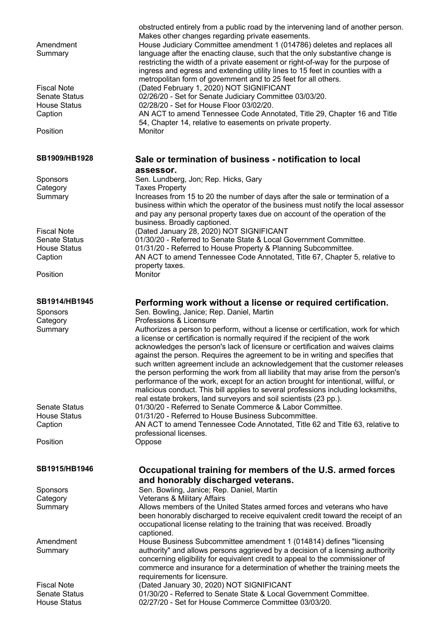| Amendment<br>Summary | obstructed entirely from a public road by the intervening land of another person.<br>Makes other changes regarding private easements.<br>House Judiciary Committee amendment 1 (014786) deletes and replaces all<br>language after the enacting clause, such that the only substantive change is<br>restricting the width of a private easement or right-of-way for the purpose of<br>ingress and egress and extending utility lines to 15 feet in counties with a<br>metropolitan form of government and to 25 feet for all others. |
|----------------------|--------------------------------------------------------------------------------------------------------------------------------------------------------------------------------------------------------------------------------------------------------------------------------------------------------------------------------------------------------------------------------------------------------------------------------------------------------------------------------------------------------------------------------------|
| <b>Fiscal Note</b>   | (Dated February 1, 2020) NOT SIGNIFICANT                                                                                                                                                                                                                                                                                                                                                                                                                                                                                             |
| <b>Senate Status</b> | 02/26/20 - Set for Senate Judiciary Committee 03/03/20.                                                                                                                                                                                                                                                                                                                                                                                                                                                                              |
| <b>House Status</b>  | 02/28/20 - Set for House Floor 03/02/20.                                                                                                                                                                                                                                                                                                                                                                                                                                                                                             |
| Caption              | AN ACT to amend Tennessee Code Annotated, Title 29, Chapter 16 and Title                                                                                                                                                                                                                                                                                                                                                                                                                                                             |
| Position             | 54, Chapter 14, relative to easements on private property.<br>Monitor                                                                                                                                                                                                                                                                                                                                                                                                                                                                |
| SB1909/HB1928        | Sale or termination of business - notification to local<br>assessor.                                                                                                                                                                                                                                                                                                                                                                                                                                                                 |
| <b>Sponsors</b>      | Sen. Lundberg, Jon; Rep. Hicks, Gary                                                                                                                                                                                                                                                                                                                                                                                                                                                                                                 |
| Category             | <b>Taxes Property</b>                                                                                                                                                                                                                                                                                                                                                                                                                                                                                                                |
| Summary              | Increases from 15 to 20 the number of days after the sale or termination of a<br>business within which the operator of the business must notify the local assessor<br>and pay any personal property taxes due on account of the operation of the                                                                                                                                                                                                                                                                                     |
|                      | business. Broadly captioned.                                                                                                                                                                                                                                                                                                                                                                                                                                                                                                         |
| <b>Fiscal Note</b>   | (Dated January 28, 2020) NOT SIGNIFICANT                                                                                                                                                                                                                                                                                                                                                                                                                                                                                             |
| <b>Senate Status</b> | 01/30/20 - Referred to Senate State & Local Government Committee.                                                                                                                                                                                                                                                                                                                                                                                                                                                                    |
| <b>House Status</b>  | 01/31/20 - Referred to House Property & Planning Subcommittee.                                                                                                                                                                                                                                                                                                                                                                                                                                                                       |
| Caption              | AN ACT to amend Tennessee Code Annotated, Title 67, Chapter 5, relative to                                                                                                                                                                                                                                                                                                                                                                                                                                                           |
| Position             | property taxes.<br>Monitor                                                                                                                                                                                                                                                                                                                                                                                                                                                                                                           |
| SB1914/HB1945        | Performing work without a license or required certification.                                                                                                                                                                                                                                                                                                                                                                                                                                                                         |
| Sponsors             | Sen. Bowling, Janice; Rep. Daniel, Martin                                                                                                                                                                                                                                                                                                                                                                                                                                                                                            |
| Category<br>Summary  | Professions & Licensure<br>Authorizes a person to perform, without a license or certification, work for which<br>a license or certification is normally required if the recipient of the work<br>acknowledges the person's lack of licensure or certification and waives claims<br>against the person. Requires the agreement to be in writing and specifies that                                                                                                                                                                    |
| <b>Senate Status</b> | such written agreement include an acknowledgement that the customer releases<br>the person performing the work from all liability that may arise from the person's<br>performance of the work, except for an action brought for intentional, willful, or<br>malicious conduct. This bill applies to several professions including locksmiths,<br>real estate brokers, land surveyors and soil scientists (23 pp.).<br>01/30/20 - Referred to Senate Commerce & Labor Committee.                                                      |
| <b>House Status</b>  | 01/31/20 - Referred to House Business Subcommittee.                                                                                                                                                                                                                                                                                                                                                                                                                                                                                  |
| Caption              | AN ACT to amend Tennessee Code Annotated, Title 62 and Title 63, relative to                                                                                                                                                                                                                                                                                                                                                                                                                                                         |
| Position             | professional licenses.<br>Oppose                                                                                                                                                                                                                                                                                                                                                                                                                                                                                                     |
| SB1915/HB1946        | Occupational training for members of the U.S. armed forces                                                                                                                                                                                                                                                                                                                                                                                                                                                                           |
|                      | and honorably discharged veterans.                                                                                                                                                                                                                                                                                                                                                                                                                                                                                                   |
| Sponsors             | Sen. Bowling, Janice; Rep. Daniel, Martin                                                                                                                                                                                                                                                                                                                                                                                                                                                                                            |
| Category             | Veterans & Military Affairs<br>Allows members of the United States armed forces and veterans who have                                                                                                                                                                                                                                                                                                                                                                                                                                |
| Summary              | been honorably discharged to receive equivalent credit toward the receipt of an<br>occupational license relating to the training that was received. Broadly<br>captioned.                                                                                                                                                                                                                                                                                                                                                            |
| Amendment            | House Business Subcommittee amendment 1 (014814) defines "licensing                                                                                                                                                                                                                                                                                                                                                                                                                                                                  |
| Summary              | authority" and allows persons aggrieved by a decision of a licensing authority<br>concerning eligibility for equivalent credit to appeal to the commissioner of<br>commerce and insurance for a determination of whether the training meets the<br>requirements for licensure.                                                                                                                                                                                                                                                       |
| <b>Fiscal Note</b>   | (Dated January 30, 2020) NOT SIGNIFICANT                                                                                                                                                                                                                                                                                                                                                                                                                                                                                             |
| <b>Senate Status</b> | 01/30/20 - Referred to Senate State & Local Government Committee.                                                                                                                                                                                                                                                                                                                                                                                                                                                                    |
| <b>House Status</b>  | 02/27/20 - Set for House Commerce Committee 03/03/20.                                                                                                                                                                                                                                                                                                                                                                                                                                                                                |
|                      |                                                                                                                                                                                                                                                                                                                                                                                                                                                                                                                                      |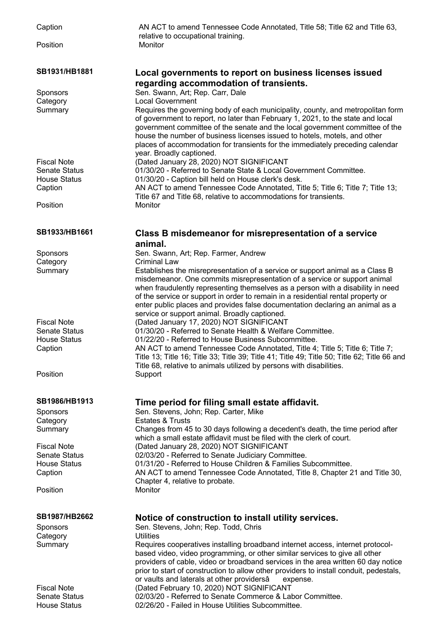| Caption              | AN ACT to amend Tennessee Code Annotated, Title 58; Title 62 and Title 63,<br>relative to occupational training.                                                                                                                                                                                                                                                                   |
|----------------------|------------------------------------------------------------------------------------------------------------------------------------------------------------------------------------------------------------------------------------------------------------------------------------------------------------------------------------------------------------------------------------|
| Position             | Monitor                                                                                                                                                                                                                                                                                                                                                                            |
| SB1931/HB1881        | Local governments to report on business licenses issued                                                                                                                                                                                                                                                                                                                            |
|                      | regarding accommodation of transients.                                                                                                                                                                                                                                                                                                                                             |
| Sponsors             | Sen. Swann, Art; Rep. Carr, Dale                                                                                                                                                                                                                                                                                                                                                   |
| Category<br>Summary  | <b>Local Government</b><br>Requires the governing body of each municipality, county, and metropolitan form                                                                                                                                                                                                                                                                         |
|                      | of government to report, no later than February 1, 2021, to the state and local<br>government committee of the senate and the local government committee of the<br>house the number of business licenses issued to hotels, motels, and other<br>places of accommodation for transients for the immediately preceding calendar<br>year. Broadly captioned.                          |
| <b>Fiscal Note</b>   | (Dated January 28, 2020) NOT SIGNIFICANT                                                                                                                                                                                                                                                                                                                                           |
| <b>Senate Status</b> | 01/30/20 - Referred to Senate State & Local Government Committee.                                                                                                                                                                                                                                                                                                                  |
| <b>House Status</b>  | 01/30/20 - Caption bill held on House clerk's desk.                                                                                                                                                                                                                                                                                                                                |
| Caption              | AN ACT to amend Tennessee Code Annotated, Title 5; Title 6; Title 7; Title 13;                                                                                                                                                                                                                                                                                                     |
|                      | Title 67 and Title 68, relative to accommodations for transients.                                                                                                                                                                                                                                                                                                                  |
| Position             | Monitor                                                                                                                                                                                                                                                                                                                                                                            |
| SB1933/HB1661        | Class B misdemeanor for misrepresentation of a service<br>animal.                                                                                                                                                                                                                                                                                                                  |
| Sponsors             | Sen. Swann, Art; Rep. Farmer, Andrew                                                                                                                                                                                                                                                                                                                                               |
| Category             | Criminal Law                                                                                                                                                                                                                                                                                                                                                                       |
| Summary              | Establishes the misrepresentation of a service or support animal as a Class B                                                                                                                                                                                                                                                                                                      |
|                      | misdemeanor. One commits misrepresentation of a service or support animal<br>when fraudulently representing themselves as a person with a disability in need<br>of the service or support in order to remain in a residential rental property or<br>enter public places and provides false documentation declaring an animal as a<br>service or support animal. Broadly captioned. |
| <b>Fiscal Note</b>   | (Dated January 17, 2020) NOT SIGNIFICANT                                                                                                                                                                                                                                                                                                                                           |
| <b>Senate Status</b> | 01/30/20 - Referred to Senate Health & Welfare Committee.                                                                                                                                                                                                                                                                                                                          |
| <b>House Status</b>  | 01/22/20 - Referred to House Business Subcommittee.                                                                                                                                                                                                                                                                                                                                |
| Caption              | AN ACT to amend Tennessee Code Annotated, Title 4; Title 5; Title 6; Title 7;<br>Title 13; Title 16; Title 33; Title 39; Title 41; Title 49; Title 50; Title 62; Title 66 and<br>Title 68, relative to animals utilized by persons with disabilities.                                                                                                                              |
| Position             | Support                                                                                                                                                                                                                                                                                                                                                                            |
| SB1986/HB1913        | Time period for filing small estate affidavit.                                                                                                                                                                                                                                                                                                                                     |
| <b>Sponsors</b>      | Sen. Stevens, John; Rep. Carter, Mike                                                                                                                                                                                                                                                                                                                                              |
| Category             | <b>Estates &amp; Trusts</b>                                                                                                                                                                                                                                                                                                                                                        |
| Summary              | Changes from 45 to 30 days following a decedent's death, the time period after<br>which a small estate affidavit must be filed with the clerk of court.                                                                                                                                                                                                                            |
| <b>Fiscal Note</b>   | (Dated January 28, 2020) NOT SIGNIFICANT                                                                                                                                                                                                                                                                                                                                           |
| <b>Senate Status</b> | 02/03/20 - Referred to Senate Judiciary Committee.                                                                                                                                                                                                                                                                                                                                 |
| <b>House Status</b>  | 01/31/20 - Referred to House Children & Families Subcommittee.                                                                                                                                                                                                                                                                                                                     |
| Caption              | AN ACT to amend Tennessee Code Annotated, Title 8, Chapter 21 and Title 30,                                                                                                                                                                                                                                                                                                        |
|                      | Chapter 4, relative to probate.                                                                                                                                                                                                                                                                                                                                                    |
| Position             | Monitor                                                                                                                                                                                                                                                                                                                                                                            |
| <b>SB1987/HB2662</b> | Notice of construction to install utility services.                                                                                                                                                                                                                                                                                                                                |
| <b>Sponsors</b>      | Sen. Stevens, John; Rep. Todd, Chris                                                                                                                                                                                                                                                                                                                                               |
| Category             | <b>Utilities</b>                                                                                                                                                                                                                                                                                                                                                                   |
| Summary              | Requires cooperatives installing broadband internet access, internet protocol-<br>based video, video programming, or other similar services to give all other<br>providers of cable, video or broadband services in the area written 60 day notice                                                                                                                                 |
|                      | prior to start of construction to allow other providers to install conduit, pedestals,                                                                                                                                                                                                                                                                                             |
| <b>Fiscal Note</b>   | or vaults and laterals at other providersâ<br>expense.<br>(Dated February 10, 2020) NOT SIGNIFICANT                                                                                                                                                                                                                                                                                |
| <b>Senate Status</b> | 02/03/20 - Referred to Senate Commerce & Labor Committee.                                                                                                                                                                                                                                                                                                                          |
| <b>House Status</b>  | 02/26/20 - Failed in House Utilities Subcommittee.                                                                                                                                                                                                                                                                                                                                 |
|                      |                                                                                                                                                                                                                                                                                                                                                                                    |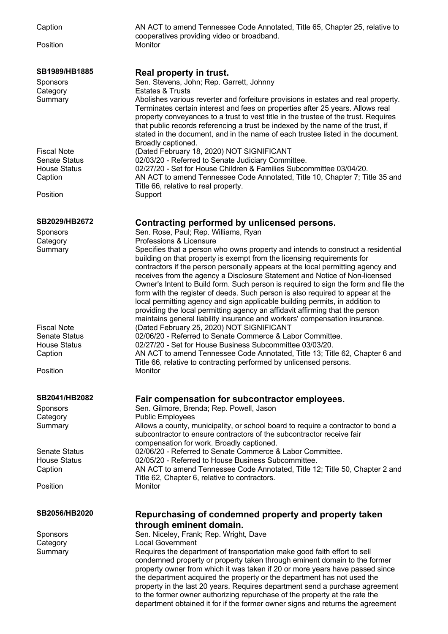Position

Caption AN ACT to amend Tennessee Code Annotated, Title 65, Chapter 25, relative to cooperatives providing video or broadband.

### **SB1989/HB1885 Real property in trust.** Sponsors Sen. Stevens, John; Rep. Garrett, Johnny Category Estates & Trusts Summary Abolishes various reverter and forfeiture provisions in estates and real property. Terminates certain interest and fees on properties after 25 years. Allows real property conveyances to a trust to vest title in the trustee of the trust. Requires that public records referencing a trust be indexed by the name of the trust, if stated in the document, and in the name of each trustee listed in the document. Broadly captioned. Fiscal Note (Dated February 18, 2020) NOT SIGNIFICANT Senate Status 02/03/20 - Referred to Senate Judiciary Committee. House Status 02/27/20 - Set for House Children & Families Subcommittee 03/04/20. Caption AN ACT to amend Tennessee Code Annotated, Title 10, Chapter 7; Title 35 and Title 66, relative to real property. Position Support **SB2029/HB2672 Contracting performed by unlicensed persons.** Sponsors Sen. Rose, Paul; Rep. Williams, Ryan Category **Professions & Licensure** Summary Specifies that a person who owns property and intends to construct a residential building on that property is exempt from the licensing requirements for contractors if the person personally appears at the local permitting agency and receives from the agency a Disclosure Statement and Notice of Non-licensed Owner's Intent to Build form. Such person is required to sign the form and file the form with the register of deeds. Such person is also required to appear at the local permitting agency and sign applicable building permits, in addition to providing the local permitting agency an affidavit affirming that the person maintains general liability insurance and workers' compensation insurance. Fiscal Note (Dated February 25, 2020) NOT SIGNIFICANT Senate Status 02/06/20 - Referred to Senate Commerce & Labor Committee. House Status 02/27/20 - Set for House Business Subcommittee 03/03/20. Caption AN ACT to amend Tennessee Code Annotated, Title 13; Title 62, Chapter 6 and Title 66, relative to contracting performed by unlicensed persons. Position Monitor **SB2041/HB2082 Fair compensation for subcontractor employees.** Sponsors Sen. Gilmore, Brenda; Rep. Powell, Jason Category **Public Employees** Summary Allows a county, municipality, or school board to require a contractor to bond a subcontractor to ensure contractors of the subcontractor receive fair compensation for work. Broadly captioned. Senate Status 02/06/20 - Referred to Senate Commerce & Labor Committee. House Status 02/05/20 - Referred to House Business Subcommittee. Caption AN ACT to amend Tennessee Code Annotated, Title 12; Title 50, Chapter 2 and Title 62, Chapter 6, relative to contractors. Position Monitor **SB2056/HB2020 Repurchasing of condemned property and property taken through eminent domain.** Sponsors Sen. Niceley, Frank; Rep. Wright, Dave Category Local Government Summary Requires the department of transportation make good faith effort to sell condemned property or property taken through eminent domain to the former

property owner from which it was taken if 20 or more years have passed since the department acquired the property or the department has not used the property in the last 20 years. Requires department send a purchase agreement to the former owner authorizing repurchase of the property at the rate the department obtained it for if the former owner signs and returns the agreement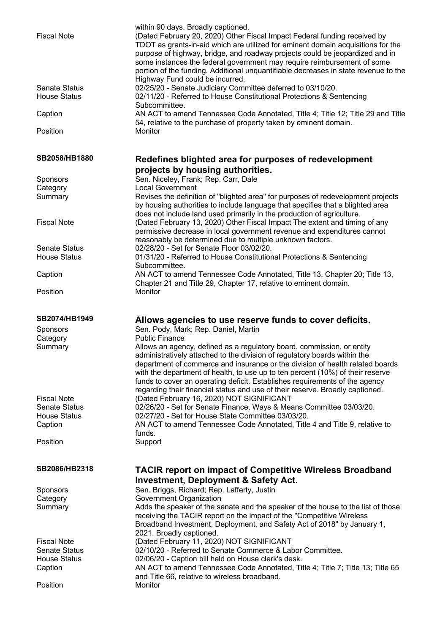| <b>Fiscal Note</b>                          | within 90 days. Broadly captioned.<br>(Dated February 20, 2020) Other Fiscal Impact Federal funding received by<br>TDOT as grants-in-aid which are utilized for eminent domain acquisitions for the<br>purpose of highway, bridge, and roadway projects could be jeopardized and in<br>some instances the federal government may require reimbursement of some<br>portion of the funding. Additional unquantifiable decreases in state revenue to the<br>Highway Fund could be incurred. |
|---------------------------------------------|------------------------------------------------------------------------------------------------------------------------------------------------------------------------------------------------------------------------------------------------------------------------------------------------------------------------------------------------------------------------------------------------------------------------------------------------------------------------------------------|
| <b>Senate Status</b><br><b>House Status</b> | 02/25/20 - Senate Judiciary Committee deferred to 03/10/20.<br>02/11/20 - Referred to House Constitutional Protections & Sentencing<br>Subcommittee.                                                                                                                                                                                                                                                                                                                                     |
| Caption                                     | AN ACT to amend Tennessee Code Annotated, Title 4; Title 12; Title 29 and Title<br>54, relative to the purchase of property taken by eminent domain.                                                                                                                                                                                                                                                                                                                                     |
| Position                                    | Monitor                                                                                                                                                                                                                                                                                                                                                                                                                                                                                  |
| SB2058/HB1880                               | Redefines blighted area for purposes of redevelopment                                                                                                                                                                                                                                                                                                                                                                                                                                    |
|                                             | projects by housing authorities.                                                                                                                                                                                                                                                                                                                                                                                                                                                         |
| <b>Sponsors</b><br>Category                 | Sen. Niceley, Frank; Rep. Carr, Dale<br><b>Local Government</b>                                                                                                                                                                                                                                                                                                                                                                                                                          |
| Summary                                     | Revises the definition of "blighted area" for purposes of redevelopment projects                                                                                                                                                                                                                                                                                                                                                                                                         |
|                                             | by housing authorities to include language that specifies that a blighted area<br>does not include land used primarily in the production of agriculture.                                                                                                                                                                                                                                                                                                                                 |
| <b>Fiscal Note</b>                          | (Dated February 13, 2020) Other Fiscal Impact The extent and timing of any<br>permissive decrease in local government revenue and expenditures cannot<br>reasonably be determined due to multiple unknown factors.                                                                                                                                                                                                                                                                       |
| <b>Senate Status</b>                        | 02/28/20 - Set for Senate Floor 03/02/20.                                                                                                                                                                                                                                                                                                                                                                                                                                                |
| <b>House Status</b>                         | 01/31/20 - Referred to House Constitutional Protections & Sentencing                                                                                                                                                                                                                                                                                                                                                                                                                     |
|                                             | Subcommittee.                                                                                                                                                                                                                                                                                                                                                                                                                                                                            |
| Caption                                     | AN ACT to amend Tennessee Code Annotated, Title 13, Chapter 20; Title 13,<br>Chapter 21 and Title 29, Chapter 17, relative to eminent domain.                                                                                                                                                                                                                                                                                                                                            |
| Position                                    | Monitor                                                                                                                                                                                                                                                                                                                                                                                                                                                                                  |
| SB2074/HB1949                               | Allows agencies to use reserve funds to cover deficits.                                                                                                                                                                                                                                                                                                                                                                                                                                  |
| <b>Sponsors</b>                             | Sen. Pody, Mark; Rep. Daniel, Martin                                                                                                                                                                                                                                                                                                                                                                                                                                                     |
| Category                                    | <b>Public Finance</b>                                                                                                                                                                                                                                                                                                                                                                                                                                                                    |
| Summary                                     | Allows an agency, defined as a regulatory board, commission, or entity<br>administratively attached to the division of regulatory boards within the<br>department of commerce and insurance or the division of health related boards<br>with the department of health, to use up to ten percent (10%) of their reserve<br>funds to cover an operating deficit. Establishes requirements of the agency<br>regarding their financial status and use of their reserve. Broadly captioned.   |
| <b>Fiscal Note</b>                          | (Dated February 16, 2020) NOT SIGNIFICANT                                                                                                                                                                                                                                                                                                                                                                                                                                                |
| <b>Senate Status</b>                        | 02/26/20 - Set for Senate Finance, Ways & Means Committee 03/03/20.                                                                                                                                                                                                                                                                                                                                                                                                                      |
| <b>House Status</b>                         | 02/27/20 - Set for House State Committee 03/03/20.                                                                                                                                                                                                                                                                                                                                                                                                                                       |
| Caption                                     | AN ACT to amend Tennessee Code Annotated, Title 4 and Title 9, relative to<br>funds.                                                                                                                                                                                                                                                                                                                                                                                                     |
| Position                                    | Support                                                                                                                                                                                                                                                                                                                                                                                                                                                                                  |
| SB2086/HB2318                               | <b>TACIR report on impact of Competitive Wireless Broadband</b><br><b>Investment, Deployment &amp; Safety Act.</b>                                                                                                                                                                                                                                                                                                                                                                       |
| <b>Sponsors</b>                             | Sen. Briggs, Richard; Rep. Lafferty, Justin                                                                                                                                                                                                                                                                                                                                                                                                                                              |
| Category                                    | Government Organization                                                                                                                                                                                                                                                                                                                                                                                                                                                                  |
| Summary                                     | Adds the speaker of the senate and the speaker of the house to the list of those                                                                                                                                                                                                                                                                                                                                                                                                         |
|                                             | receiving the TACIR report on the impact of the "Competitive Wireless<br>Broadband Investment, Deployment, and Safety Act of 2018" by January 1,<br>2021. Broadly captioned.                                                                                                                                                                                                                                                                                                             |
| <b>Fiscal Note</b>                          | (Dated February 11, 2020) NOT SIGNIFICANT                                                                                                                                                                                                                                                                                                                                                                                                                                                |
| <b>Senate Status</b>                        | 02/10/20 - Referred to Senate Commerce & Labor Committee.                                                                                                                                                                                                                                                                                                                                                                                                                                |
| <b>House Status</b>                         | 02/06/20 - Caption bill held on House clerk's desk.                                                                                                                                                                                                                                                                                                                                                                                                                                      |
| Caption                                     |                                                                                                                                                                                                                                                                                                                                                                                                                                                                                          |
|                                             | AN ACT to amend Tennessee Code Annotated, Title 4; Title 7; Title 13; Title 65                                                                                                                                                                                                                                                                                                                                                                                                           |
| Position                                    | and Title 66, relative to wireless broadband.<br>Monitor                                                                                                                                                                                                                                                                                                                                                                                                                                 |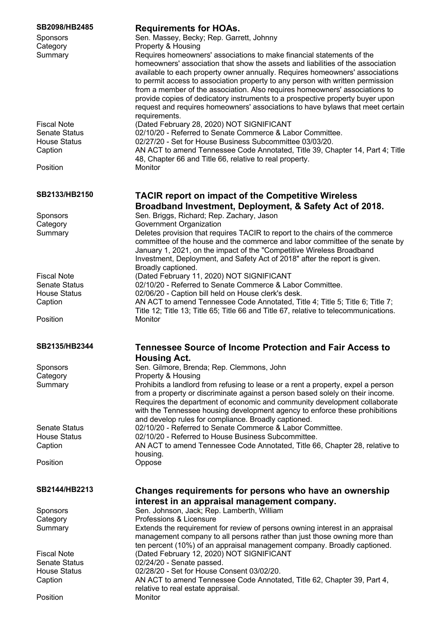| SB2098/HB2485<br><b>Sponsors</b><br>Category<br>Summary<br><b>Fiscal Note</b><br><b>Senate Status</b><br><b>House Status</b><br>Caption<br>Position | <b>Requirements for HOAs.</b><br>Sen. Massey, Becky; Rep. Garrett, Johnny<br>Property & Housing<br>Requires homeowners' associations to make financial statements of the<br>homeowners' association that show the assets and liabilities of the association<br>available to each property owner annually. Requires homeowners' associations<br>to permit access to association property to any person with written permission<br>from a member of the association. Also requires homeowners' associations to<br>provide copies of dedicatory instruments to a prospective property buyer upon<br>request and requires homeowners' associations to have bylaws that meet certain<br>requirements.<br>(Dated February 28, 2020) NOT SIGNIFICANT<br>02/10/20 - Referred to Senate Commerce & Labor Committee.<br>02/27/20 - Set for House Business Subcommittee 03/03/20.<br>AN ACT to amend Tennessee Code Annotated, Title 39, Chapter 14, Part 4; Title<br>48, Chapter 66 and Title 66, relative to real property.<br>Monitor |
|-----------------------------------------------------------------------------------------------------------------------------------------------------|-------------------------------------------------------------------------------------------------------------------------------------------------------------------------------------------------------------------------------------------------------------------------------------------------------------------------------------------------------------------------------------------------------------------------------------------------------------------------------------------------------------------------------------------------------------------------------------------------------------------------------------------------------------------------------------------------------------------------------------------------------------------------------------------------------------------------------------------------------------------------------------------------------------------------------------------------------------------------------------------------------------------------------|
| SB2133/HB2150<br>Sponsors<br>Category                                                                                                               | <b>TACIR report on impact of the Competitive Wireless</b><br>Broadband Investment, Deployment, & Safety Act of 2018.<br>Sen. Briggs, Richard; Rep. Zachary, Jason<br>Government Organization                                                                                                                                                                                                                                                                                                                                                                                                                                                                                                                                                                                                                                                                                                                                                                                                                                  |
| Summary                                                                                                                                             | Deletes provision that requires TACIR to report to the chairs of the commerce<br>committee of the house and the commerce and labor committee of the senate by<br>January 1, 2021, on the impact of the "Competitive Wireless Broadband<br>Investment, Deployment, and Safety Act of 2018" after the report is given.<br>Broadly captioned.                                                                                                                                                                                                                                                                                                                                                                                                                                                                                                                                                                                                                                                                                    |
| <b>Fiscal Note</b>                                                                                                                                  | (Dated February 11, 2020) NOT SIGNIFICANT                                                                                                                                                                                                                                                                                                                                                                                                                                                                                                                                                                                                                                                                                                                                                                                                                                                                                                                                                                                     |
| <b>Senate Status</b>                                                                                                                                | 02/10/20 - Referred to Senate Commerce & Labor Committee.                                                                                                                                                                                                                                                                                                                                                                                                                                                                                                                                                                                                                                                                                                                                                                                                                                                                                                                                                                     |
| <b>House Status</b>                                                                                                                                 | 02/06/20 - Caption bill held on House clerk's desk.                                                                                                                                                                                                                                                                                                                                                                                                                                                                                                                                                                                                                                                                                                                                                                                                                                                                                                                                                                           |
| Caption                                                                                                                                             | AN ACT to amend Tennessee Code Annotated, Title 4; Title 5; Title 6; Title 7;<br>Title 12; Title 13; Title 65; Title 66 and Title 67, relative to telecommunications.                                                                                                                                                                                                                                                                                                                                                                                                                                                                                                                                                                                                                                                                                                                                                                                                                                                         |
| Position                                                                                                                                            | Monitor                                                                                                                                                                                                                                                                                                                                                                                                                                                                                                                                                                                                                                                                                                                                                                                                                                                                                                                                                                                                                       |
| SB2135/HB2344                                                                                                                                       | <b>Tennessee Source of Income Protection and Fair Access to</b><br><b>Housing Act.</b>                                                                                                                                                                                                                                                                                                                                                                                                                                                                                                                                                                                                                                                                                                                                                                                                                                                                                                                                        |
| <b>Sponsors</b>                                                                                                                                     | Sen. Gilmore, Brenda; Rep. Clemmons, John                                                                                                                                                                                                                                                                                                                                                                                                                                                                                                                                                                                                                                                                                                                                                                                                                                                                                                                                                                                     |
| Category                                                                                                                                            | Property & Housing                                                                                                                                                                                                                                                                                                                                                                                                                                                                                                                                                                                                                                                                                                                                                                                                                                                                                                                                                                                                            |
| Summary                                                                                                                                             | Prohibits a landlord from refusing to lease or a rent a property, expel a person<br>from a property or discriminate against a person based solely on their income.<br>Requires the department of economic and community development collaborate<br>with the Tennessee housing development agency to enforce these prohibitions<br>and develop rules for compliance. Broadly captioned.                                                                                                                                                                                                                                                                                                                                                                                                                                                                                                                                                                                                                                        |
| <b>Senate Status</b>                                                                                                                                | 02/10/20 - Referred to Senate Commerce & Labor Committee.                                                                                                                                                                                                                                                                                                                                                                                                                                                                                                                                                                                                                                                                                                                                                                                                                                                                                                                                                                     |
| <b>House Status</b><br>Caption                                                                                                                      | 02/10/20 - Referred to House Business Subcommittee.<br>AN ACT to amend Tennessee Code Annotated, Title 66, Chapter 28, relative to                                                                                                                                                                                                                                                                                                                                                                                                                                                                                                                                                                                                                                                                                                                                                                                                                                                                                            |
|                                                                                                                                                     | housing.                                                                                                                                                                                                                                                                                                                                                                                                                                                                                                                                                                                                                                                                                                                                                                                                                                                                                                                                                                                                                      |
| Position                                                                                                                                            | Oppose                                                                                                                                                                                                                                                                                                                                                                                                                                                                                                                                                                                                                                                                                                                                                                                                                                                                                                                                                                                                                        |
| SB2144/HB2213                                                                                                                                       | Changes requirements for persons who have an ownership<br>interest in an appraisal management company.                                                                                                                                                                                                                                                                                                                                                                                                                                                                                                                                                                                                                                                                                                                                                                                                                                                                                                                        |
| <b>Sponsors</b>                                                                                                                                     | Sen. Johnson, Jack; Rep. Lamberth, William                                                                                                                                                                                                                                                                                                                                                                                                                                                                                                                                                                                                                                                                                                                                                                                                                                                                                                                                                                                    |
| Category                                                                                                                                            | Professions & Licensure                                                                                                                                                                                                                                                                                                                                                                                                                                                                                                                                                                                                                                                                                                                                                                                                                                                                                                                                                                                                       |
| Summary                                                                                                                                             | Extends the requirement for review of persons owning interest in an appraisal<br>management company to all persons rather than just those owning more than<br>ten percent (10%) of an appraisal management company. Broadly captioned.                                                                                                                                                                                                                                                                                                                                                                                                                                                                                                                                                                                                                                                                                                                                                                                        |
| <b>Fiscal Note</b>                                                                                                                                  | (Dated February 12, 2020) NOT SIGNIFICANT                                                                                                                                                                                                                                                                                                                                                                                                                                                                                                                                                                                                                                                                                                                                                                                                                                                                                                                                                                                     |
| <b>Senate Status</b>                                                                                                                                | 02/24/20 - Senate passed.                                                                                                                                                                                                                                                                                                                                                                                                                                                                                                                                                                                                                                                                                                                                                                                                                                                                                                                                                                                                     |
| <b>House Status</b>                                                                                                                                 | 02/28/20 - Set for House Consent 03/02/20.                                                                                                                                                                                                                                                                                                                                                                                                                                                                                                                                                                                                                                                                                                                                                                                                                                                                                                                                                                                    |
| Caption                                                                                                                                             | AN ACT to amend Tennessee Code Annotated, Title 62, Chapter 39, Part 4,                                                                                                                                                                                                                                                                                                                                                                                                                                                                                                                                                                                                                                                                                                                                                                                                                                                                                                                                                       |
|                                                                                                                                                     | relative to real estate appraisal.                                                                                                                                                                                                                                                                                                                                                                                                                                                                                                                                                                                                                                                                                                                                                                                                                                                                                                                                                                                            |
| Position                                                                                                                                            | Monitor                                                                                                                                                                                                                                                                                                                                                                                                                                                                                                                                                                                                                                                                                                                                                                                                                                                                                                                                                                                                                       |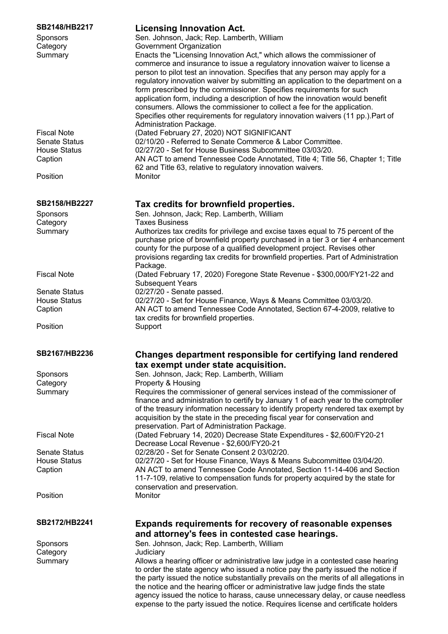| SB2148/HB2217                  | <b>Licensing Innovation Act.</b>                                                                                                                             |
|--------------------------------|--------------------------------------------------------------------------------------------------------------------------------------------------------------|
| Sponsors                       | Sen. Johnson, Jack; Rep. Lamberth, William                                                                                                                   |
| Category                       | Government Organization                                                                                                                                      |
| Summary                        | Enacts the "Licensing Innovation Act," which allows the commissioner of                                                                                      |
|                                | commerce and insurance to issue a regulatory innovation waiver to license a<br>person to pilot test an innovation. Specifies that any person may apply for a |
|                                | regulatory innovation waiver by submitting an application to the department on a                                                                             |
|                                | form prescribed by the commissioner. Specifies requirements for such                                                                                         |
|                                | application form, including a description of how the innovation would benefit                                                                                |
|                                | consumers. Allows the commissioner to collect a fee for the application.                                                                                     |
|                                | Specifies other requirements for regulatory innovation waivers (11 pp.). Part of                                                                             |
|                                | Administration Package.                                                                                                                                      |
| <b>Fiscal Note</b>             | (Dated February 27, 2020) NOT SIGNIFICANT                                                                                                                    |
| <b>Senate Status</b>           | 02/10/20 - Referred to Senate Commerce & Labor Committee.                                                                                                    |
| <b>House Status</b>            | 02/27/20 - Set for House Business Subcommittee 03/03/20.                                                                                                     |
| Caption                        | AN ACT to amend Tennessee Code Annotated, Title 4; Title 56, Chapter 1; Title                                                                                |
|                                | 62 and Title 63, relative to regulatory innovation waivers.                                                                                                  |
| Position                       | Monitor                                                                                                                                                      |
| SB2158/HB2227                  | Tax credits for brownfield properties.                                                                                                                       |
| Sponsors                       | Sen. Johnson, Jack; Rep. Lamberth, William                                                                                                                   |
| Category                       | <b>Taxes Business</b>                                                                                                                                        |
| Summary                        | Authorizes tax credits for privilege and excise taxes equal to 75 percent of the                                                                             |
|                                | purchase price of brownfield property purchased in a tier 3 or tier 4 enhancement                                                                            |
|                                | county for the purpose of a qualified development project. Revises other                                                                                     |
|                                | provisions regarding tax credits for brownfield properties. Part of Administration                                                                           |
|                                | Package.                                                                                                                                                     |
| <b>Fiscal Note</b>             | (Dated February 17, 2020) Foregone State Revenue - \$300,000/FY21-22 and                                                                                     |
|                                | <b>Subsequent Years</b>                                                                                                                                      |
| <b>Senate Status</b>           | 02/27/20 - Senate passed.                                                                                                                                    |
| <b>House Status</b><br>Caption | 02/27/20 - Set for House Finance, Ways & Means Committee 03/03/20.<br>AN ACT to amend Tennessee Code Annotated, Section 67-4-2009, relative to               |
|                                | tax credits for brownfield properties.                                                                                                                       |
| Position                       | Support                                                                                                                                                      |
|                                |                                                                                                                                                              |
| SB2167/HB2236                  | Changes department responsible for certifying land rendered                                                                                                  |
|                                | tax exempt under state acquisition.                                                                                                                          |
| Sponsors                       | Sen. Johnson, Jack; Rep. Lamberth, William                                                                                                                   |
| Category                       | Property & Housing                                                                                                                                           |
| Summary                        | Requires the commissioner of general services instead of the commissioner of                                                                                 |
|                                | finance and administration to certify by January 1 of each year to the comptroller                                                                           |
|                                | of the treasury information necessary to identify property rendered tax exempt by                                                                            |
|                                | acquisition by the state in the preceding fiscal year for conservation and<br>preservation. Part of Administration Package.                                  |
| <b>Fiscal Note</b>             | (Dated February 14, 2020) Decrease State Expenditures - \$2,600/FY20-21                                                                                      |
|                                | Decrease Local Revenue - \$2,600/FY20-21                                                                                                                     |
| <b>Senate Status</b>           | 02/28/20 - Set for Senate Consent 2 03/02/20.                                                                                                                |
| <b>House Status</b>            | 02/27/20 - Set for House Finance, Ways & Means Subcommittee 03/04/20.                                                                                        |
| Caption                        | AN ACT to amend Tennessee Code Annotated, Section 11-14-406 and Section                                                                                      |
|                                | 11-7-109, relative to compensation funds for property acquired by the state for                                                                              |
|                                | conservation and preservation.                                                                                                                               |
| Position                       | Monitor                                                                                                                                                      |
| SB2172/HB2241                  | <b>Expands requirements for recovery of reasonable expenses</b>                                                                                              |
|                                | and attorney's fees in contested case hearings.                                                                                                              |
| Sponsors                       | Sen. Johnson, Jack; Rep. Lamberth, William                                                                                                                   |
| Category                       | Judiciary                                                                                                                                                    |
| Summary                        | Allows a hearing officer or administrative law judge in a contested case hearing                                                                             |
|                                | to order the state agency who issued a notice pay the party issued the notice if                                                                             |
|                                | the party issued the notice substantially prevails on the merits of all allegations in                                                                       |
|                                | the notice and the hearing officer or administrative law judge finds the state                                                                               |
|                                | agency issued the notice to harass, cause unnecessary delay, or cause needless                                                                               |
|                                | expense to the party issued the notice. Requires license and certificate holders                                                                             |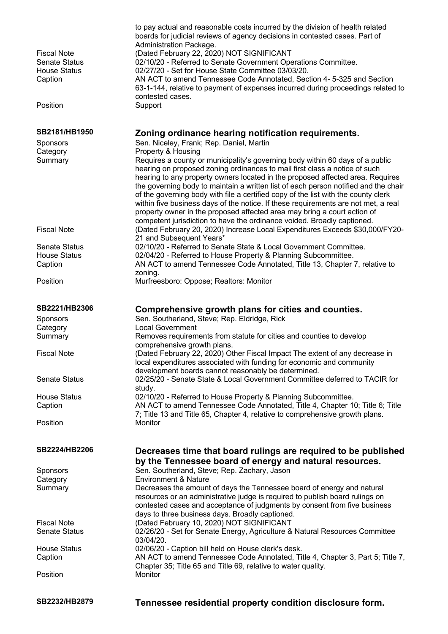| <b>Fiscal Note</b><br><b>Senate Status</b><br><b>House Status</b><br>Caption<br>Position | to pay actual and reasonable costs incurred by the division of health related<br>boards for judicial reviews of agency decisions in contested cases. Part of<br>Administration Package.<br>(Dated February 22, 2020) NOT SIGNIFICANT<br>02/10/20 - Referred to Senate Government Operations Committee.<br>02/27/20 - Set for House State Committee 03/03/20.<br>AN ACT to amend Tennessee Code Annotated, Section 4- 5-325 and Section<br>63-1-144, relative to payment of expenses incurred during proceedings related to<br>contested cases.<br>Support                                                                                                               |
|------------------------------------------------------------------------------------------|-------------------------------------------------------------------------------------------------------------------------------------------------------------------------------------------------------------------------------------------------------------------------------------------------------------------------------------------------------------------------------------------------------------------------------------------------------------------------------------------------------------------------------------------------------------------------------------------------------------------------------------------------------------------------|
| SB2181/HB1950                                                                            | Zoning ordinance hearing notification requirements.                                                                                                                                                                                                                                                                                                                                                                                                                                                                                                                                                                                                                     |
| Sponsors                                                                                 | Sen. Niceley, Frank; Rep. Daniel, Martin                                                                                                                                                                                                                                                                                                                                                                                                                                                                                                                                                                                                                                |
| Category                                                                                 | Property & Housing                                                                                                                                                                                                                                                                                                                                                                                                                                                                                                                                                                                                                                                      |
| Summary                                                                                  | Requires a county or municipality's governing body within 60 days of a public<br>hearing on proposed zoning ordinances to mail first class a notice of such<br>hearing to any property owners located in the proposed affected area. Requires<br>the governing body to maintain a written list of each person notified and the chair<br>of the governing body with file a certified copy of the list with the county clerk<br>within five business days of the notice. If these requirements are not met, a real<br>property owner in the proposed affected area may bring a court action of<br>competent jurisdiction to have the ordinance voided. Broadly captioned. |
| <b>Fiscal Note</b>                                                                       | (Dated February 20, 2020) Increase Local Expenditures Exceeds \$30,000/FY20-<br>21 and Subsequent Years*                                                                                                                                                                                                                                                                                                                                                                                                                                                                                                                                                                |
| <b>Senate Status</b>                                                                     | 02/10/20 - Referred to Senate State & Local Government Committee.                                                                                                                                                                                                                                                                                                                                                                                                                                                                                                                                                                                                       |
| <b>House Status</b>                                                                      | 02/04/20 - Referred to House Property & Planning Subcommittee.                                                                                                                                                                                                                                                                                                                                                                                                                                                                                                                                                                                                          |
| Caption                                                                                  | AN ACT to amend Tennessee Code Annotated, Title 13, Chapter 7, relative to<br>zoning.                                                                                                                                                                                                                                                                                                                                                                                                                                                                                                                                                                                   |
| Position                                                                                 | Murfreesboro: Oppose; Realtors: Monitor                                                                                                                                                                                                                                                                                                                                                                                                                                                                                                                                                                                                                                 |
| SB2221/HB2306<br>Sponsors                                                                | Comprehensive growth plans for cities and counties.<br>Sen. Southerland, Steve; Rep. Eldridge, Rick                                                                                                                                                                                                                                                                                                                                                                                                                                                                                                                                                                     |
| Category                                                                                 | <b>Local Government</b>                                                                                                                                                                                                                                                                                                                                                                                                                                                                                                                                                                                                                                                 |
| Summary                                                                                  | Removes requirements from statute for cities and counties to develop<br>comprehensive growth plans.                                                                                                                                                                                                                                                                                                                                                                                                                                                                                                                                                                     |
| <b>Fiscal Note</b>                                                                       | (Dated February 22, 2020) Other Fiscal Impact The extent of any decrease in<br>local expenditures associated with funding for economic and community<br>development boards cannot reasonably be determined.                                                                                                                                                                                                                                                                                                                                                                                                                                                             |
| <b>Senate Status</b>                                                                     | 02/25/20 - Senate State & Local Government Committee deferred to TACIR for<br>study.                                                                                                                                                                                                                                                                                                                                                                                                                                                                                                                                                                                    |
| <b>House Status</b>                                                                      | 02/10/20 - Referred to House Property & Planning Subcommittee.                                                                                                                                                                                                                                                                                                                                                                                                                                                                                                                                                                                                          |
| Caption                                                                                  | AN ACT to amend Tennessee Code Annotated, Title 4, Chapter 10; Title 6; Title<br>7; Title 13 and Title 65, Chapter 4, relative to comprehensive growth plans.                                                                                                                                                                                                                                                                                                                                                                                                                                                                                                           |
| Position                                                                                 | Monitor                                                                                                                                                                                                                                                                                                                                                                                                                                                                                                                                                                                                                                                                 |
| SB2224/HB2206                                                                            | Decreases time that board rulings are required to be published<br>by the Tennessee board of energy and natural resources.                                                                                                                                                                                                                                                                                                                                                                                                                                                                                                                                               |
| Sponsors                                                                                 | Sen. Southerland, Steve; Rep. Zachary, Jason                                                                                                                                                                                                                                                                                                                                                                                                                                                                                                                                                                                                                            |
| Category                                                                                 | <b>Environment &amp; Nature</b>                                                                                                                                                                                                                                                                                                                                                                                                                                                                                                                                                                                                                                         |
| Summary                                                                                  | Decreases the amount of days the Tennessee board of energy and natural<br>resources or an administrative judge is required to publish board rulings on<br>contested cases and acceptance of judgments by consent from five business<br>days to three business days. Broadly captioned.                                                                                                                                                                                                                                                                                                                                                                                  |
| <b>Fiscal Note</b>                                                                       | (Dated February 10, 2020) NOT SIGNIFICANT                                                                                                                                                                                                                                                                                                                                                                                                                                                                                                                                                                                                                               |
| <b>Senate Status</b>                                                                     | 02/26/20 - Set for Senate Energy, Agriculture & Natural Resources Committee<br>03/04/20.                                                                                                                                                                                                                                                                                                                                                                                                                                                                                                                                                                                |
| <b>House Status</b>                                                                      | 02/06/20 - Caption bill held on House clerk's desk.                                                                                                                                                                                                                                                                                                                                                                                                                                                                                                                                                                                                                     |
| Caption                                                                                  | AN ACT to amend Tennessee Code Annotated, Title 4, Chapter 3, Part 5; Title 7,<br>Chapter 35; Title 65 and Title 69, relative to water quality.                                                                                                                                                                                                                                                                                                                                                                                                                                                                                                                         |
| Position                                                                                 | Monitor                                                                                                                                                                                                                                                                                                                                                                                                                                                                                                                                                                                                                                                                 |

**SB2232/HB2879 Tennessee residential property condition disclosure form.**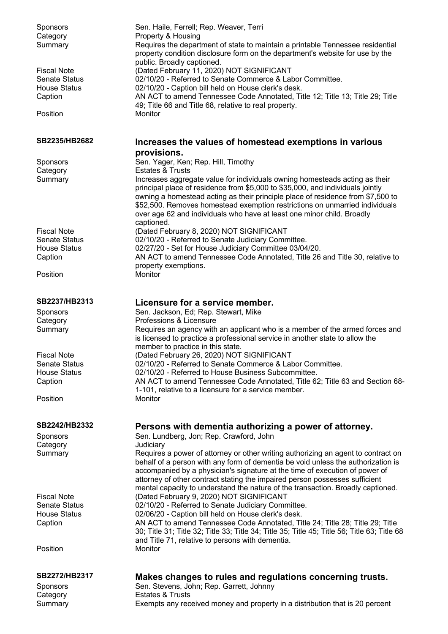| Sponsors<br>Category<br>Summary             | Sen. Haile, Ferrell; Rep. Weaver, Terri<br>Property & Housing<br>Requires the department of state to maintain a printable Tennessee residential<br>property condition disclosure form on the department's website for use by the<br>public. Broadly captioned. |
|---------------------------------------------|----------------------------------------------------------------------------------------------------------------------------------------------------------------------------------------------------------------------------------------------------------------|
| <b>Fiscal Note</b><br><b>Senate Status</b>  | (Dated February 11, 2020) NOT SIGNIFICANT<br>02/10/20 - Referred to Senate Commerce & Labor Committee.                                                                                                                                                         |
| <b>House Status</b>                         | 02/10/20 - Caption bill held on House clerk's desk.                                                                                                                                                                                                            |
| Caption                                     | AN ACT to amend Tennessee Code Annotated, Title 12; Title 13; Title 29; Title<br>49; Title 66 and Title 68, relative to real property.                                                                                                                         |
| Position                                    | Monitor                                                                                                                                                                                                                                                        |
| SB2235/HB2682                               | Increases the values of homestead exemptions in various<br>provisions.                                                                                                                                                                                         |
| Sponsors<br>Category                        | Sen. Yager, Ken; Rep. Hill, Timothy<br><b>Estates &amp; Trusts</b>                                                                                                                                                                                             |
| Summary                                     | Increases aggregate value for individuals owning homesteads acting as their<br>principal place of residence from \$5,000 to \$35,000, and individuals jointly                                                                                                  |
|                                             | owning a homestead acting as their principle place of residence from \$7,500 to<br>\$52,500. Removes homestead exemption restrictions on unmarried individuals<br>over age 62 and individuals who have at least one minor child. Broadly<br>captioned.         |
| <b>Fiscal Note</b>                          | (Dated February 8, 2020) NOT SIGNIFICANT                                                                                                                                                                                                                       |
| <b>Senate Status</b><br><b>House Status</b> | 02/10/20 - Referred to Senate Judiciary Committee.<br>02/27/20 - Set for House Judiciary Committee 03/04/20.                                                                                                                                                   |
| Caption                                     | AN ACT to amend Tennessee Code Annotated, Title 26 and Title 30, relative to                                                                                                                                                                                   |
| Position                                    | property exemptions.<br>Monitor                                                                                                                                                                                                                                |
|                                             |                                                                                                                                                                                                                                                                |
| SB2237/HB2313<br>Sponsors                   | Licensure for a service member.<br>Sen. Jackson, Ed; Rep. Stewart, Mike                                                                                                                                                                                        |
| Category                                    | Professions & Licensure                                                                                                                                                                                                                                        |
| Summary                                     | Requires an agency with an applicant who is a member of the armed forces and<br>is licensed to practice a professional service in another state to allow the<br>member to practice in this state.                                                              |
| <b>Fiscal Note</b>                          | (Dated February 26, 2020) NOT SIGNIFICANT                                                                                                                                                                                                                      |
| <b>Senate Status</b><br><b>House Status</b> | 02/10/20 - Referred to Senate Commerce & Labor Committee.<br>02/10/20 - Referred to House Business Subcommittee.                                                                                                                                               |
| Caption                                     | AN ACT to amend Tennessee Code Annotated, Title 62; Title 63 and Section 68-                                                                                                                                                                                   |
| Position                                    | 1-101, relative to a licensure for a service member.<br>Monitor                                                                                                                                                                                                |
|                                             |                                                                                                                                                                                                                                                                |
| SB2242/HB2332<br>Sponsors                   | Persons with dementia authorizing a power of attorney.<br>Sen. Lundberg, Jon; Rep. Crawford, John                                                                                                                                                              |
| Category                                    | Judiciary                                                                                                                                                                                                                                                      |
| Summary                                     | Requires a power of attorney or other writing authorizing an agent to contract on<br>behalf of a person with any form of dementia be void unless the authorization is                                                                                          |
|                                             | accompanied by a physician's signature at the time of execution of power of                                                                                                                                                                                    |
|                                             | attorney of other contract stating the impaired person possesses sufficient                                                                                                                                                                                    |
| <b>Fiscal Note</b>                          | mental capacity to understand the nature of the transaction. Broadly captioned.<br>(Dated February 9, 2020) NOT SIGNIFICANT                                                                                                                                    |
| <b>Senate Status</b>                        | 02/10/20 - Referred to Senate Judiciary Committee.                                                                                                                                                                                                             |
| <b>House Status</b><br>Caption              | 02/06/20 - Caption bill held on House clerk's desk.<br>AN ACT to amend Tennessee Code Annotated, Title 24; Title 28; Title 29; Title                                                                                                                           |
|                                             | 30; Title 31; Title 32; Title 33; Title 34; Title 35; Title 45; Title 56; Title 63; Title 68                                                                                                                                                                   |
| Position                                    | and Title 71, relative to persons with dementia.<br>Monitor                                                                                                                                                                                                    |
|                                             |                                                                                                                                                                                                                                                                |
| SB2272/HB2317<br>Sponsors                   | Makes changes to rules and regulations concerning trusts.<br>Sen. Stevens, John; Rep. Garrett, Johnny                                                                                                                                                          |
| Category                                    | <b>Estates &amp; Trusts</b>                                                                                                                                                                                                                                    |
| Summary                                     | Exempts any received money and property in a distribution that is 20 percent                                                                                                                                                                                   |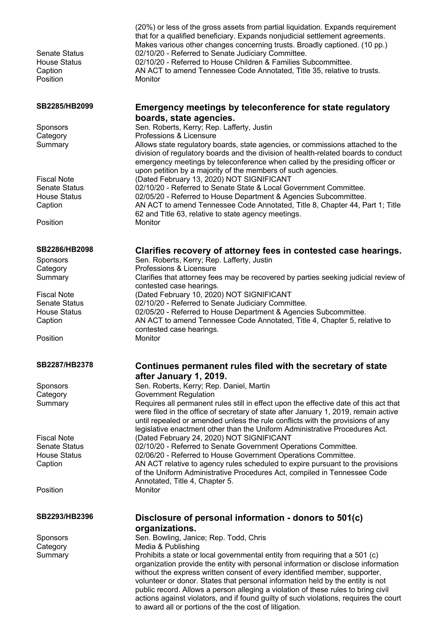(20%) or less of the gross assets from partial liquidation. Expands requirement that for a qualified beneficiary. Expands nonjudicial settlement agreements. Makes various other changes concerning trusts. Broadly captioned. (10 pp.) Senate Status 02/10/20 - Referred to Senate Judiciary Committee. House Status 02/10/20 - Referred to House Children & Families Subcommittee. Caption AN ACT to amend Tennessee Code Annotated, Title 35, relative to trusts. Position Monitor **SB2285/HB2099 Emergency meetings by teleconference for state regulatory boards, state agencies.** Sponsors Sen. Roberts, Kerry; Rep. Lafferty, Justin Category **Professions & Licensure** Summary Allows state regulatory boards, state agencies, or commissions attached to the division of regulatory boards and the division of health-related boards to conduct emergency meetings by teleconference when called by the presiding officer or upon petition by a majority of the members of such agencies. Fiscal Note (Dated February 13, 2020) NOT SIGNIFICANT Senate Status 02/10/20 - Referred to Senate State & Local Government Committee. House Status 02/05/20 - Referred to House Department & Agencies Subcommittee. Caption AN ACT to amend Tennessee Code Annotated, Title 8, Chapter 44, Part 1; Title 62 and Title 63, relative to state agency meetings. Position Monitor **SB2286/HB2098 Clarifies recovery of attorney fees in contested case hearings.** Sponsors Sen. Roberts, Kerry; Rep. Lafferty, Justin Category **Professions & Licensure** Summary Clarifies that attorney fees may be recovered by parties seeking judicial review of contested case hearings. Fiscal Note (Dated February 10, 2020) NOT SIGNIFICANT Senate Status 02/10/20 - Referred to Senate Judiciary Committee. House Status 02/05/20 - Referred to House Department & Agencies Subcommittee. Caption AN ACT to amend Tennessee Code Annotated, Title 4, Chapter 5, relative to contested case hearings. Position Monitor **SB2287/HB2378 Continues permanent rules filed with the secretary of state after January 1, 2019.** Sponsors Sen. Roberts, Kerry; Rep. Daniel, Martin Category **Government Regulation** Summary Requires all permanent rules still in effect upon the effective date of this act that were filed in the office of secretary of state after January 1, 2019, remain active until repealed or amended unless the rule conflicts with the provisions of any legislative enactment other than the Uniform Administrative Procedures Act. Fiscal Note (Dated February 24, 2020) NOT SIGNIFICANT Senate Status 02/10/20 - Referred to Senate Government Operations Committee. House Status 02/06/20 - Referred to House Government Operations Committee. Caption AN ACT relative to agency rules scheduled to expire pursuant to the provisions of the Uniform Administrative Procedures Act, compiled in Tennessee Code Annotated, Title 4, Chapter 5. Position Monitor **SB2293/HB2396 Disclosure of personal information - donors to 501(c) organizations.** Sponsors Sen. Bowling, Janice; Rep. Todd, Chris Category Media & Publishing Summary **Prohibits a state or local governmental entity from requiring that a 501 (c)** organization provide the entity with personal information or disclose information without the express written consent of every identified member, supporter, volunteer or donor. States that personal information held by the entity is not public record. Allows a person alleging a violation of these rules to bring civil actions against violators, and if found guilty of such violations, requires the court to award all or portions of the the cost of litigation.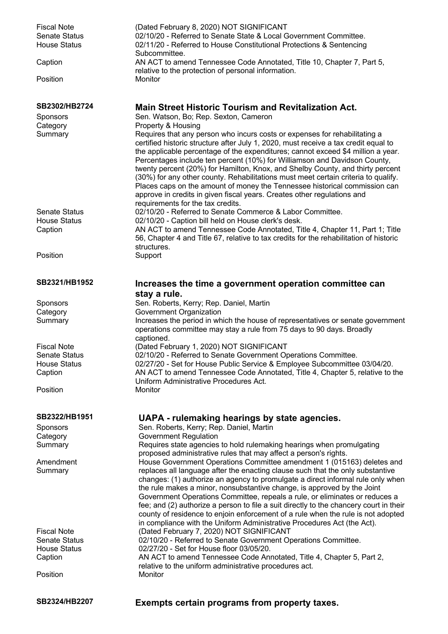| <b>Fiscal Note</b><br><b>Senate Status</b><br><b>House Status</b> | (Dated February 8, 2020) NOT SIGNIFICANT<br>02/10/20 - Referred to Senate State & Local Government Committee.<br>02/11/20 - Referred to House Constitutional Protections & Sentencing                                                                                                                                                                                                                                                                                                                                                                                                                                                                                                                    |
|-------------------------------------------------------------------|----------------------------------------------------------------------------------------------------------------------------------------------------------------------------------------------------------------------------------------------------------------------------------------------------------------------------------------------------------------------------------------------------------------------------------------------------------------------------------------------------------------------------------------------------------------------------------------------------------------------------------------------------------------------------------------------------------|
| Caption                                                           | Subcommittee.<br>AN ACT to amend Tennessee Code Annotated, Title 10, Chapter 7, Part 5,                                                                                                                                                                                                                                                                                                                                                                                                                                                                                                                                                                                                                  |
| Position                                                          | relative to the protection of personal information.<br>Monitor                                                                                                                                                                                                                                                                                                                                                                                                                                                                                                                                                                                                                                           |
| SB2302/HB2724                                                     | <b>Main Street Historic Tourism and Revitalization Act.</b>                                                                                                                                                                                                                                                                                                                                                                                                                                                                                                                                                                                                                                              |
| Sponsors                                                          | Sen. Watson, Bo; Rep. Sexton, Cameron                                                                                                                                                                                                                                                                                                                                                                                                                                                                                                                                                                                                                                                                    |
| Category                                                          | Property & Housing                                                                                                                                                                                                                                                                                                                                                                                                                                                                                                                                                                                                                                                                                       |
| Summary                                                           | Requires that any person who incurs costs or expenses for rehabilitating a<br>certified historic structure after July 1, 2020, must receive a tax credit equal to<br>the applicable percentage of the expenditures; cannot exceed \$4 million a year.<br>Percentages include ten percent (10%) for Williamson and Davidson County,<br>twenty percent (20%) for Hamilton, Knox, and Shelby County, and thirty percent<br>(30%) for any other county. Rehabilitations must meet certain criteria to qualify.<br>Places caps on the amount of money the Tennessee historical commission can<br>approve in credits in given fiscal years. Creates other regulations and<br>requirements for the tax credits. |
| <b>Senate Status</b>                                              | 02/10/20 - Referred to Senate Commerce & Labor Committee.                                                                                                                                                                                                                                                                                                                                                                                                                                                                                                                                                                                                                                                |
| <b>House Status</b>                                               | 02/10/20 - Caption bill held on House clerk's desk.                                                                                                                                                                                                                                                                                                                                                                                                                                                                                                                                                                                                                                                      |
| Caption                                                           | AN ACT to amend Tennessee Code Annotated, Title 4, Chapter 11, Part 1; Title<br>56, Chapter 4 and Title 67, relative to tax credits for the rehabilitation of historic<br>structures.                                                                                                                                                                                                                                                                                                                                                                                                                                                                                                                    |
| Position                                                          | Support                                                                                                                                                                                                                                                                                                                                                                                                                                                                                                                                                                                                                                                                                                  |
| SB2321/HB1952                                                     | Increases the time a government operation committee can                                                                                                                                                                                                                                                                                                                                                                                                                                                                                                                                                                                                                                                  |
|                                                                   | stay a rule.                                                                                                                                                                                                                                                                                                                                                                                                                                                                                                                                                                                                                                                                                             |
| <b>Sponsors</b>                                                   | Sen. Roberts, Kerry; Rep. Daniel, Martin                                                                                                                                                                                                                                                                                                                                                                                                                                                                                                                                                                                                                                                                 |
| Category<br>Summary                                               | Government Organization<br>Increases the period in which the house of representatives or senate government<br>operations committee may stay a rule from 75 days to 90 days. Broadly<br>captioned.                                                                                                                                                                                                                                                                                                                                                                                                                                                                                                        |
| <b>Fiscal Note</b>                                                | (Dated February 1, 2020) NOT SIGNIFICANT                                                                                                                                                                                                                                                                                                                                                                                                                                                                                                                                                                                                                                                                 |
| <b>Senate Status</b>                                              | 02/10/20 - Referred to Senate Government Operations Committee.                                                                                                                                                                                                                                                                                                                                                                                                                                                                                                                                                                                                                                           |
| <b>House Status</b>                                               | 02/27/20 - Set for House Public Service & Employee Subcommittee 03/04/20.                                                                                                                                                                                                                                                                                                                                                                                                                                                                                                                                                                                                                                |
| Caption                                                           | AN ACT to amend Tennessee Code Annotated, Title 4, Chapter 5, relative to the<br>Uniform Administrative Procedures Act.                                                                                                                                                                                                                                                                                                                                                                                                                                                                                                                                                                                  |
| Position                                                          | Monitor                                                                                                                                                                                                                                                                                                                                                                                                                                                                                                                                                                                                                                                                                                  |
| SB2322/HB1951                                                     | UAPA - rulemaking hearings by state agencies.                                                                                                                                                                                                                                                                                                                                                                                                                                                                                                                                                                                                                                                            |
| Sponsors                                                          | Sen. Roberts, Kerry; Rep. Daniel, Martin                                                                                                                                                                                                                                                                                                                                                                                                                                                                                                                                                                                                                                                                 |
| Category                                                          | <b>Government Regulation</b>                                                                                                                                                                                                                                                                                                                                                                                                                                                                                                                                                                                                                                                                             |
| Summary                                                           | Requires state agencies to hold rulemaking hearings when promulgating<br>proposed administrative rules that may affect a person's rights.                                                                                                                                                                                                                                                                                                                                                                                                                                                                                                                                                                |
| Amendment                                                         | House Government Operations Committee amendment 1 (015163) deletes and                                                                                                                                                                                                                                                                                                                                                                                                                                                                                                                                                                                                                                   |
| Summary                                                           | replaces all language after the enacting clause such that the only substantive<br>changes: (1) authorize an agency to promulgate a direct informal rule only when<br>the rule makes a minor, nonsubstantive change, is approved by the Joint<br>Government Operations Committee, repeals a rule, or eliminates or reduces a<br>fee; and (2) authorize a person to file a suit directly to the chancery court in their<br>county of residence to enjoin enforcement of a rule when the rule is not adopted<br>in compliance with the Uniform Administrative Procedures Act (the Act).                                                                                                                     |
| <b>Fiscal Note</b>                                                | (Dated February 7, 2020) NOT SIGNIFICANT                                                                                                                                                                                                                                                                                                                                                                                                                                                                                                                                                                                                                                                                 |
| <b>Senate Status</b>                                              | 02/10/20 - Referred to Senate Government Operations Committee.                                                                                                                                                                                                                                                                                                                                                                                                                                                                                                                                                                                                                                           |
| <b>House Status</b>                                               | 02/27/20 - Set for House floor 03/05/20.                                                                                                                                                                                                                                                                                                                                                                                                                                                                                                                                                                                                                                                                 |
| Caption                                                           | AN ACT to amend Tennessee Code Annotated, Title 4, Chapter 5, Part 2,<br>relative to the uniform administrative procedures act.                                                                                                                                                                                                                                                                                                                                                                                                                                                                                                                                                                          |
| Position                                                          | Monitor                                                                                                                                                                                                                                                                                                                                                                                                                                                                                                                                                                                                                                                                                                  |
| SB2324/HB2207                                                     | Exempts certain programs from property taxes.                                                                                                                                                                                                                                                                                                                                                                                                                                                                                                                                                                                                                                                            |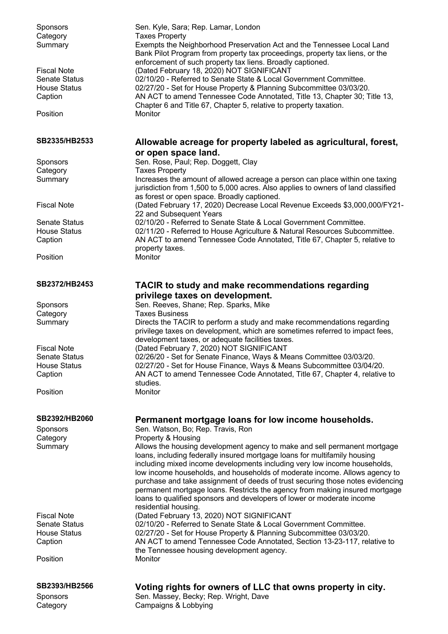| SB2393/HB2566                       | Voting rights for owners of LLC that owns property in city.                                                                                                                   |
|-------------------------------------|-------------------------------------------------------------------------------------------------------------------------------------------------------------------------------|
| Position                            | Monitor                                                                                                                                                                       |
| Caption                             | AN ACT to amend Tennessee Code Annotated, Section 13-23-117, relative to<br>the Tennessee housing development agency.                                                         |
| <b>House Status</b>                 | 02/27/20 - Set for House Property & Planning Subcommittee 03/03/20.                                                                                                           |
| <b>Senate Status</b>                | 02/10/20 - Referred to Senate State & Local Government Committee.                                                                                                             |
| <b>Fiscal Note</b>                  | (Dated February 13, 2020) NOT SIGNIFICANT                                                                                                                                     |
|                                     | permanent mortgage loans. Restricts the agency from making insured mortgage<br>loans to qualified sponsors and developers of lower or moderate income<br>residential housing. |
|                                     | low income households, and households of moderate income. Allows agency to<br>purchase and take assignment of deeds of trust securing those notes evidencing                  |
|                                     | including mixed income developments including very low income households,                                                                                                     |
|                                     | loans, including federally insured mortgage loans for multifamily housing                                                                                                     |
| Category<br>Summary                 | Allows the housing development agency to make and sell permanent mortgage                                                                                                     |
| <b>Sponsors</b>                     | Sen. Watson, Bo; Rep. Travis, Ron<br>Property & Housing                                                                                                                       |
| SB2392/HB2060                       | Permanent mortgage loans for low income households.                                                                                                                           |
| Position                            | Monitor                                                                                                                                                                       |
|                                     | studies.                                                                                                                                                                      |
| Caption                             | AN ACT to amend Tennessee Code Annotated, Title 67, Chapter 4, relative to                                                                                                    |
| <b>House Status</b>                 | 02/27/20 - Set for House Finance, Ways & Means Subcommittee 03/04/20.                                                                                                         |
| <b>Fiscal Note</b><br>Senate Status | (Dated February 7, 2020) NOT SIGNIFICANT<br>02/26/20 - Set for Senate Finance, Ways & Means Committee 03/03/20.                                                               |
|                                     | development taxes, or adequate facilities taxes.                                                                                                                              |
|                                     | privilege taxes on development, which are sometimes referred to impact fees,                                                                                                  |
| Summary                             | Directs the TACIR to perform a study and make recommendations regarding                                                                                                       |
| Category                            | <b>Taxes Business</b>                                                                                                                                                         |
| Sponsors                            | privilege taxes on development.<br>Sen. Reeves, Shane; Rep. Sparks, Mike                                                                                                      |
| SB2372/HB2453                       | TACIR to study and make recommendations regarding                                                                                                                             |
|                                     |                                                                                                                                                                               |
| Position                            | Monitor                                                                                                                                                                       |
| Caption                             | AN ACT to amend Tennessee Code Annotated, Title 67, Chapter 5, relative to<br>property taxes.                                                                                 |
| <b>House Status</b>                 | 02/11/20 - Referred to House Agriculture & Natural Resources Subcommittee.                                                                                                    |
| <b>Senate Status</b>                | 02/10/20 - Referred to Senate State & Local Government Committee.                                                                                                             |
|                                     | 22 and Subsequent Years                                                                                                                                                       |
| <b>Fiscal Note</b>                  | as forest or open space. Broadly captioned.<br>(Dated February 17, 2020) Decrease Local Revenue Exceeds \$3,000,000/FY21-                                                     |
| Summary                             | jurisdiction from 1,500 to 5,000 acres. Also applies to owners of land classified                                                                                             |
| Category                            | <b>Taxes Property</b><br>Increases the amount of allowed acreage a person can place within one taxing                                                                         |
| Sponsors                            | Sen. Rose, Paul; Rep. Doggett, Clay                                                                                                                                           |
|                                     | or open space land.                                                                                                                                                           |
| SB2335/HB2533                       | Allowable acreage for property labeled as agricultural, forest,                                                                                                               |
| Position                            | Monitor                                                                                                                                                                       |
|                                     | Chapter 6 and Title 67, Chapter 5, relative to property taxation.                                                                                                             |
| <b>House Status</b><br>Caption      | 02/27/20 - Set for House Property & Planning Subcommittee 03/03/20.<br>AN ACT to amend Tennessee Code Annotated, Title 13, Chapter 30; Title 13,                              |
| <b>Senate Status</b>                | 02/10/20 - Referred to Senate State & Local Government Committee.                                                                                                             |
| <b>Fiscal Note</b>                  | (Dated February 18, 2020) NOT SIGNIFICANT                                                                                                                                     |
|                                     | enforcement of such property tax liens. Broadly captioned.                                                                                                                    |
| Summary                             | Exempts the Neighborhood Preservation Act and the Tennessee Local Land<br>Bank Pilot Program from property tax proceedings, property tax liens, or the                        |
| Category                            | <b>Taxes Property</b>                                                                                                                                                         |
| Sponsors                            | Sen. Kyle, Sara; Rep. Lamar, London                                                                                                                                           |
|                                     |                                                                                                                                                                               |

Sponsors **Sen. Massey, Becky; Rep. Wright, Dave** Category Campaigns & Lobbying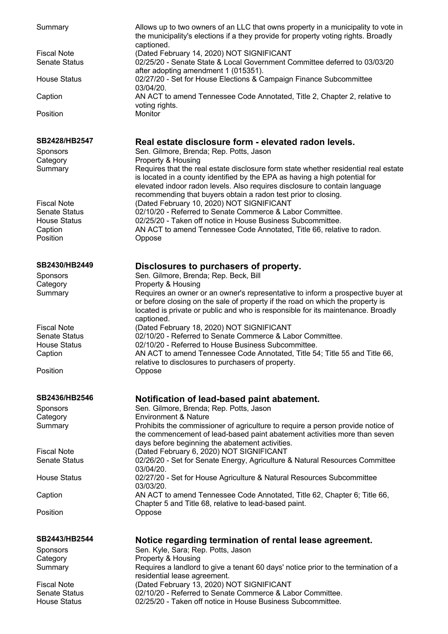| Summary                                    | Allows up to two owners of an LLC that owns property in a municipality to vote in<br>the municipality's elections if a they provide for property voting rights. Broadly<br>captioned.                                                                                                                              |
|--------------------------------------------|--------------------------------------------------------------------------------------------------------------------------------------------------------------------------------------------------------------------------------------------------------------------------------------------------------------------|
| <b>Fiscal Note</b><br><b>Senate Status</b> | (Dated February 14, 2020) NOT SIGNIFICANT<br>02/25/20 - Senate State & Local Government Committee deferred to 03/03/20<br>after adopting amendment 1 (015351).                                                                                                                                                     |
| <b>House Status</b>                        | 02/27/20 - Set for House Elections & Campaign Finance Subcommittee<br>03/04/20.                                                                                                                                                                                                                                    |
| Caption                                    | AN ACT to amend Tennessee Code Annotated, Title 2, Chapter 2, relative to<br>voting rights.                                                                                                                                                                                                                        |
| Position                                   | Monitor                                                                                                                                                                                                                                                                                                            |
| SB2428/HB2547                              | Real estate disclosure form - elevated radon levels.                                                                                                                                                                                                                                                               |
| <b>Sponsors</b>                            | Sen. Gilmore, Brenda; Rep. Potts, Jason                                                                                                                                                                                                                                                                            |
| Category                                   | Property & Housing                                                                                                                                                                                                                                                                                                 |
| Summary                                    | Requires that the real estate disclosure form state whether residential real estate<br>is located in a county identified by the EPA as having a high potential for<br>elevated indoor radon levels. Also requires disclosure to contain language<br>recommending that buyers obtain a radon test prior to closing. |
| <b>Fiscal Note</b>                         | (Dated February 10, 2020) NOT SIGNIFICANT                                                                                                                                                                                                                                                                          |
| <b>Senate Status</b>                       | 02/10/20 - Referred to Senate Commerce & Labor Committee.                                                                                                                                                                                                                                                          |
| <b>House Status</b>                        | 02/25/20 - Taken off notice in House Business Subcommittee.                                                                                                                                                                                                                                                        |
| Caption<br>Position                        | AN ACT to amend Tennessee Code Annotated, Title 66, relative to radon.<br>Oppose                                                                                                                                                                                                                                   |
| SB2430/HB2449                              | Disclosures to purchasers of property.                                                                                                                                                                                                                                                                             |
| Sponsors                                   | Sen. Gilmore, Brenda; Rep. Beck, Bill                                                                                                                                                                                                                                                                              |
| Category                                   | Property & Housing                                                                                                                                                                                                                                                                                                 |
| Summary                                    | Requires an owner or an owner's representative to inform a prospective buyer at<br>or before closing on the sale of property if the road on which the property is<br>located is private or public and who is responsible for its maintenance. Broadly<br>captioned.                                                |
| <b>Fiscal Note</b>                         | (Dated February 18, 2020) NOT SIGNIFICANT                                                                                                                                                                                                                                                                          |
| <b>Senate Status</b>                       | 02/10/20 - Referred to Senate Commerce & Labor Committee.                                                                                                                                                                                                                                                          |
| <b>House Status</b>                        | 02/10/20 - Referred to House Business Subcommittee.                                                                                                                                                                                                                                                                |
| Caption                                    | AN ACT to amend Tennessee Code Annotated, Title 54; Title 55 and Title 66,                                                                                                                                                                                                                                         |
| Position                                   | relative to disclosures to purchasers of property.<br>Oppose                                                                                                                                                                                                                                                       |
| SB2436/HB2546                              | Notification of lead-based paint abatement.                                                                                                                                                                                                                                                                        |
| <b>Sponsors</b>                            | Sen. Gilmore, Brenda; Rep. Potts, Jason                                                                                                                                                                                                                                                                            |
| Category                                   | <b>Environment &amp; Nature</b>                                                                                                                                                                                                                                                                                    |
| Summary                                    | Prohibits the commissioner of agriculture to require a person provide notice of<br>the commencement of lead-based paint abatement activities more than seven<br>days before beginning the abatement activities.                                                                                                    |
| <b>Fiscal Note</b>                         | (Dated February 6, 2020) NOT SIGNIFICANT                                                                                                                                                                                                                                                                           |
| <b>Senate Status</b>                       | 02/26/20 - Set for Senate Energy, Agriculture & Natural Resources Committee<br>03/04/20.                                                                                                                                                                                                                           |
| <b>House Status</b>                        | 02/27/20 - Set for House Agriculture & Natural Resources Subcommittee<br>03/03/20.                                                                                                                                                                                                                                 |
| Caption                                    | AN ACT to amend Tennessee Code Annotated, Title 62, Chapter 6; Title 66,<br>Chapter 5 and Title 68, relative to lead-based paint.                                                                                                                                                                                  |
| Position                                   | Oppose                                                                                                                                                                                                                                                                                                             |
| SB2443/HB2544                              | Notice regarding termination of rental lease agreement.                                                                                                                                                                                                                                                            |
| Sponsors                                   | Sen. Kyle, Sara; Rep. Potts, Jason                                                                                                                                                                                                                                                                                 |
| Category                                   | Property & Housing                                                                                                                                                                                                                                                                                                 |
| Summary                                    | Requires a landlord to give a tenant 60 days' notice prior to the termination of a<br>residential lease agreement.                                                                                                                                                                                                 |
| <b>Fiscal Note</b><br><b>Senate Status</b> | (Dated February 13, 2020) NOT SIGNIFICANT<br>02/10/20 - Referred to Senate Commerce & Labor Committee.                                                                                                                                                                                                             |
| <b>House Status</b>                        | 02/25/20 - Taken off notice in House Business Subcommittee.                                                                                                                                                                                                                                                        |
|                                            |                                                                                                                                                                                                                                                                                                                    |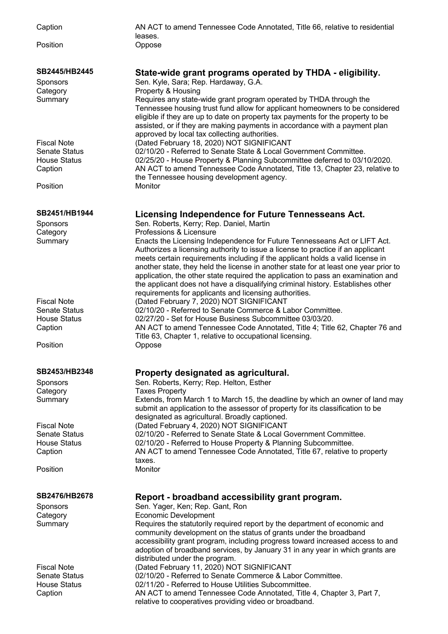Caption AN ACT to amend Tennessee Code Annotated, Title 66, relative to residential leases. Position **Oppose SB2445/HB2445 State-wide grant programs operated by THDA - eligibility.** Sponsors Sen. Kyle, Sara; Rep. Hardaway, G.A. Category **Property & Housing** Summary Requires any state-wide grant program operated by THDA through the Tennessee housing trust fund allow for applicant homeowners to be considered eligible if they are up to date on property tax payments for the property to be assisted, or if they are making payments in accordance with a payment plan approved by local tax collecting authorities. Fiscal Note (Dated February 18, 2020) NOT SIGNIFICANT Senate Status 02/10/20 - Referred to Senate State & Local Government Committee. House Status 02/25/20 - House Property & Planning Subcommittee deferred to 03/10/2020. Caption AN ACT to amend Tennessee Code Annotated, Title 13, Chapter 23, relative to the Tennessee housing development agency. Position Monitor **SB2451/HB1944 Licensing Independence for Future Tennesseans Act.** Sponsors Sen. Roberts, Kerry; Rep. Daniel, Martin Category **Professions & Licensure** Summary Enacts the Licensing Independence for Future Tennesseans Act or LIFT Act. Authorizes a licensing authority to issue a license to practice if an applicant meets certain requirements including if the applicant holds a valid license in another state, they held the license in another state for at least one year prior to application, the other state required the application to pass an examination and the applicant does not have a disqualifying criminal history. Establishes other requirements for applicants and licensing authorities. Fiscal Note (Dated February 7, 2020) NOT SIGNIFICANT Senate Status 02/10/20 - Referred to Senate Commerce & Labor Committee. House Status 02/27/20 - Set for House Business Subcommittee 03/03/20. Caption AN ACT to amend Tennessee Code Annotated, Title 4; Title 62, Chapter 76 and Title 63, Chapter 1, relative to occupational licensing. Position **Oppose SB2453/HB2348 Property designated as agricultural.** Sponsors Sen. Roberts, Kerry; Rep. Helton, Esther Category **Taxes Property** Summary Extends, from March 1 to March 15, the deadline by which an owner of land may submit an application to the assessor of property for its classification to be designated as agricultural. Broadly captioned. Fiscal Note (Dated February 4, 2020) NOT SIGNIFICANT<br>Senate Status (2/10/20 - Referred to Senate State & Local G 02/10/20 - Referred to Senate State & Local Government Committee. House Status 02/10/20 - Referred to House Property & Planning Subcommittee. Caption AN ACT to amend Tennessee Code Annotated, Title 67, relative to property taxes. Position Monitor **SB2476/HB2678 Report - broadband accessibility grant program.** Sponsors Sen. Yager, Ken; Rep. Gant, Ron Category Economic Development Summary Requires the statutorily required report by the department of economic and community development on the status of grants under the broadband accessibility grant program, including progress toward increased access to and adoption of broadband services, by January 31 in any year in which grants are distributed under the program. Fiscal Note (Dated February 11, 2020) NOT SIGNIFICANT Senate Status 02/10/20 - Referred to Senate Commerce & Labor Committee. House Status 02/11/20 - Referred to House Utilities Subcommittee. Caption AN ACT to amend Tennessee Code Annotated, Title 4, Chapter 3, Part 7, relative to cooperatives providing video or broadband.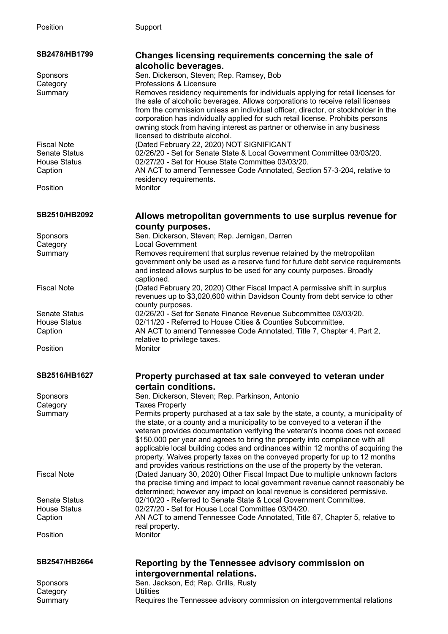| SB2478/HB1799               | Changes licensing requirements concerning the sale of                                                        |
|-----------------------------|--------------------------------------------------------------------------------------------------------------|
|                             | alcoholic beverages.                                                                                         |
| Sponsors                    | Sen. Dickerson, Steven; Rep. Ramsey, Bob                                                                     |
| Category                    | Professions & Licensure                                                                                      |
| Summary                     | Removes residency requirements for individuals applying for retail licenses for                              |
|                             | the sale of alcoholic beverages. Allows corporations to receive retail licenses                              |
|                             | from the commission unless an individual officer, director, or stockholder in the                            |
|                             | corporation has individually applied for such retail license. Prohibits persons                              |
|                             | owning stock from having interest as partner or otherwise in any business<br>licensed to distribute alcohol. |
| <b>Fiscal Note</b>          | (Dated February 22, 2020) NOT SIGNIFICANT                                                                    |
| <b>Senate Status</b>        | 02/26/20 - Set for Senate State & Local Government Committee 03/03/20.                                       |
| <b>House Status</b>         | 02/27/20 - Set for House State Committee 03/03/20.                                                           |
| Caption                     | AN ACT to amend Tennessee Code Annotated, Section 57-3-204, relative to                                      |
|                             | residency requirements.                                                                                      |
| Position                    | Monitor                                                                                                      |
|                             |                                                                                                              |
| SB2510/HB2092               | Allows metropolitan governments to use surplus revenue for                                                   |
|                             | county purposes.                                                                                             |
| Sponsors                    | Sen. Dickerson, Steven; Rep. Jernigan, Darren                                                                |
| Category                    | <b>Local Government</b>                                                                                      |
| Summary                     | Removes requirement that surplus revenue retained by the metropolitan                                        |
|                             | government only be used as a reserve fund for future debt service requirements                               |
|                             | and instead allows surplus to be used for any county purposes. Broadly                                       |
|                             | captioned.                                                                                                   |
| <b>Fiscal Note</b>          | (Dated February 20, 2020) Other Fiscal Impact A permissive shift in surplus                                  |
|                             | revenues up to \$3,020,600 within Davidson County from debt service to other                                 |
|                             | county purposes.                                                                                             |
| Senate Status               | 02/26/20 - Set for Senate Finance Revenue Subcommittee 03/03/20.                                             |
| <b>House Status</b>         | 02/11/20 - Referred to House Cities & Counties Subcommittee.                                                 |
| Caption                     | AN ACT to amend Tennessee Code Annotated, Title 7, Chapter 4, Part 2,                                        |
| Position                    | relative to privilege taxes.<br>Monitor                                                                      |
|                             |                                                                                                              |
| SB2516/HB1627               | Property purchased at tax sale conveyed to veteran under                                                     |
|                             | certain conditions.                                                                                          |
|                             | Sen. Dickerson, Steven; Rep. Parkinson, Antonio                                                              |
| <b>Sponsors</b><br>Category | <b>Taxes Property</b>                                                                                        |
| Summary                     | Permits property purchased at a tax sale by the state, a county, a municipality of                           |
|                             | the state, or a county and a municipality to be conveyed to a veteran if the                                 |
|                             | veteran provides documentation verifying the veteran's income does not exceed                                |
|                             | \$150,000 per year and agrees to bring the property into compliance with all                                 |
|                             | applicable local building codes and ordinances within 12 months of acquiring the                             |
|                             | property. Waives property taxes on the conveyed property for up to 12 months                                 |
|                             | and provides various restrictions on the use of the property by the veteran.                                 |
| <b>Fiscal Note</b>          | (Dated January 30, 2020) Other Fiscal Impact Due to multiple unknown factors                                 |
|                             | the precise timing and impact to local government revenue cannot reasonably be                               |
|                             | determined; however any impact on local revenue is considered permissive.                                    |
| <b>Senate Status</b>        | 02/10/20 - Referred to Senate State & Local Government Committee.                                            |
| <b>House Status</b>         | 02/27/20 - Set for House Local Committee 03/04/20.                                                           |
| Caption                     | AN ACT to amend Tennessee Code Annotated, Title 67, Chapter 5, relative to<br>real property.                 |
| Position                    | Monitor                                                                                                      |
|                             |                                                                                                              |
| SB2547/HB2664               |                                                                                                              |
|                             | Reporting by the Tennessee advisory commission on                                                            |
|                             | intergovernmental relations.                                                                                 |

Sponsors Sen. Jackson, Ed; Rep. Grills, Rusty Sponsors<br>Category Dililities Summary Requires the Tennessee advisory commission on intergovernmental relations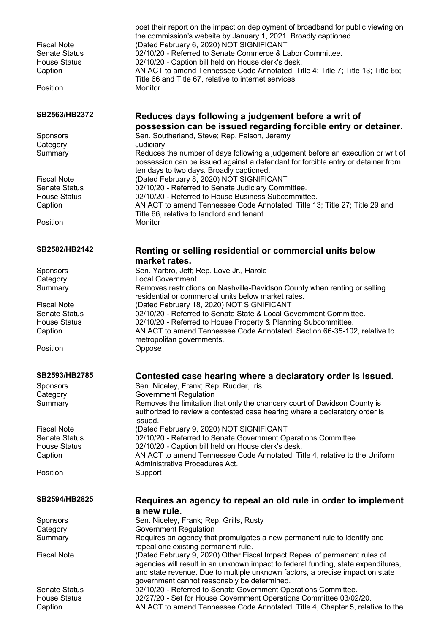| <b>Fiscal Note</b><br><b>Senate Status</b><br><b>House Status</b> | post their report on the impact on deployment of broadband for public viewing on<br>the commission's website by January 1, 2021. Broadly captioned.<br>(Dated February 6, 2020) NOT SIGNIFICANT<br>02/10/20 - Referred to Senate Commerce & Labor Committee.<br>02/10/20 - Caption bill held on House clerk's desk. |
|-------------------------------------------------------------------|---------------------------------------------------------------------------------------------------------------------------------------------------------------------------------------------------------------------------------------------------------------------------------------------------------------------|
| Caption                                                           | AN ACT to amend Tennessee Code Annotated, Title 4; Title 7; Title 13; Title 65;                                                                                                                                                                                                                                     |
| Position                                                          | Title 66 and Title 67, relative to internet services.<br>Monitor                                                                                                                                                                                                                                                    |
| SB2563/HB2372                                                     | Reduces days following a judgement before a writ of                                                                                                                                                                                                                                                                 |
| <b>Sponsors</b>                                                   | possession can be issued regarding forcible entry or detainer.<br>Sen. Southerland, Steve; Rep. Faison, Jeremy                                                                                                                                                                                                      |
| Category                                                          | Judiciary                                                                                                                                                                                                                                                                                                           |
| Summary                                                           | Reduces the number of days following a judgement before an execution or writ of<br>possession can be issued against a defendant for forcible entry or detainer from<br>ten days to two days. Broadly captioned.                                                                                                     |
| <b>Fiscal Note</b>                                                | (Dated February 8, 2020) NOT SIGNIFICANT                                                                                                                                                                                                                                                                            |
| <b>Senate Status</b>                                              | 02/10/20 - Referred to Senate Judiciary Committee.                                                                                                                                                                                                                                                                  |
| <b>House Status</b><br>Caption                                    | 02/10/20 - Referred to House Business Subcommittee.<br>AN ACT to amend Tennessee Code Annotated, Title 13; Title 27; Title 29 and                                                                                                                                                                                   |
| Position                                                          | Title 66, relative to landlord and tenant.<br>Monitor                                                                                                                                                                                                                                                               |
| SB2582/HB2142                                                     | Renting or selling residential or commercial units below<br>market rates.                                                                                                                                                                                                                                           |
| Sponsors                                                          | Sen. Yarbro, Jeff; Rep. Love Jr., Harold                                                                                                                                                                                                                                                                            |
| Category                                                          | <b>Local Government</b>                                                                                                                                                                                                                                                                                             |
| Summary                                                           | Removes restrictions on Nashville-Davidson County when renting or selling                                                                                                                                                                                                                                           |
| <b>Fiscal Note</b>                                                | residential or commercial units below market rates.<br>(Dated February 18, 2020) NOT SIGNIFICANT                                                                                                                                                                                                                    |
| <b>Senate Status</b>                                              | 02/10/20 - Referred to Senate State & Local Government Committee.                                                                                                                                                                                                                                                   |
| <b>House Status</b>                                               | 02/10/20 - Referred to House Property & Planning Subcommittee.                                                                                                                                                                                                                                                      |
| Caption                                                           | AN ACT to amend Tennessee Code Annotated, Section 66-35-102, relative to<br>metropolitan governments.                                                                                                                                                                                                               |
| Position                                                          | Oppose                                                                                                                                                                                                                                                                                                              |
| SB2593/HB2785                                                     | Contested case hearing where a declaratory order is issued.                                                                                                                                                                                                                                                         |
| <b>Sponsors</b>                                                   | Sen. Niceley, Frank; Rep. Rudder, Iris                                                                                                                                                                                                                                                                              |
| Category                                                          | <b>Government Regulation</b>                                                                                                                                                                                                                                                                                        |
| Summary                                                           | Removes the limitation that only the chancery court of Davidson County is<br>authorized to review a contested case hearing where a declaratory order is                                                                                                                                                             |
|                                                                   | issued.                                                                                                                                                                                                                                                                                                             |
| <b>Fiscal Note</b><br><b>Senate Status</b>                        | (Dated February 9, 2020) NOT SIGNIFICANT<br>02/10/20 - Referred to Senate Government Operations Committee.                                                                                                                                                                                                          |
| <b>House Status</b>                                               | 02/10/20 - Caption bill held on House clerk's desk.                                                                                                                                                                                                                                                                 |
| Caption                                                           | AN ACT to amend Tennessee Code Annotated, Title 4, relative to the Uniform<br>Administrative Procedures Act.                                                                                                                                                                                                        |
| Position                                                          | Support                                                                                                                                                                                                                                                                                                             |
| SB2594/HB2825                                                     | Requires an agency to repeal an old rule in order to implement<br>a new rule.                                                                                                                                                                                                                                       |
| Sponsors                                                          | Sen. Niceley, Frank; Rep. Grills, Rusty                                                                                                                                                                                                                                                                             |
| Category                                                          | <b>Government Regulation</b>                                                                                                                                                                                                                                                                                        |
| Summary                                                           | Requires an agency that promulgates a new permanent rule to identify and<br>repeal one existing permanent rule.                                                                                                                                                                                                     |
| <b>Fiscal Note</b>                                                | (Dated February 9, 2020) Other Fiscal Impact Repeal of permanent rules of<br>agencies will result in an unknown impact to federal funding, state expenditures,<br>and state revenue. Due to multiple unknown factors, a precise impact on state                                                                     |
|                                                                   | government cannot reasonably be determined.                                                                                                                                                                                                                                                                         |
| <b>Senate Status</b><br><b>House Status</b>                       | 02/10/20 - Referred to Senate Government Operations Committee.<br>02/27/20 - Set for House Government Operations Committee 03/02/20.                                                                                                                                                                                |
| Caption                                                           | AN ACT to amend Tennessee Code Annotated, Title 4, Chapter 5, relative to the                                                                                                                                                                                                                                       |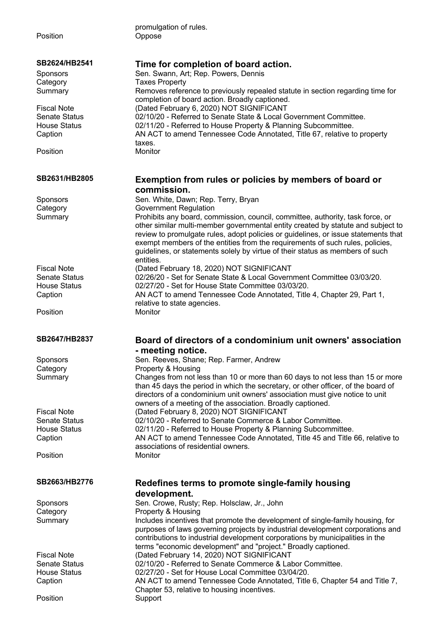promulgation of rules. Position **Oppose SB2624/HB2541 Time for completion of board action.** Sponsors Sen. Swann, Art; Rep. Powers, Dennis Category Taxes Property Summary Removes reference to previously repealed statute in section regarding time for completion of board action. Broadly captioned. Fiscal Note (Dated February 6, 2020) NOT SIGNIFICANT Senate Status 02/10/20 - Referred to Senate State & Local Government Committee. House Status 02/11/20 - Referred to House Property & Planning Subcommittee. Caption AN ACT to amend Tennessee Code Annotated, Title 67, relative to property taxes. Position Monitor **SB2631/HB2805 Exemption from rules or policies by members of board or commission.** Sponsors Sen. White, Dawn; Rep. Terry, Bryan Category **Government Regulation** Summary Prohibits any board, commission, council, committee, authority, task force, or other similar multi-member governmental entity created by statute and subject to review to promulgate rules, adopt policies or guidelines, or issue statements that exempt members of the entities from the requirements of such rules, policies, guidelines, or statements solely by virtue of their status as members of such entities. Fiscal Note (Dated February 18, 2020) NOT SIGNIFICANT Senate Status 02/26/20 - Set for Senate State & Local Government Committee 03/03/20. House Status 02/27/20 - Set for House State Committee 03/03/20. Caption AN ACT to amend Tennessee Code Annotated, Title 4, Chapter 29, Part 1, relative to state agencies. Position Monitor **SB2647/HB2837 Board of directors of a condominium unit owners' association - meeting notice.** Sponsors Sen. Reeves, Shane; Rep. Farmer, Andrew Category **Property & Housing** Summary Changes from not less than 10 or more than 60 days to not less than 15 or more than 45 days the period in which the secretary, or other officer, of the board of directors of a condominium unit owners' association must give notice to unit owners of a meeting of the association. Broadly captioned. Fiscal Note (Dated February 8, 2020) NOT SIGNIFICANT Senate Status 02/10/20 - Referred to Senate Commerce & Labor Committee. House Status 02/11/20 - Referred to House Property & Planning Subcommittee. Caption AN ACT to amend Tennessee Code Annotated, Title 45 and Title 66, relative to associations of residential owners. Position Monitor **SB2663/HB2776 Redefines terms to promote single-family housing development.** Sponsors Sen. Crowe, Rusty; Rep. Holsclaw, Jr., John Category **Property & Housing** Summary Includes incentives that promote the development of single-family housing, for purposes of laws governing projects by industrial development corporations and contributions to industrial development corporations by municipalities in the terms "economic development" and "project." Broadly captioned. Fiscal Note (Dated February 14, 2020) NOT SIGNIFICANT Senate Status 02/10/20 - Referred to Senate Commerce & Labor Committee. House Status 02/27/20 - Set for House Local Committee 03/04/20. Caption AN ACT to amend Tennessee Code Annotated, Title 6, Chapter 54 and Title 7, Chapter 53, relative to housing incentives.

Position Support